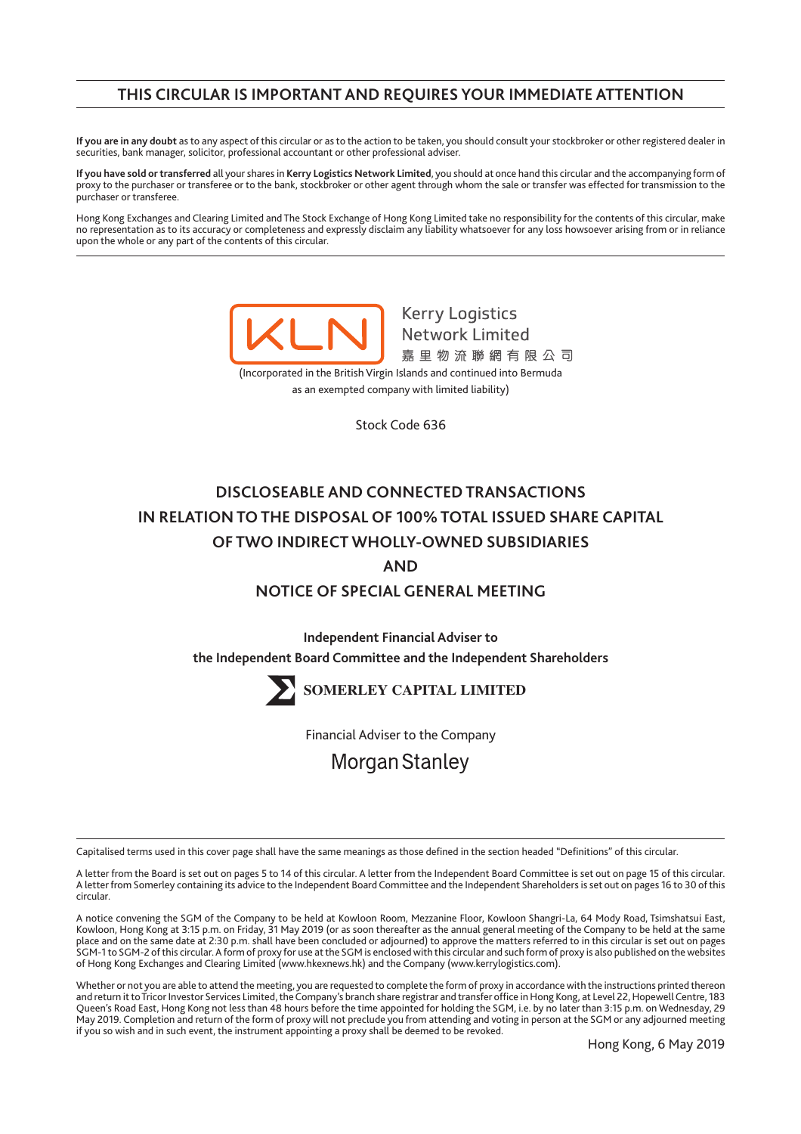# **THIS CIRCULAR IS IMPORTANT AND REQUIRES YOUR IMMEDIATE ATTENTION**

**If you are in any doubt** as to any aspect of this circular or as to the action to be taken, you should consult your stockbroker or other registered dealer in securities, bank manager, solicitor, professional accountant or other professional adviser.

**If you have sold or transferred** all your shares in **Kerry Logistics Network Limited**, you should at once hand this circular and the accompanying form of proxy to the purchaser or transferee or to the bank, stockbroker or other agent through whom the sale or transfer was effected for transmission to the purchaser or transferee.

Hong Kong Exchanges and Clearing Limited and The Stock Exchange of Hong Kong Limited take no responsibility for the contents of this circular, make no representation as to its accuracy or completeness and expressly disclaim any liability whatsoever for any loss howsoever arising from or in reliance upon the whole or any part of the contents of this circular.

> **Kerry Logistics Network Limited** 嘉里物流聯網有限公司 (Incorporated in the British Virgin Islands and continued into Bermuda

as an exempted company with limited liability)

Stock Code 636

# **DISCLOSEABLE AND CONNECTED TRANSACTIONS IN RELATION TO THE DISPOSAL OF 100% TOTAL ISSUED SHARE CAPITAL OF TWO INDIRECT WHOLLY-OWNED SUBSIDIARIES AND**

# **NOTICE OF SPECIAL GENERAL MEETING**

**Independent Financial Adviser to the Independent Board Committee and the Independent Shareholders**



**SOMERLEY CAPITAL LIMITED**

Financial Adviser to the Company

**Morgan Stanley** 

Capitalised terms used in this cover page shall have the same meanings as those defined in the section headed "Definitions" of this circular.

A letter from the Board is set out on pages 5 to 14 of this circular. A letter from the Independent Board Committee is set out on page 15 of this circular. A letter from Somerley containing its advice to the Independent Board Committee and the Independent Shareholders is set out on pages 16 to 30 of this circular.

A notice convening the SGM of the Company to be held at Kowloon Room, Mezzanine Floor, Kowloon Shangri-La, 64 Mody Road, Tsimshatsui East, Kowloon, Hong Kong at 3:15 p.m. on Friday, 31 May 2019 (or as soon thereafter as the annual general meeting of the Company to be held at the same place and on the same date at 2:30 p.m. shall have been concluded or adjourned) to approve the matters referred to in this circular is set out on pages SGM-1 to SGM-2 of this circular. A form of proxy for use at the SGM is enclosed with this circular and such form of proxy is also published on the websites of Hong Kong Exchanges and Clearing Limited (www.hkexnews.hk) and the Company (www.kerrylogistics.com).

Whether or not you are able to attend the meeting, you are requested to complete the form of proxy in accordance with the instructions printed thereon and return it to Tricor Investor Services Limited, the Company's branch share registrar and transfer office in Hong Kong, at Level 22, Hopewell Centre, 183 Queen's Road East, Hong Kong not less than 48 hours before the time appointed for holding the SGM, i.e. by no later than 3:15 p.m. on Wednesday, 29 May 2019. Completion and return of the form of proxy will not preclude you from attending and voting in person at the SGM or any adjourned meeting if you so wish and in such event, the instrument appointing a proxy shall be deemed to be revoked.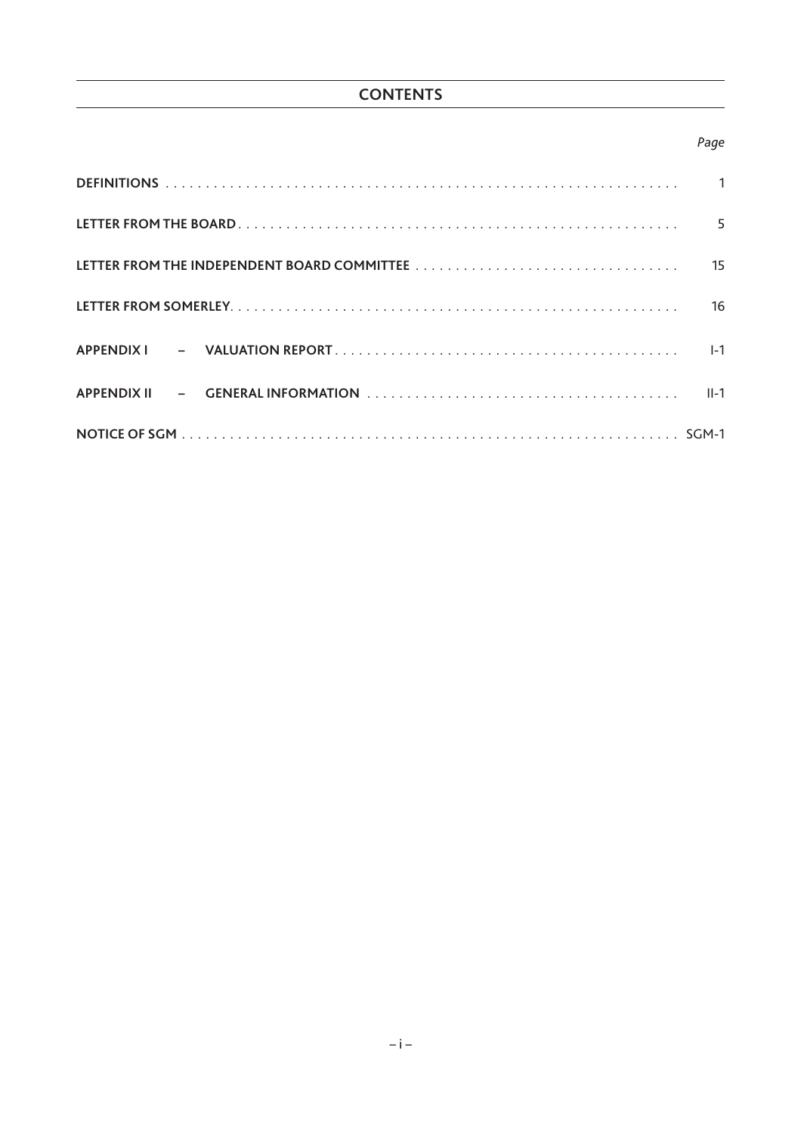# *Page*

| 15      |
|---------|
| 16      |
| $I - 1$ |
| $II-1$  |
|         |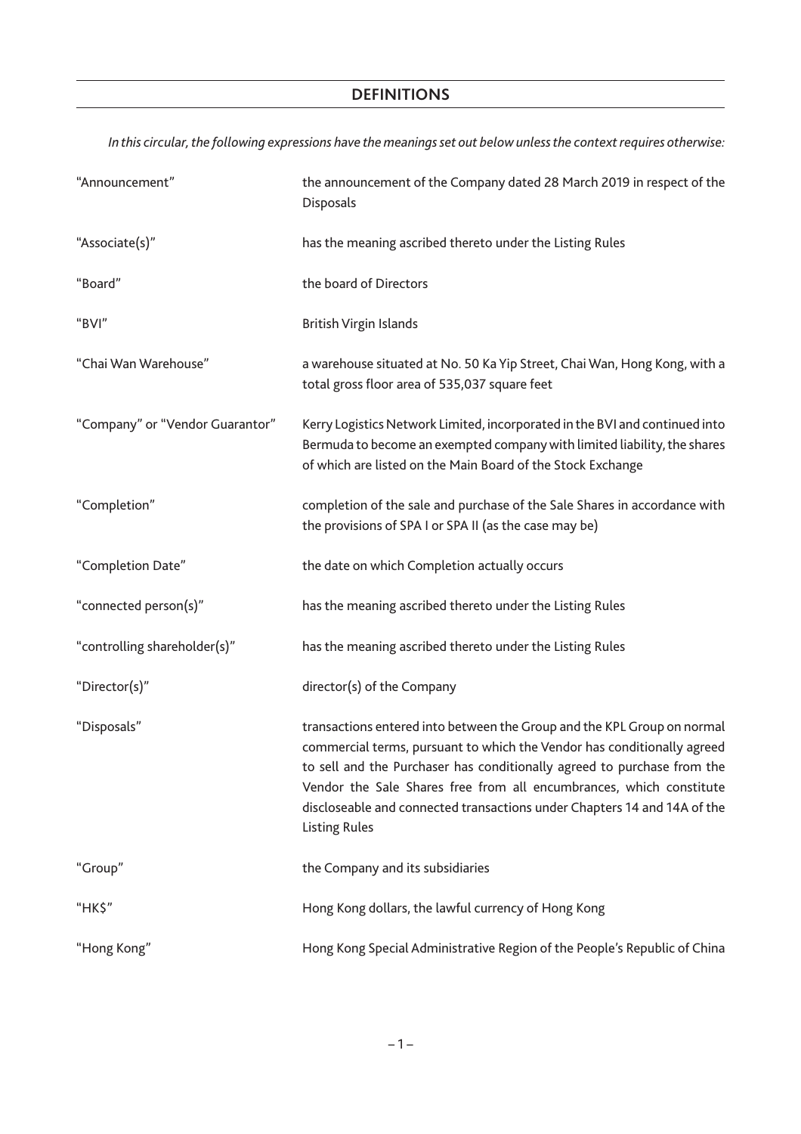*In this circular, the following expressions have the meanings set out below unless the context requires otherwise:*

| "Announcement"                  | the announcement of the Company dated 28 March 2019 in respect of the<br>Disposals                                                                                                                                                                                                                                                                                                                       |
|---------------------------------|----------------------------------------------------------------------------------------------------------------------------------------------------------------------------------------------------------------------------------------------------------------------------------------------------------------------------------------------------------------------------------------------------------|
| "Associate(s)"                  | has the meaning ascribed thereto under the Listing Rules                                                                                                                                                                                                                                                                                                                                                 |
| "Board"                         | the board of Directors                                                                                                                                                                                                                                                                                                                                                                                   |
| "BVI"                           | <b>British Virgin Islands</b>                                                                                                                                                                                                                                                                                                                                                                            |
| "Chai Wan Warehouse"            | a warehouse situated at No. 50 Ka Yip Street, Chai Wan, Hong Kong, with a<br>total gross floor area of 535,037 square feet                                                                                                                                                                                                                                                                               |
| "Company" or "Vendor Guarantor" | Kerry Logistics Network Limited, incorporated in the BVI and continued into<br>Bermuda to become an exempted company with limited liability, the shares<br>of which are listed on the Main Board of the Stock Exchange                                                                                                                                                                                   |
| "Completion"                    | completion of the sale and purchase of the Sale Shares in accordance with<br>the provisions of SPA I or SPA II (as the case may be)                                                                                                                                                                                                                                                                      |
| "Completion Date"               | the date on which Completion actually occurs                                                                                                                                                                                                                                                                                                                                                             |
| "connected person(s)"           | has the meaning ascribed thereto under the Listing Rules                                                                                                                                                                                                                                                                                                                                                 |
| "controlling shareholder(s)"    | has the meaning ascribed thereto under the Listing Rules                                                                                                                                                                                                                                                                                                                                                 |
| "Director(s)"                   | director(s) of the Company                                                                                                                                                                                                                                                                                                                                                                               |
| "Disposals"                     | transactions entered into between the Group and the KPL Group on normal<br>commercial terms, pursuant to which the Vendor has conditionally agreed<br>to sell and the Purchaser has conditionally agreed to purchase from the<br>Vendor the Sale Shares free from all encumbrances, which constitute<br>discloseable and connected transactions under Chapters 14 and 14A of the<br><b>Listing Rules</b> |
| "Group"                         | the Company and its subsidiaries                                                                                                                                                                                                                                                                                                                                                                         |
| "HK\$"                          | Hong Kong dollars, the lawful currency of Hong Kong                                                                                                                                                                                                                                                                                                                                                      |
| "Hong Kong"                     | Hong Kong Special Administrative Region of the People's Republic of China                                                                                                                                                                                                                                                                                                                                |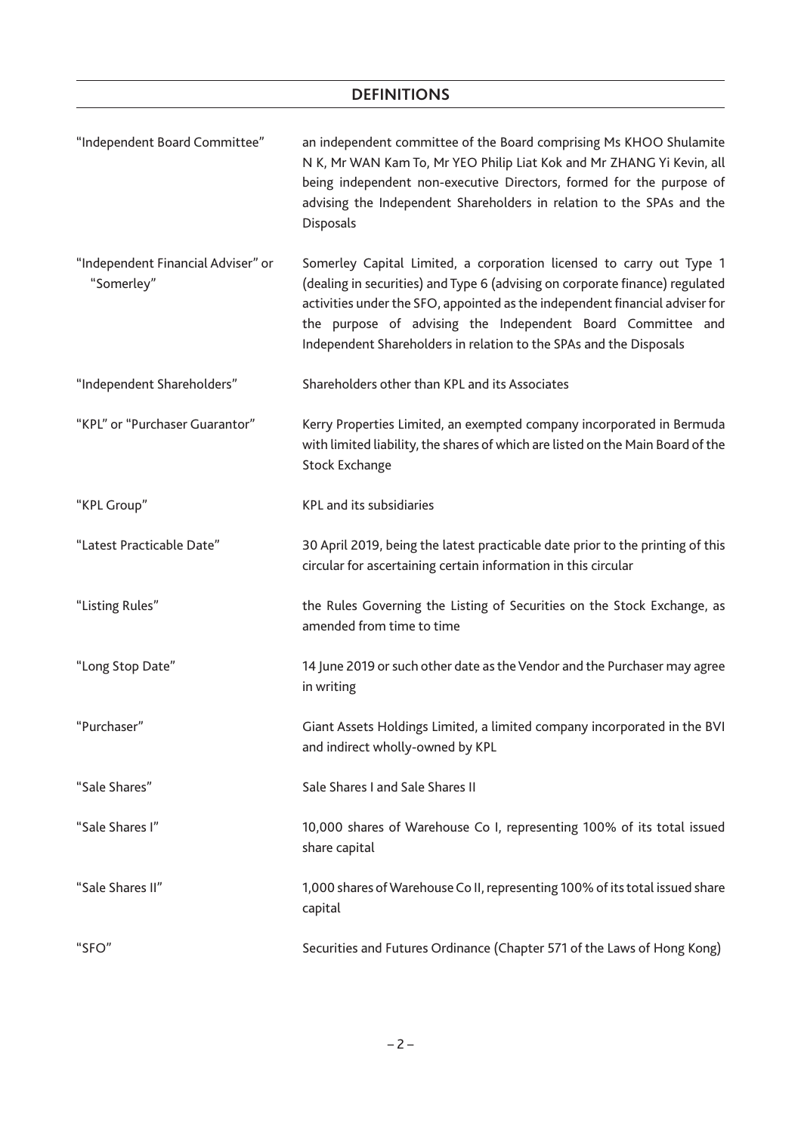| "Independent Board Committee"                    | an independent committee of the Board comprising Ms KHOO Shulamite<br>N K, Mr WAN Kam To, Mr YEO Philip Liat Kok and Mr ZHANG Yi Kevin, all<br>being independent non-executive Directors, formed for the purpose of<br>advising the Independent Shareholders in relation to the SPAs and the<br>Disposals                                                                 |
|--------------------------------------------------|---------------------------------------------------------------------------------------------------------------------------------------------------------------------------------------------------------------------------------------------------------------------------------------------------------------------------------------------------------------------------|
| "Independent Financial Adviser" or<br>"Somerley" | Somerley Capital Limited, a corporation licensed to carry out Type 1<br>(dealing in securities) and Type 6 (advising on corporate finance) regulated<br>activities under the SFO, appointed as the independent financial adviser for<br>the purpose of advising the Independent Board Committee and<br>Independent Shareholders in relation to the SPAs and the Disposals |
| "Independent Shareholders"                       | Shareholders other than KPL and its Associates                                                                                                                                                                                                                                                                                                                            |
| "KPL" or "Purchaser Guarantor"                   | Kerry Properties Limited, an exempted company incorporated in Bermuda<br>with limited liability, the shares of which are listed on the Main Board of the<br><b>Stock Exchange</b>                                                                                                                                                                                         |
| "KPL Group"                                      | KPL and its subsidiaries                                                                                                                                                                                                                                                                                                                                                  |
| "Latest Practicable Date"                        | 30 April 2019, being the latest practicable date prior to the printing of this<br>circular for ascertaining certain information in this circular                                                                                                                                                                                                                          |
| "Listing Rules"                                  | the Rules Governing the Listing of Securities on the Stock Exchange, as<br>amended from time to time                                                                                                                                                                                                                                                                      |
| "Long Stop Date"                                 | 14 June 2019 or such other date as the Vendor and the Purchaser may agree<br>in writing                                                                                                                                                                                                                                                                                   |
| "Purchaser"                                      | Giant Assets Holdings Limited, a limited company incorporated in the BVI<br>and indirect wholly-owned by KPL                                                                                                                                                                                                                                                              |
| "Sale Shares"                                    | Sale Shares I and Sale Shares II                                                                                                                                                                                                                                                                                                                                          |
| "Sale Shares I"                                  | 10,000 shares of Warehouse Co I, representing 100% of its total issued<br>share capital                                                                                                                                                                                                                                                                                   |
| "Sale Shares II"                                 | 1,000 shares of Warehouse Co II, representing 100% of its total issued share<br>capital                                                                                                                                                                                                                                                                                   |
| "SFO"                                            | Securities and Futures Ordinance (Chapter 571 of the Laws of Hong Kong)                                                                                                                                                                                                                                                                                                   |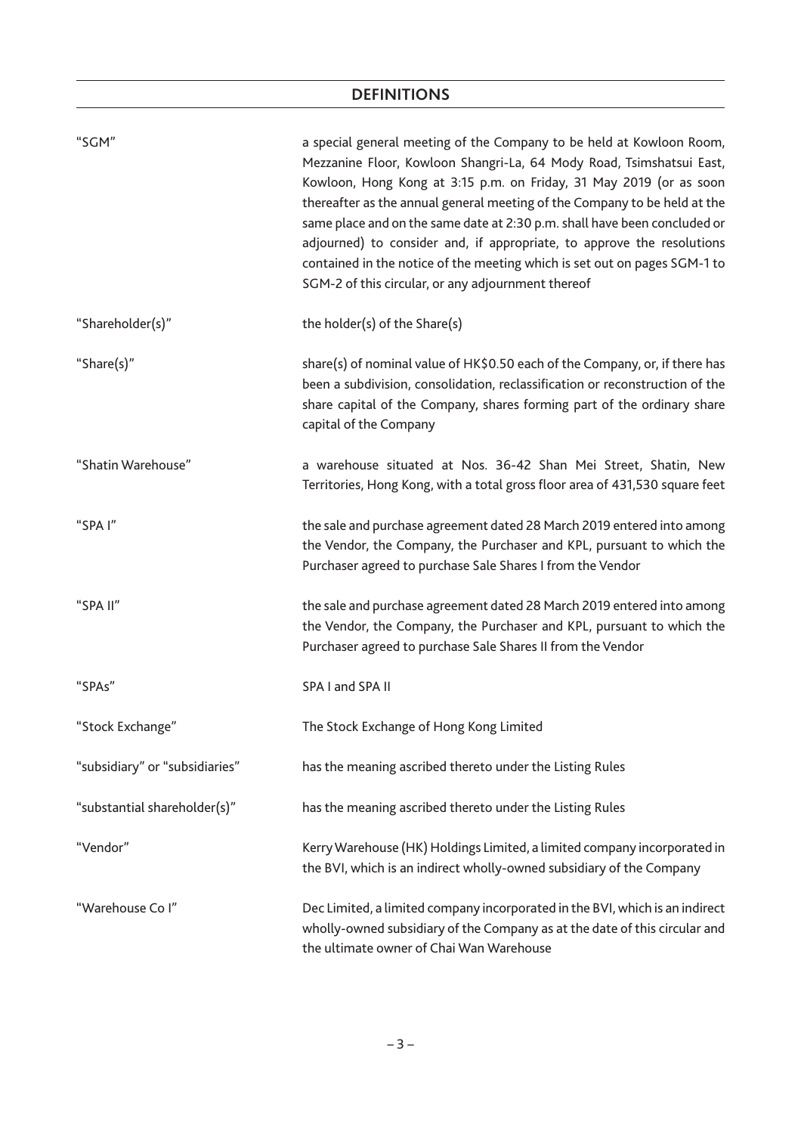| "SGM"                          | a special general meeting of the Company to be held at Kowloon Room,<br>Mezzanine Floor, Kowloon Shangri-La, 64 Mody Road, Tsimshatsui East,<br>Kowloon, Hong Kong at 3:15 p.m. on Friday, 31 May 2019 (or as soon<br>thereafter as the annual general meeting of the Company to be held at the<br>same place and on the same date at 2:30 p.m. shall have been concluded or<br>adjourned) to consider and, if appropriate, to approve the resolutions<br>contained in the notice of the meeting which is set out on pages SGM-1 to<br>SGM-2 of this circular, or any adjournment thereof |
|--------------------------------|-------------------------------------------------------------------------------------------------------------------------------------------------------------------------------------------------------------------------------------------------------------------------------------------------------------------------------------------------------------------------------------------------------------------------------------------------------------------------------------------------------------------------------------------------------------------------------------------|
| "Shareholder(s)"               | the holder(s) of the Share(s)                                                                                                                                                                                                                                                                                                                                                                                                                                                                                                                                                             |
| "Share(s)"                     | share(s) of nominal value of HK\$0.50 each of the Company, or, if there has<br>been a subdivision, consolidation, reclassification or reconstruction of the<br>share capital of the Company, shares forming part of the ordinary share<br>capital of the Company                                                                                                                                                                                                                                                                                                                          |
| "Shatin Warehouse"             | a warehouse situated at Nos. 36-42 Shan Mei Street, Shatin, New<br>Territories, Hong Kong, with a total gross floor area of 431,530 square feet                                                                                                                                                                                                                                                                                                                                                                                                                                           |
| "SPA I"                        | the sale and purchase agreement dated 28 March 2019 entered into among<br>the Vendor, the Company, the Purchaser and KPL, pursuant to which the<br>Purchaser agreed to purchase Sale Shares I from the Vendor                                                                                                                                                                                                                                                                                                                                                                             |
| "SPA II"                       | the sale and purchase agreement dated 28 March 2019 entered into among<br>the Vendor, the Company, the Purchaser and KPL, pursuant to which the<br>Purchaser agreed to purchase Sale Shares II from the Vendor                                                                                                                                                                                                                                                                                                                                                                            |
| "SPAs"                         | SPA I and SPA II                                                                                                                                                                                                                                                                                                                                                                                                                                                                                                                                                                          |
| "Stock Exchange"               | The Stock Exchange of Hong Kong Limited                                                                                                                                                                                                                                                                                                                                                                                                                                                                                                                                                   |
| "subsidiary" or "subsidiaries" | has the meaning ascribed thereto under the Listing Rules                                                                                                                                                                                                                                                                                                                                                                                                                                                                                                                                  |
| "substantial shareholder(s)"   | has the meaning ascribed thereto under the Listing Rules                                                                                                                                                                                                                                                                                                                                                                                                                                                                                                                                  |
| "Vendor"                       | Kerry Warehouse (HK) Holdings Limited, a limited company incorporated in<br>the BVI, which is an indirect wholly-owned subsidiary of the Company                                                                                                                                                                                                                                                                                                                                                                                                                                          |
| "Warehouse Co I"               | Dec Limited, a limited company incorporated in the BVI, which is an indirect<br>wholly-owned subsidiary of the Company as at the date of this circular and<br>the ultimate owner of Chai Wan Warehouse                                                                                                                                                                                                                                                                                                                                                                                    |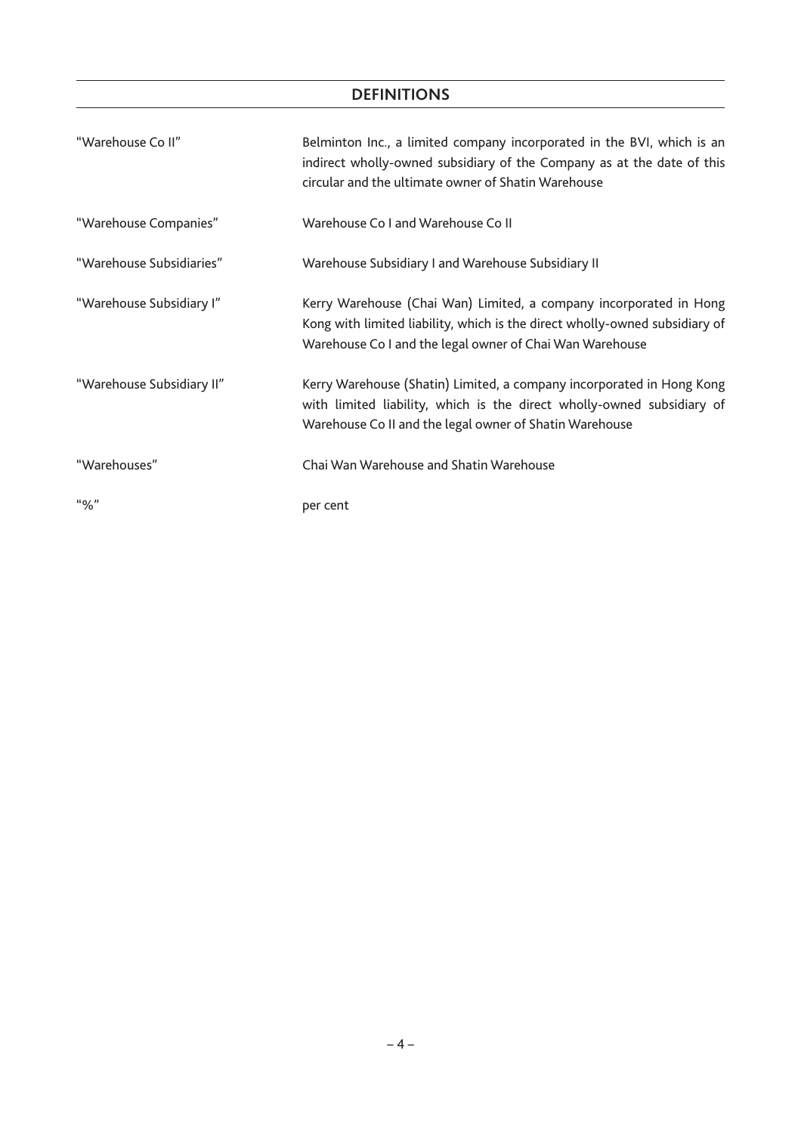| "Warehouse Co II"         | Belminton Inc., a limited company incorporated in the BVI, which is an<br>indirect wholly-owned subsidiary of the Company as at the date of this<br>circular and the ultimate owner of Shatin Warehouse       |
|---------------------------|---------------------------------------------------------------------------------------------------------------------------------------------------------------------------------------------------------------|
| "Warehouse Companies"     | Warehouse Co I and Warehouse Co II                                                                                                                                                                            |
| "Warehouse Subsidiaries"  | Warehouse Subsidiary I and Warehouse Subsidiary II                                                                                                                                                            |
| "Warehouse Subsidiary I"  | Kerry Warehouse (Chai Wan) Limited, a company incorporated in Hong<br>Kong with limited liability, which is the direct wholly-owned subsidiary of<br>Warehouse Co I and the legal owner of Chai Wan Warehouse |
| "Warehouse Subsidiary II" | Kerry Warehouse (Shatin) Limited, a company incorporated in Hong Kong<br>with limited liability, which is the direct wholly-owned subsidiary of<br>Warehouse Co II and the legal owner of Shatin Warehouse    |
| "Warehouses"              | Chai Wan Warehouse and Shatin Warehouse                                                                                                                                                                       |
| "96"                      | per cent                                                                                                                                                                                                      |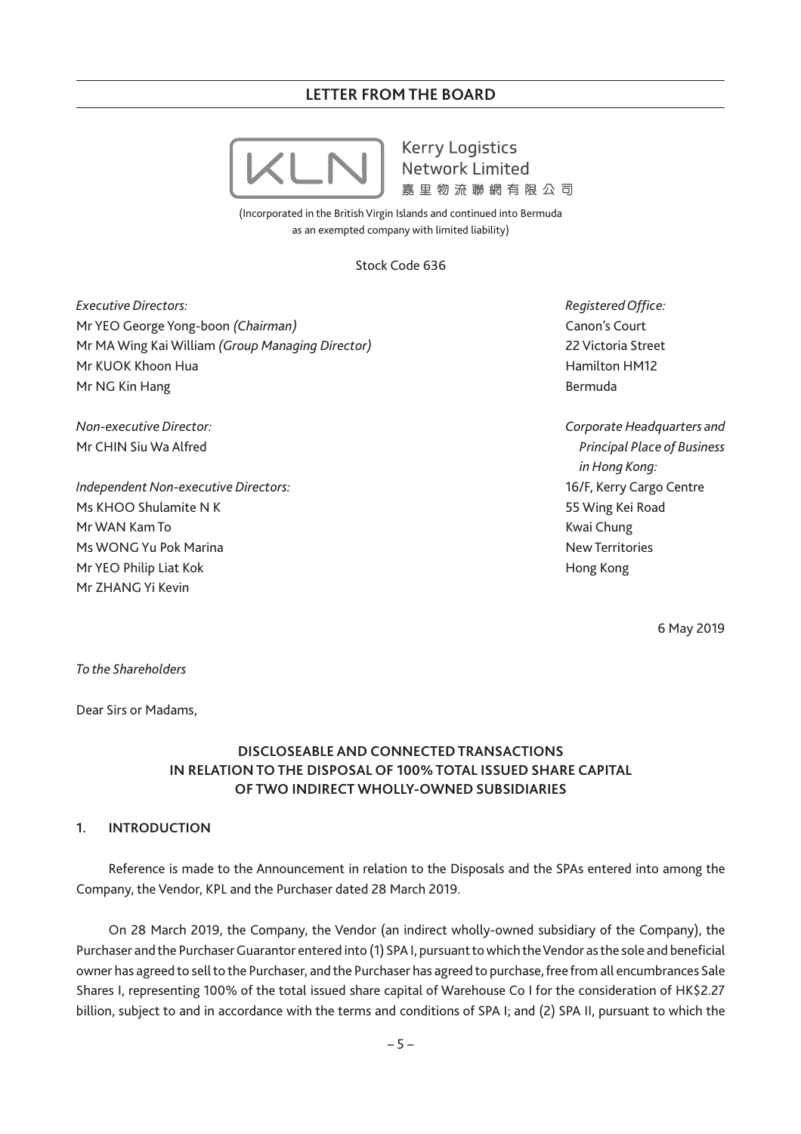**Kerry Logistics Network Limited** 嘉里物流腦網有限公司

(Incorporated in the British Virgin Islands and continued into Bermuda as an exempted company with limited liability)

Stock Code 636

*Executive Directors:* Mr YEO George Yong-boon *(Chairman)* Mr MA Wing Kai William *(Group Managing Director)* Mr KUOK Khoon Hua Mr NG Kin Hang

*Non-executive Director:* Mr CHIN Siu Wa Alfred

*Independent Non-executive Directors:* Ms KHOO Shulamite N K Mr WAN Kam To Ms WONG Yu Pok Marina Mr YEO Philip Liat Kok Mr ZHANG Yi Kevin

*Registered Office:* Canon's Court 22 Victoria Street Hamilton HM12 Bermuda

*Corporate Headquarters and Principal Place of Business in Hong Kong:* 16/F, Kerry Cargo Centre 55 Wing Kei Road Kwai Chung New Territories Hong Kong

6 May 2019

*To the Shareholders*

Dear Sirs or Madams,

# **DISCLOSEABLE AND CONNECTED TRANSACTIONS IN RELATION TO THE DISPOSAL OF 100% TOTAL ISSUED SHARE CAPITAL OF TWO INDIRECT WHOLLY-OWNED SUBSIDIARIES**

# **1. INTRODUCTION**

Reference is made to the Announcement in relation to the Disposals and the SPAs entered into among the Company, the Vendor, KPL and the Purchaser dated 28 March 2019.

On 28 March 2019, the Company, the Vendor (an indirect wholly-owned subsidiary of the Company), the Purchaser and the Purchaser Guarantor entered into (1) SPA I, pursuant to which the Vendor as the sole and beneficial owner has agreed to sell to the Purchaser, and the Purchaser has agreed to purchase, free from all encumbrances Sale Shares I, representing 100% of the total issued share capital of Warehouse Co I for the consideration of HK\$2.27 billion, subject to and in accordance with the terms and conditions of SPA I; and (2) SPA II, pursuant to which the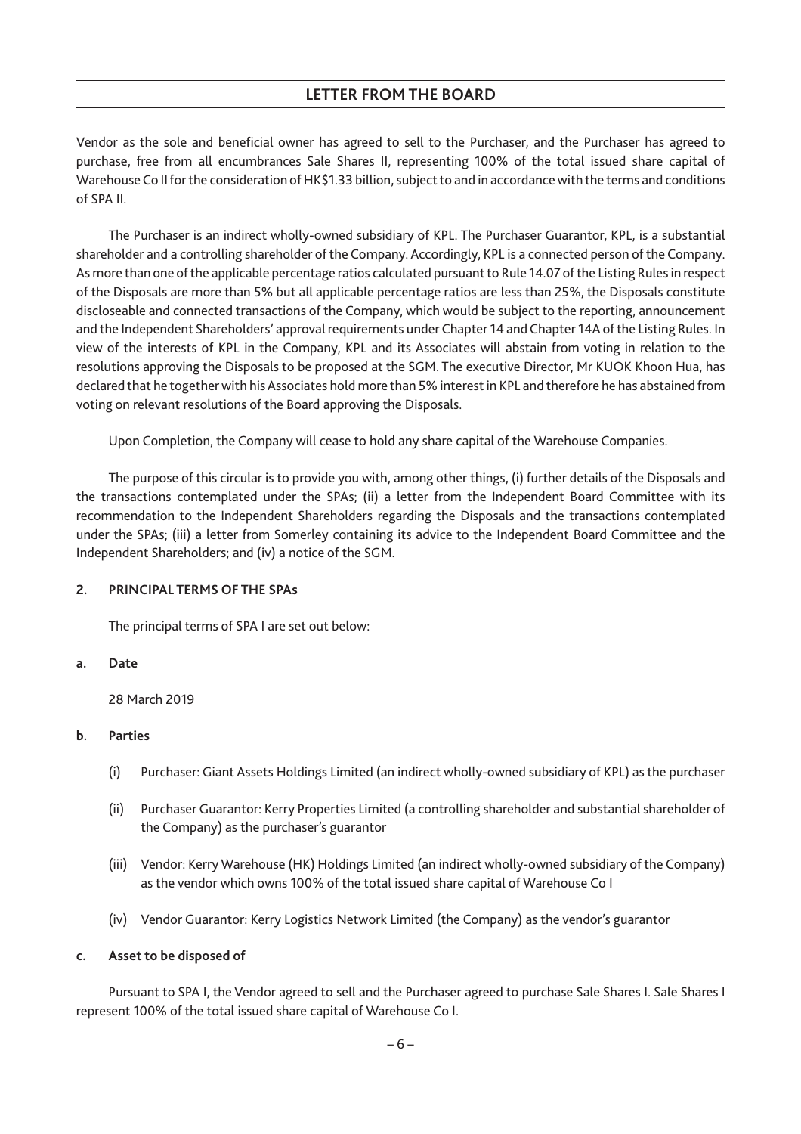Vendor as the sole and beneficial owner has agreed to sell to the Purchaser, and the Purchaser has agreed to purchase, free from all encumbrances Sale Shares II, representing 100% of the total issued share capital of Warehouse Co II for the consideration of HK\$1.33 billion, subject to and in accordance with the terms and conditions of SPA II.

The Purchaser is an indirect wholly-owned subsidiary of KPL. The Purchaser Guarantor, KPL, is a substantial shareholder and a controlling shareholder of the Company. Accordingly, KPL is a connected person of the Company. As more than one of the applicable percentage ratios calculated pursuant to Rule 14.07 of the Listing Rules in respect of the Disposals are more than 5% but all applicable percentage ratios are less than 25%, the Disposals constitute discloseable and connected transactions of the Company, which would be subject to the reporting, announcement and the Independent Shareholders' approval requirements under Chapter 14 and Chapter 14A of the Listing Rules. In view of the interests of KPL in the Company, KPL and its Associates will abstain from voting in relation to the resolutions approving the Disposals to be proposed at the SGM. The executive Director, Mr KUOK Khoon Hua, has declared that he together with his Associates hold more than 5% interest in KPL and therefore he has abstained from voting on relevant resolutions of the Board approving the Disposals.

Upon Completion, the Company will cease to hold any share capital of the Warehouse Companies.

The purpose of this circular is to provide you with, among other things, (i) further details of the Disposals and the transactions contemplated under the SPAs; (ii) a letter from the Independent Board Committee with its recommendation to the Independent Shareholders regarding the Disposals and the transactions contemplated under the SPAs; (iii) a letter from Somerley containing its advice to the Independent Board Committee and the Independent Shareholders; and (iv) a notice of the SGM.

# **2. PRINCIPAL TERMS OF THE SPAs**

The principal terms of SPA I are set out below:

#### **a. Date**

28 March 2019

# **b. Parties**

- (i) Purchaser: Giant Assets Holdings Limited (an indirect wholly-owned subsidiary of KPL) as the purchaser
- (ii) Purchaser Guarantor: Kerry Properties Limited (a controlling shareholder and substantial shareholder of the Company) as the purchaser's guarantor
- (iii) Vendor: Kerry Warehouse (HK) Holdings Limited (an indirect wholly-owned subsidiary of the Company) as the vendor which owns 100% of the total issued share capital of Warehouse Co I
- (iv) Vendor Guarantor: Kerry Logistics Network Limited (the Company) as the vendor's guarantor

# **c. Asset to be disposed of**

Pursuant to SPA I, the Vendor agreed to sell and the Purchaser agreed to purchase Sale Shares I. Sale Shares I represent 100% of the total issued share capital of Warehouse Co I.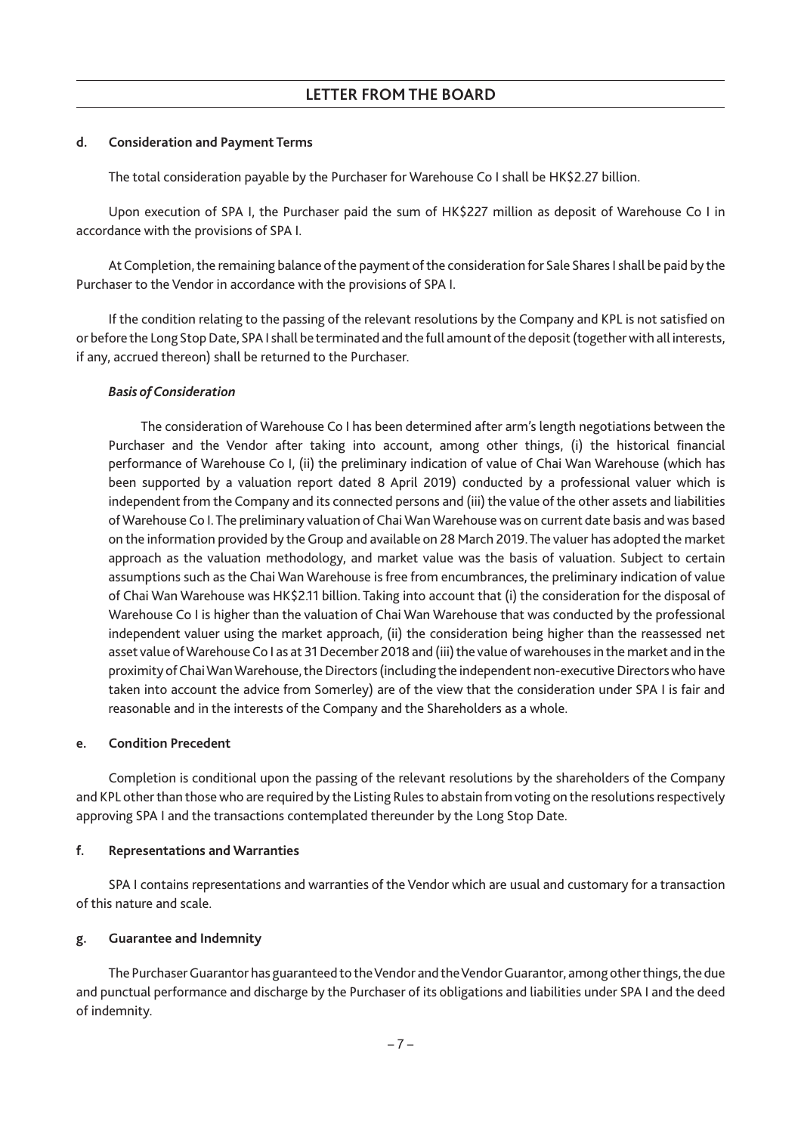#### **d. Consideration and Payment Terms**

The total consideration payable by the Purchaser for Warehouse Co I shall be HK\$2.27 billion.

Upon execution of SPA I, the Purchaser paid the sum of HK\$227 million as deposit of Warehouse Co I in accordance with the provisions of SPA I.

At Completion, the remaining balance of the payment of the consideration for Sale Shares I shall be paid by the Purchaser to the Vendor in accordance with the provisions of SPA I.

If the condition relating to the passing of the relevant resolutions by the Company and KPL is not satisfied on or before the Long Stop Date, SPA I shall be terminated and the full amount of the deposit (together with all interests, if any, accrued thereon) shall be returned to the Purchaser.

### *Basis of Consideration*

The consideration of Warehouse Co I has been determined after arm's length negotiations between the Purchaser and the Vendor after taking into account, among other things, (i) the historical financial performance of Warehouse Co I, (ii) the preliminary indication of value of Chai Wan Warehouse (which has been supported by a valuation report dated 8 April 2019) conducted by a professional valuer which is independent from the Company and its connected persons and (iii) the value of the other assets and liabilities ofWarehouse Co I. The preliminary valuation of ChaiWanWarehouse was on current date basis and was based on the information provided by the Group and available on 28 March 2019. The valuer has adopted the market approach as the valuation methodology, and market value was the basis of valuation. Subject to certain assumptions such as the Chai Wan Warehouse is free from encumbrances, the preliminary indication of value of Chai Wan Warehouse was HK\$2.11 billion. Taking into account that (i) the consideration for the disposal of Warehouse Co I is higher than the valuation of Chai Wan Warehouse that was conducted by the professional independent valuer using the market approach, (ii) the consideration being higher than the reassessed net asset value ofWarehouse Co I as at 31 December 2018 and (iii) the value of warehouses in the market and in the proximity of Chai Wan Warehouse, the Directors (including the independent non-executive Directors who have taken into account the advice from Somerley) are of the view that the consideration under SPA I is fair and reasonable and in the interests of the Company and the Shareholders as a whole.

#### **e. Condition Precedent**

Completion is conditional upon the passing of the relevant resolutions by the shareholders of the Company and KPL other than those who are required by the Listing Rules to abstain from voting on the resolutions respectively approving SPA I and the transactions contemplated thereunder by the Long Stop Date.

# **f. Representations and Warranties**

SPA I contains representations and warranties of the Vendor which are usual and customary for a transaction of this nature and scale.

# **g. Guarantee and Indemnity**

The Purchaser Guarantor has guaranteed to the Vendor and the Vendor Guarantor, among other things, the due and punctual performance and discharge by the Purchaser of its obligations and liabilities under SPA I and the deed of indemnity.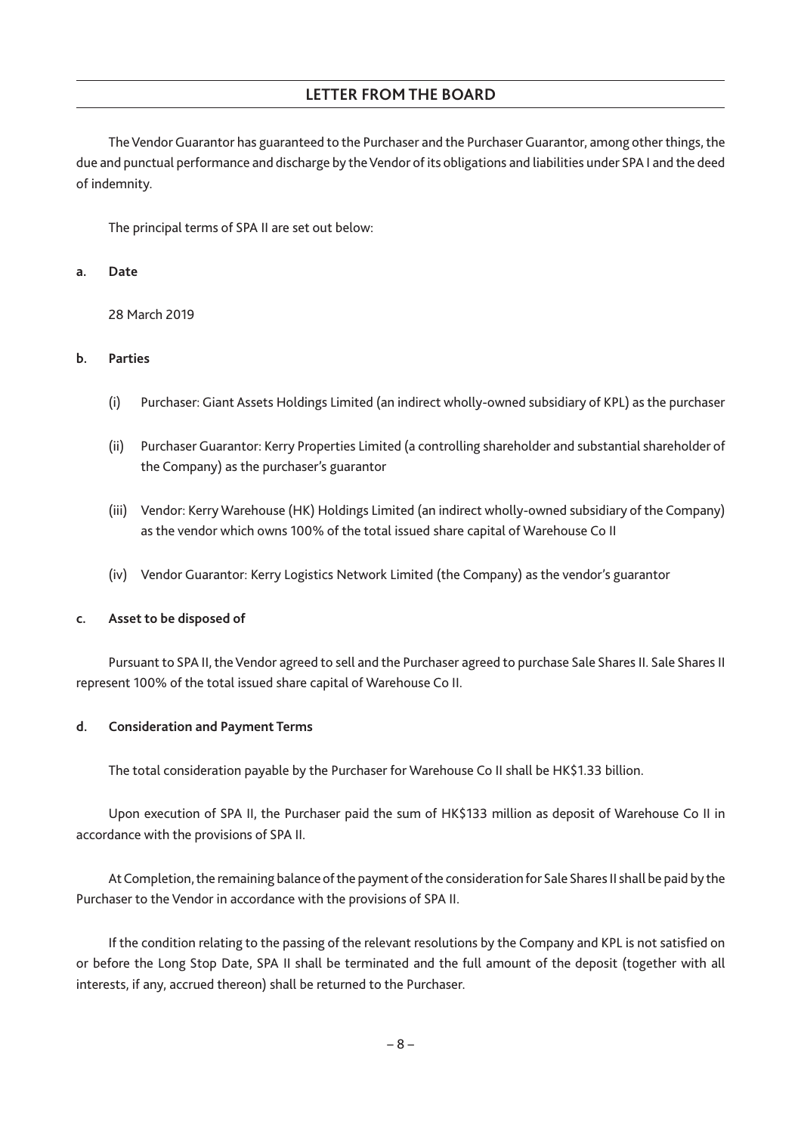The Vendor Guarantor has guaranteed to the Purchaser and the Purchaser Guarantor, among other things, the due and punctual performance and discharge by the Vendor of its obligations and liabilities under SPA I and the deed of indemnity.

The principal terms of SPA II are set out below:

## **a. Date**

28 March 2019

# **b. Parties**

- (i) Purchaser: Giant Assets Holdings Limited (an indirect wholly-owned subsidiary of KPL) as the purchaser
- (ii) Purchaser Guarantor: Kerry Properties Limited (a controlling shareholder and substantial shareholder of the Company) as the purchaser's guarantor
- (iii) Vendor: Kerry Warehouse (HK) Holdings Limited (an indirect wholly-owned subsidiary of the Company) as the vendor which owns 100% of the total issued share capital of Warehouse Co II
- (iv) Vendor Guarantor: Kerry Logistics Network Limited (the Company) as the vendor's guarantor

# **c. Asset to be disposed of**

Pursuant to SPA II, the Vendor agreed to sell and the Purchaser agreed to purchase Sale Shares II. Sale Shares II represent 100% of the total issued share capital of Warehouse Co II.

# **d. Consideration and Payment Terms**

The total consideration payable by the Purchaser for Warehouse Co II shall be HK\$1.33 billion.

Upon execution of SPA II, the Purchaser paid the sum of HK\$133 million as deposit of Warehouse Co II in accordance with the provisions of SPA II.

At Completion, the remaining balance of the payment of the consideration for Sale Shares II shall be paid by the Purchaser to the Vendor in accordance with the provisions of SPA II.

If the condition relating to the passing of the relevant resolutions by the Company and KPL is not satisfied on or before the Long Stop Date, SPA II shall be terminated and the full amount of the deposit (together with all interests, if any, accrued thereon) shall be returned to the Purchaser.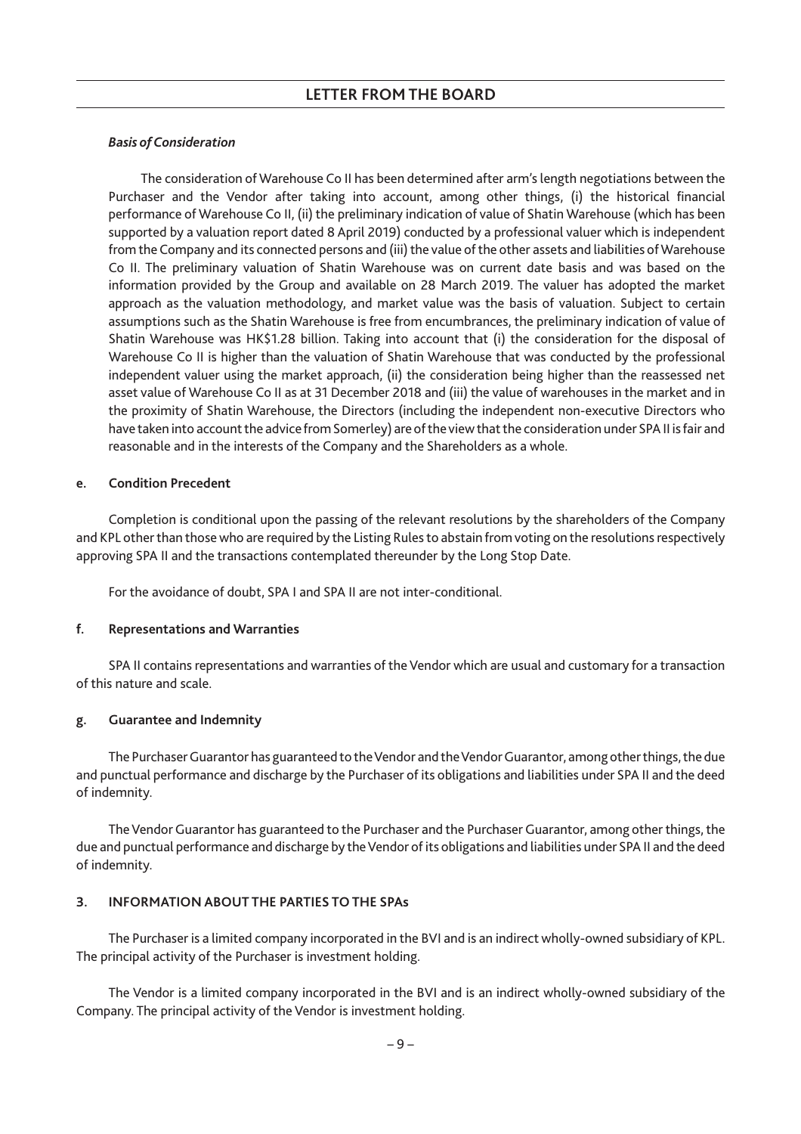## *Basis of Consideration*

The consideration of Warehouse Co II has been determined after arm's length negotiations between the Purchaser and the Vendor after taking into account, among other things, (i) the historical financial performance of Warehouse Co II, (ii) the preliminary indication of value of Shatin Warehouse (which has been supported by a valuation report dated 8 April 2019) conducted by a professional valuer which is independent from the Company and its connected persons and (iii) the value of the other assets and liabilities ofWarehouse Co II. The preliminary valuation of Shatin Warehouse was on current date basis and was based on the information provided by the Group and available on 28 March 2019. The valuer has adopted the market approach as the valuation methodology, and market value was the basis of valuation. Subject to certain assumptions such as the Shatin Warehouse is free from encumbrances, the preliminary indication of value of Shatin Warehouse was HK\$1.28 billion. Taking into account that (i) the consideration for the disposal of Warehouse Co II is higher than the valuation of Shatin Warehouse that was conducted by the professional independent valuer using the market approach, (ii) the consideration being higher than the reassessed net asset value of Warehouse Co II as at 31 December 2018 and (iii) the value of warehouses in the market and in the proximity of Shatin Warehouse, the Directors (including the independent non-executive Directors who have taken into account the advice from Somerley) are of the view that the consideration under SPA II is fair and reasonable and in the interests of the Company and the Shareholders as a whole.

#### **e. Condition Precedent**

Completion is conditional upon the passing of the relevant resolutions by the shareholders of the Company and KPL other than those who are required by the Listing Rules to abstain from voting on the resolutions respectively approving SPA II and the transactions contemplated thereunder by the Long Stop Date.

For the avoidance of doubt, SPA I and SPA II are not inter-conditional.

# **f. Representations and Warranties**

SPA II contains representations and warranties of the Vendor which are usual and customary for a transaction of this nature and scale.

# **g. Guarantee and Indemnity**

The Purchaser Guarantor has guaranteed to the Vendor and the Vendor Guarantor, among other things, the due and punctual performance and discharge by the Purchaser of its obligations and liabilities under SPA II and the deed of indemnity.

The Vendor Guarantor has guaranteed to the Purchaser and the Purchaser Guarantor, among other things, the due and punctual performance and discharge by the Vendor of its obligations and liabilities under SPA II and the deed of indemnity.

# **3. INFORMATION ABOUT THE PARTIES TO THE SPAs**

The Purchaser is a limited company incorporated in the BVI and is an indirect wholly-owned subsidiary of KPL. The principal activity of the Purchaser is investment holding.

The Vendor is a limited company incorporated in the BVI and is an indirect wholly-owned subsidiary of the Company. The principal activity of the Vendor is investment holding.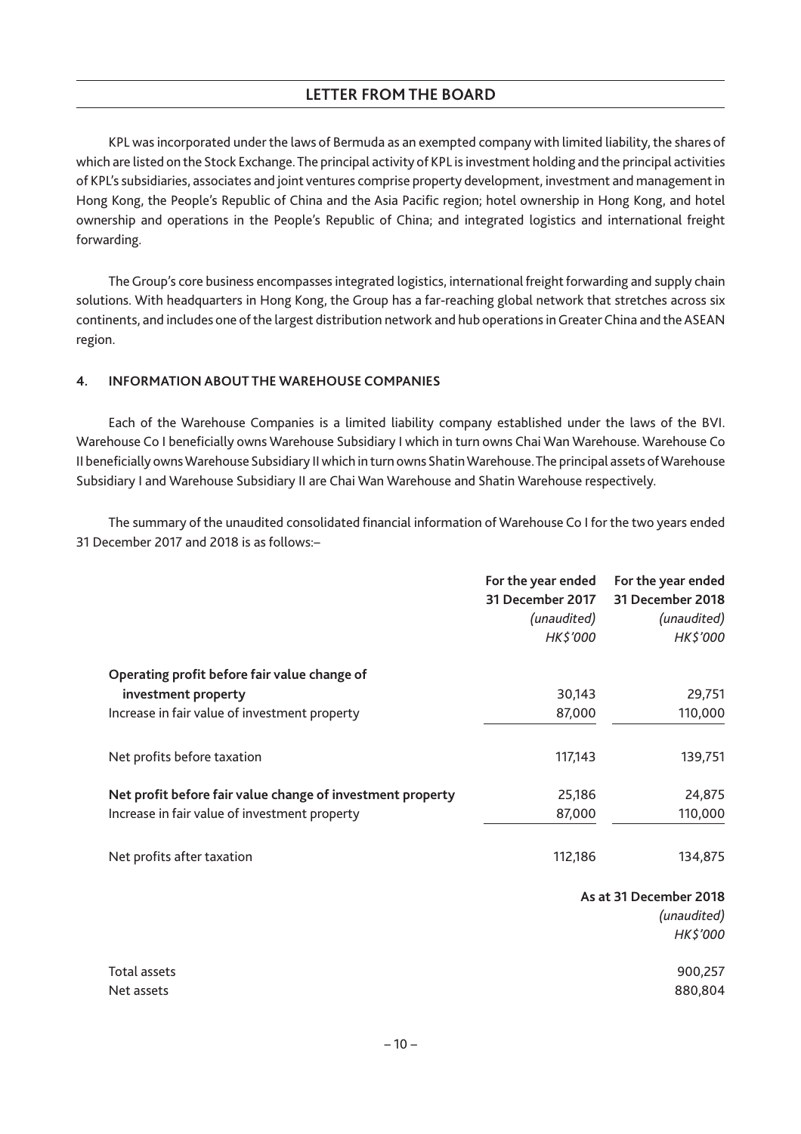KPL was incorporated under the laws of Bermuda as an exempted company with limited liability, the shares of which are listed on the Stock Exchange. The principal activity of KPL is investment holding and the principal activities of KPL's subsidiaries, associates and joint ventures comprise property development, investment and management in Hong Kong, the People's Republic of China and the Asia Pacific region; hotel ownership in Hong Kong, and hotel ownership and operations in the People's Republic of China; and integrated logistics and international freight forwarding.

The Group's core business encompasses integrated logistics, international freight forwarding and supply chain solutions. With headquarters in Hong Kong, the Group has a far-reaching global network that stretches across six continents, and includes one of the largest distribution network and hub operations in Greater China and the ASEAN region.

# **4. INFORMATION ABOUT THE WAREHOUSE COMPANIES**

Each of the Warehouse Companies is a limited liability company established under the laws of the BVI. Warehouse Co I beneficially owns Warehouse Subsidiary I which in turn owns Chai Wan Warehouse. Warehouse Co II beneficially ownsWarehouse Subsidiary II which in turn owns ShatinWarehouse.The principal assets ofWarehouse Subsidiary I and Warehouse Subsidiary II are Chai Wan Warehouse and Shatin Warehouse respectively.

The summary of the unaudited consolidated financial information of Warehouse Co I for the two years ended 31 December 2017 and 2018 is as follows:–

|                                                            | For the year ended<br>31 December 2017<br>(unaudited)<br>HK\$'000 | For the year ended<br>31 December 2018<br>(unaudited)<br>HK\$'000 |
|------------------------------------------------------------|-------------------------------------------------------------------|-------------------------------------------------------------------|
| Operating profit before fair value change of               |                                                                   |                                                                   |
| investment property                                        | 30,143                                                            | 29,751                                                            |
| Increase in fair value of investment property              | 87,000                                                            | 110,000                                                           |
|                                                            |                                                                   |                                                                   |
| Net profits before taxation                                | 117,143                                                           | 139,751                                                           |
| Net profit before fair value change of investment property | 25,186                                                            | 24,875                                                            |
| Increase in fair value of investment property              | 87,000                                                            | 110,000                                                           |
| Net profits after taxation                                 | 112,186                                                           | 134,875                                                           |
|                                                            |                                                                   | As at 31 December 2018                                            |
|                                                            |                                                                   | (unaudited)                                                       |
|                                                            |                                                                   | HK\$'000                                                          |
| Total assets                                               |                                                                   | 900,257                                                           |

Net assets 880,804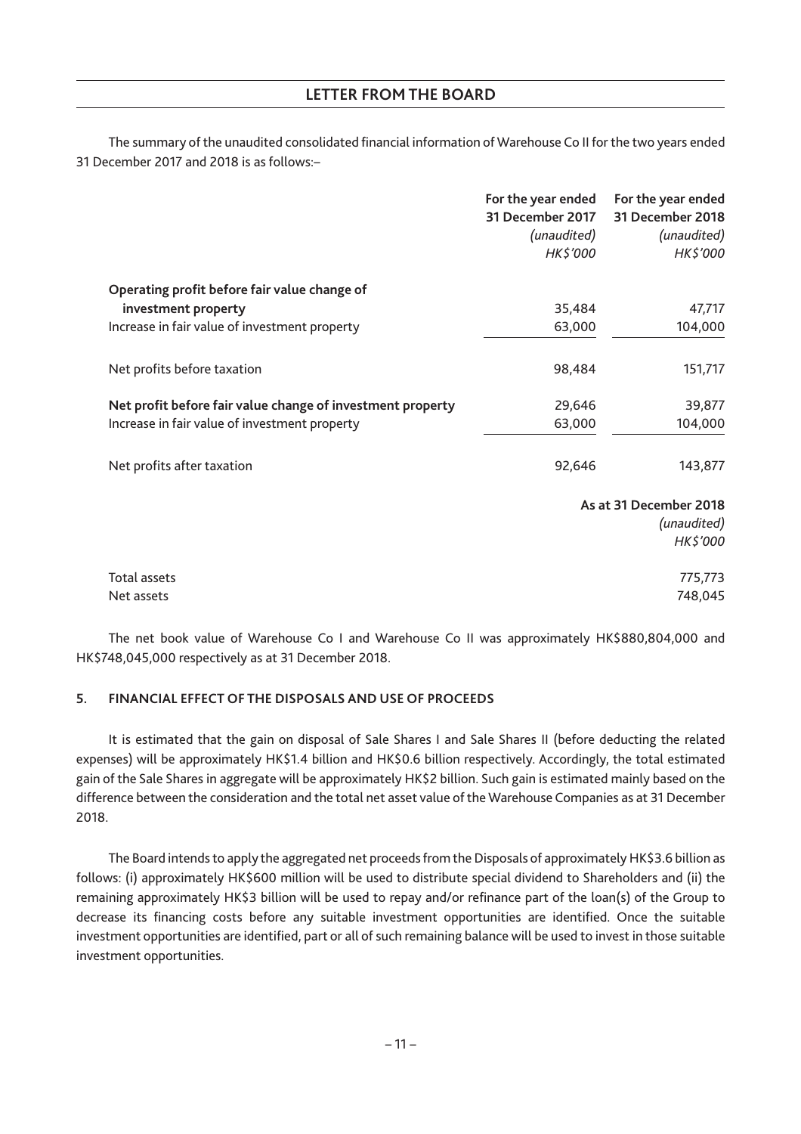The summary of the unaudited consolidated financial information of Warehouse Co II for the two years ended 31 December 2017 and 2018 is as follows:–

|                                                            | For the year ended<br>31 December 2017<br>(unaudited)<br>HK\$'000 | For the year ended<br>31 December 2018<br>(unaudited)<br>HK\$'000 |
|------------------------------------------------------------|-------------------------------------------------------------------|-------------------------------------------------------------------|
| Operating profit before fair value change of               |                                                                   |                                                                   |
| investment property                                        | 35,484                                                            | 47,717                                                            |
| Increase in fair value of investment property              | 63,000                                                            | 104,000                                                           |
| Net profits before taxation                                | 98,484                                                            | 151,717                                                           |
| Net profit before fair value change of investment property | 29,646                                                            | 39,877                                                            |
| Increase in fair value of investment property              | 63,000                                                            | 104,000                                                           |
| Net profits after taxation                                 | 92,646                                                            | 143,877                                                           |
|                                                            |                                                                   | As at 31 December 2018                                            |
|                                                            |                                                                   | (unaudited)                                                       |
|                                                            |                                                                   | HK\$'000                                                          |
| Total assets                                               |                                                                   | 775,773                                                           |
| Net assets                                                 |                                                                   | 748,045                                                           |

The net book value of Warehouse Co I and Warehouse Co II was approximately HK\$880,804,000 and HK\$748,045,000 respectively as at 31 December 2018.

# **5. FINANCIAL EFFECT OF THE DISPOSALS AND USE OF PROCEEDS**

It is estimated that the gain on disposal of Sale Shares I and Sale Shares II (before deducting the related expenses) will be approximately HK\$1.4 billion and HK\$0.6 billion respectively. Accordingly, the total estimated gain of the Sale Shares in aggregate will be approximately HK\$2 billion. Such gain is estimated mainly based on the difference between the consideration and the total net asset value of the Warehouse Companies as at 31 December 2018.

The Board intends to apply the aggregated net proceeds from the Disposals of approximately HK\$3.6 billion as follows: (i) approximately HK\$600 million will be used to distribute special dividend to Shareholders and (ii) the remaining approximately HK\$3 billion will be used to repay and/or refinance part of the loan(s) of the Group to decrease its financing costs before any suitable investment opportunities are identified. Once the suitable investment opportunities are identified, part or all of such remaining balance will be used to invest in those suitable investment opportunities.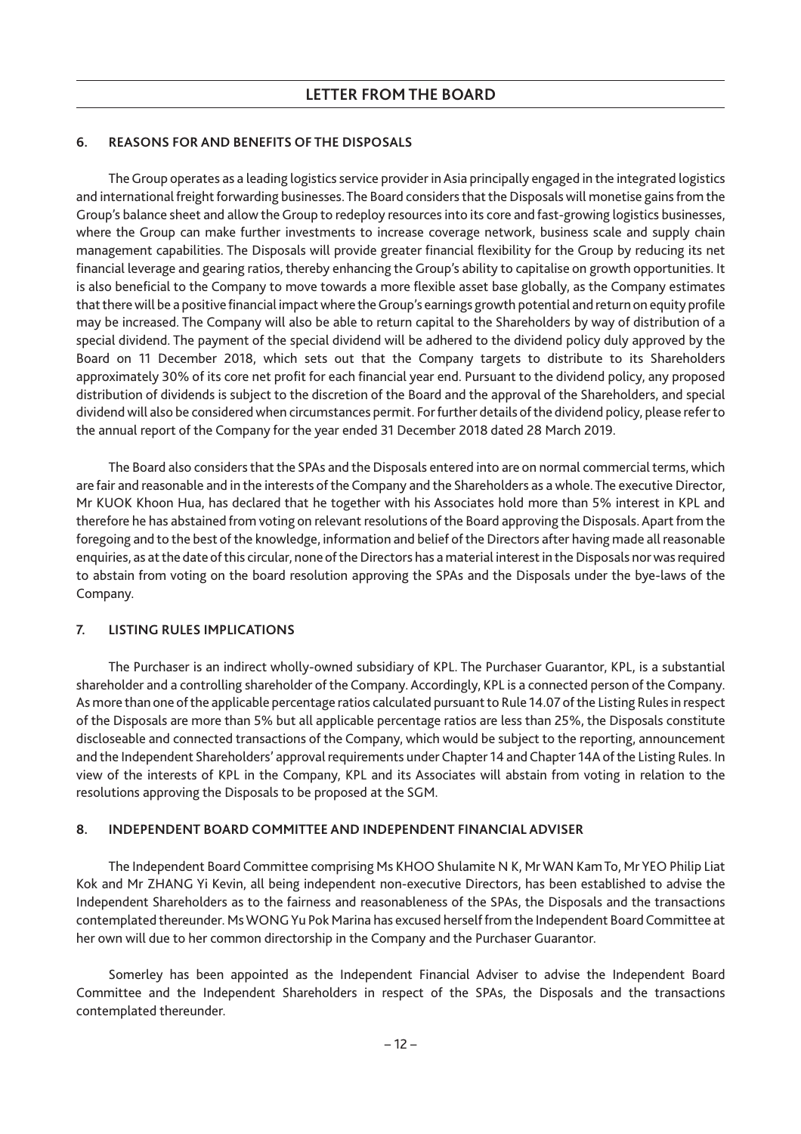# **6. REASONS FOR AND BENEFITS OF THE DISPOSALS**

The Group operates as a leading logistics service provider in Asia principally engaged in the integrated logistics and international freight forwarding businesses. The Board considers that the Disposals will monetise gains from the Group's balance sheet and allow the Group to redeploy resources into its core and fast-growing logistics businesses, where the Group can make further investments to increase coverage network, business scale and supply chain management capabilities. The Disposals will provide greater financial flexibility for the Group by reducing its net financial leverage and gearing ratios, thereby enhancing the Group's ability to capitalise on growth opportunities. It is also beneficial to the Company to move towards a more flexible asset base globally, as the Company estimates that there will be a positive financial impact where theGroup's earnings growth potential and return on equity profile may be increased. The Company will also be able to return capital to the Shareholders by way of distribution of a special dividend. The payment of the special dividend will be adhered to the dividend policy duly approved by the Board on 11 December 2018, which sets out that the Company targets to distribute to its Shareholders approximately 30% of its core net profit for each financial year end. Pursuant to the dividend policy, any proposed distribution of dividends is subject to the discretion of the Board and the approval of the Shareholders, and special dividend will also be considered when circumstances permit. For further details of the dividend policy, please refer to the annual report of the Company for the year ended 31 December 2018 dated 28 March 2019.

The Board also considers that the SPAs and the Disposals entered into are on normal commercial terms, which are fair and reasonable and in the interests of the Company and the Shareholders as a whole. The executive Director, Mr KUOK Khoon Hua, has declared that he together with his Associates hold more than 5% interest in KPL and therefore he has abstained from voting on relevant resolutions of the Board approving the Disposals. Apart from the foregoing and to the best of the knowledge, information and belief of the Directors after having made all reasonable enquiries, as at the date of this circular, none of the Directors has a material interest in the Disposals nor was required to abstain from voting on the board resolution approving the SPAs and the Disposals under the bye-laws of the Company.

#### **7. LISTING RULES IMPLICATIONS**

The Purchaser is an indirect wholly-owned subsidiary of KPL. The Purchaser Guarantor, KPL, is a substantial shareholder and a controlling shareholder of the Company. Accordingly, KPL is a connected person of the Company. As more than one of the applicable percentage ratios calculated pursuant to Rule 14.07 of the Listing Rules in respect of the Disposals are more than 5% but all applicable percentage ratios are less than 25%, the Disposals constitute discloseable and connected transactions of the Company, which would be subject to the reporting, announcement and the Independent Shareholders' approval requirements under Chapter 14 and Chapter 14A of the Listing Rules. In view of the interests of KPL in the Company, KPL and its Associates will abstain from voting in relation to the resolutions approving the Disposals to be proposed at the SGM.

#### **8. INDEPENDENT BOARD COMMITTEE AND INDEPENDENT FINANCIAL ADVISER**

The Independent Board Committee comprising Ms KHOO Shulamite N K, MrWAN Kam To, Mr YEO Philip Liat Kok and Mr ZHANG Yi Kevin, all being independent non-executive Directors, has been established to advise the Independent Shareholders as to the fairness and reasonableness of the SPAs, the Disposals and the transactions contemplated thereunder. MsWONG Yu Pok Marina has excused herself from the Independent Board Committee at her own will due to her common directorship in the Company and the Purchaser Guarantor.

Somerley has been appointed as the Independent Financial Adviser to advise the Independent Board Committee and the Independent Shareholders in respect of the SPAs, the Disposals and the transactions contemplated thereunder.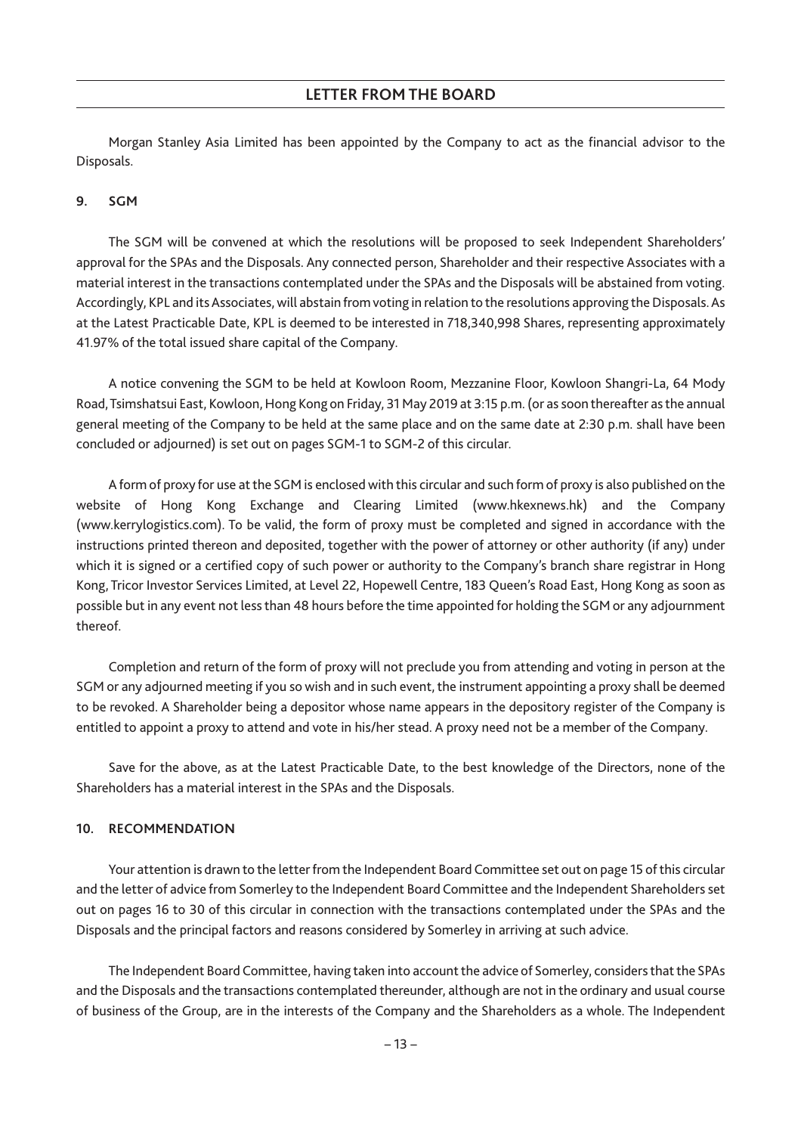Morgan Stanley Asia Limited has been appointed by the Company to act as the financial advisor to the Disposals.

#### **9. SGM**

The SGM will be convened at which the resolutions will be proposed to seek Independent Shareholders' approval for the SPAs and the Disposals. Any connected person, Shareholder and their respective Associates with a material interest in the transactions contemplated under the SPAs and the Disposals will be abstained from voting. Accordingly, KPL and its Associates, will abstain from voting in relation to the resolutions approving the Disposals. As at the Latest Practicable Date, KPL is deemed to be interested in 718,340,998 Shares, representing approximately 41.97% of the total issued share capital of the Company.

A notice convening the SGM to be held at Kowloon Room, Mezzanine Floor, Kowloon Shangri-La, 64 Mody Road, Tsimshatsui East, Kowloon, Hong Kong on Friday, 31 May 2019 at 3:15 p.m. (or as soon thereafter as the annual general meeting of the Company to be held at the same place and on the same date at 2:30 p.m. shall have been concluded or adjourned) is set out on pages SGM-1 to SGM-2 of this circular.

A form of proxy for use at the SGM is enclosed with this circular and such form of proxy is also published on the website of Hong Kong Exchange and Clearing Limited (www.hkexnews.hk) and the Company (www.kerrylogistics.com). To be valid, the form of proxy must be completed and signed in accordance with the instructions printed thereon and deposited, together with the power of attorney or other authority (if any) under which it is signed or a certified copy of such power or authority to the Company's branch share registrar in Hong Kong, Tricor Investor Services Limited, at Level 22, Hopewell Centre, 183 Queen's Road East, Hong Kong as soon as possible but in any event not less than 48 hours before the time appointed for holding the SGM or any adjournment thereof.

Completion and return of the form of proxy will not preclude you from attending and voting in person at the SGM or any adjourned meeting if you so wish and in such event, the instrument appointing a proxy shall be deemed to be revoked. A Shareholder being a depositor whose name appears in the depository register of the Company is entitled to appoint a proxy to attend and vote in his/her stead. A proxy need not be a member of the Company.

Save for the above, as at the Latest Practicable Date, to the best knowledge of the Directors, none of the Shareholders has a material interest in the SPAs and the Disposals.

#### **10. RECOMMENDATION**

Your attention is drawn to the letter from the Independent Board Committee set out on page 15 of this circular and the letter of advice from Somerley to the Independent Board Committee and the Independent Shareholders set out on pages 16 to 30 of this circular in connection with the transactions contemplated under the SPAs and the Disposals and the principal factors and reasons considered by Somerley in arriving at such advice.

The Independent Board Committee, having taken into account the advice of Somerley, considers that the SPAs and the Disposals and the transactions contemplated thereunder, although are not in the ordinary and usual course of business of the Group, are in the interests of the Company and the Shareholders as a whole. The Independent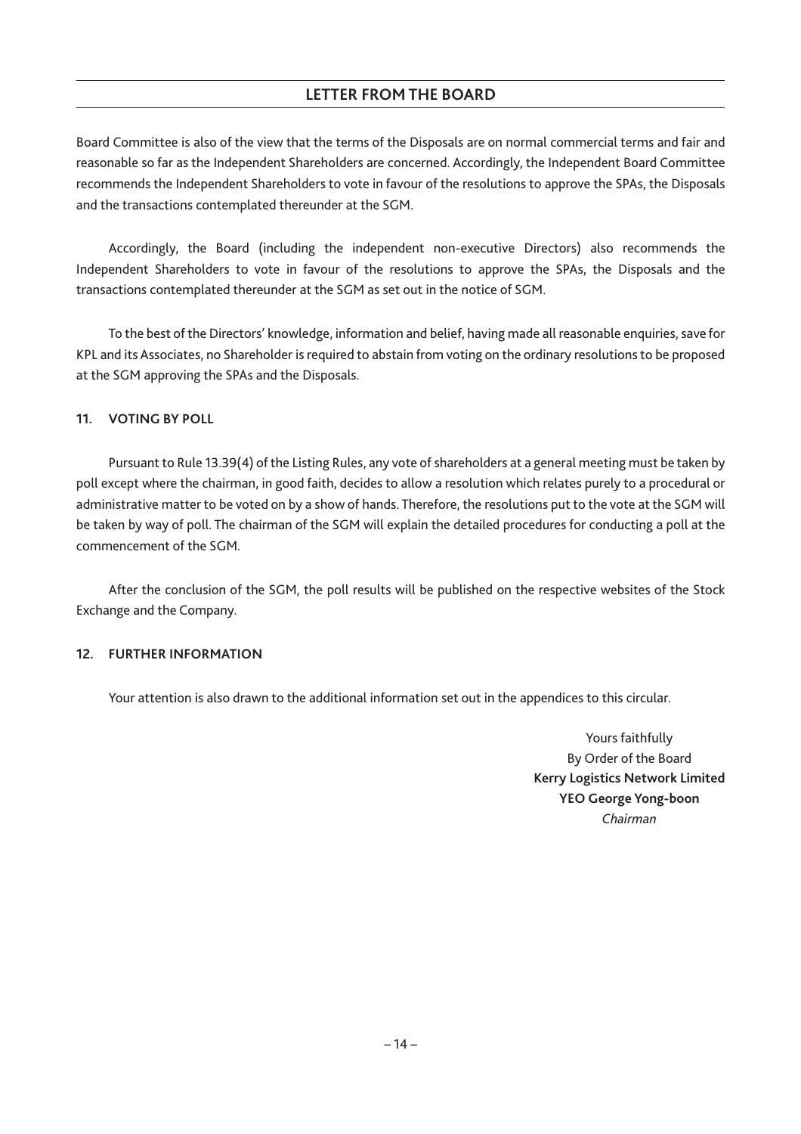Board Committee is also of the view that the terms of the Disposals are on normal commercial terms and fair and reasonable so far as the Independent Shareholders are concerned. Accordingly, the Independent Board Committee recommends the Independent Shareholders to vote in favour of the resolutions to approve the SPAs, the Disposals and the transactions contemplated thereunder at the SGM.

Accordingly, the Board (including the independent non-executive Directors) also recommends the Independent Shareholders to vote in favour of the resolutions to approve the SPAs, the Disposals and the transactions contemplated thereunder at the SGM as set out in the notice of SGM.

To the best of the Directors' knowledge, information and belief, having made all reasonable enquiries, save for KPL and its Associates, no Shareholder is required to abstain from voting on the ordinary resolutions to be proposed at the SGM approving the SPAs and the Disposals.

# **11. VOTING BY POLL**

Pursuant to Rule 13.39(4) of the Listing Rules, any vote of shareholders at a general meeting must be taken by poll except where the chairman, in good faith, decides to allow a resolution which relates purely to a procedural or administrative matter to be voted on by a show of hands. Therefore, the resolutions put to the vote at the SGM will be taken by way of poll. The chairman of the SGM will explain the detailed procedures for conducting a poll at the commencement of the SGM.

After the conclusion of the SGM, the poll results will be published on the respective websites of the Stock Exchange and the Company.

# **12. FURTHER INFORMATION**

Your attention is also drawn to the additional information set out in the appendices to this circular.

Yours faithfully By Order of the Board **Kerry Logistics Network Limited YEO George Yong-boon** *Chairman*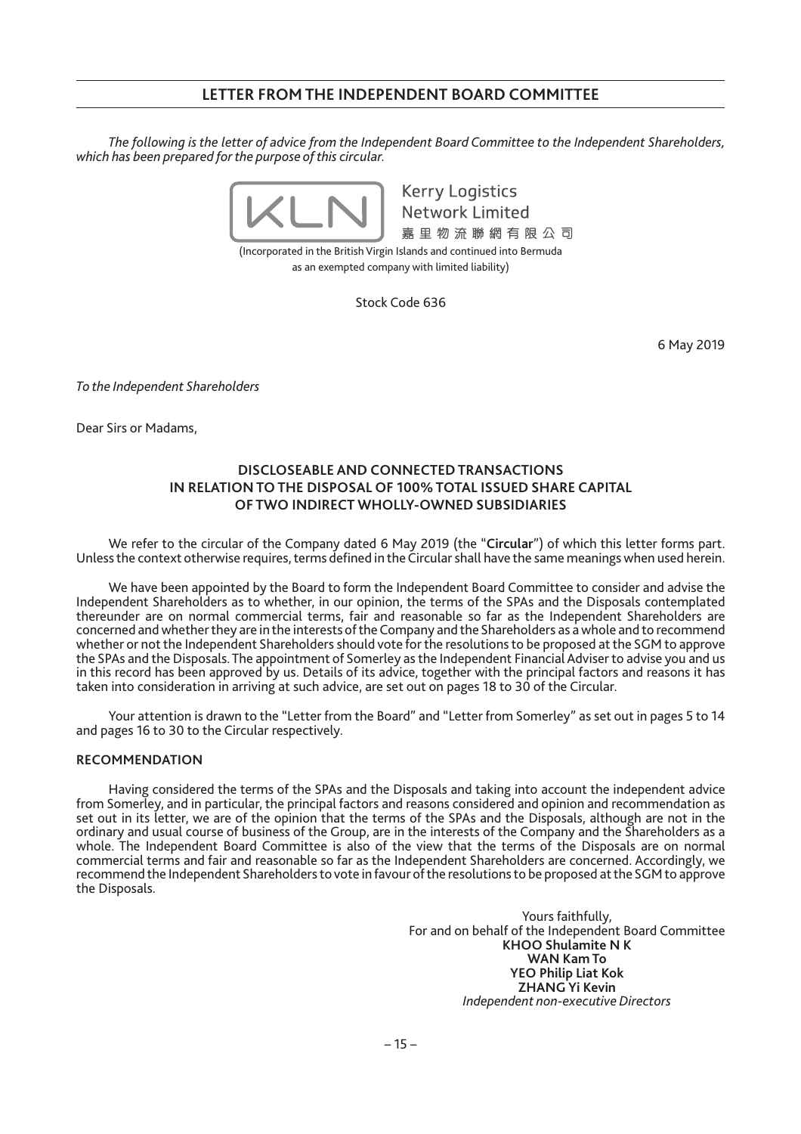# **LETTER FROM THE INDEPENDENT BOARD COMMITTEE**

*The following is the letter of advice from the Independent Board Committee to the Independent Shareholders, which has been prepared for the purpose of this circular.*



**Kerry Logistics Network Limited** 嘉里物流聯網有限公司

(Incorporated in the British Virgin Islands and continued into Bermuda as an exempted company with limited liability)

Stock Code 636

6 May 2019

*To the Independent Shareholders*

Dear Sirs or Madams,

# **DISCLOSEABLE AND CONNECTED TRANSACTIONS IN RELATION TO THE DISPOSAL OF 100% TOTAL ISSUED SHARE CAPITAL OF TWO INDIRECT WHOLLY-OWNED SUBSIDIARIES**

We refer to the circular of the Company dated 6 May 2019 (the "**Circular**") of which this letter forms part. Unless the context otherwise requires, terms defined in the Circular shall have the same meanings when used herein.

We have been appointed by the Board to form the Independent Board Committee to consider and advise the Independent Shareholders as to whether, in our opinion, the terms of the SPAs and the Disposals contemplated thereunder are on normal commercial terms, fair and reasonable so far as the Independent Shareholders are concerned and whether they are in the interests of the Company and the Shareholders as a whole and to recommend whether or not the Independent Shareholders should vote for the resolutions to be proposed at the SGM to approve the SPAs and the Disposals. The appointment of Somerley as the Independent Financial Adviser to advise you and us in this record has been approved by us. Details of its advice, together with the principal factors and reasons it has taken into consideration in arriving at such advice, are set out on pages 18 to 30 of the Circular.

Your attention is drawn to the "Letter from the Board" and "Letter from Somerley" as set out in pages 5 to 14 and pages 16 to 30 to the Circular respectively.

#### **RECOMMENDATION**

Having considered the terms of the SPAs and the Disposals and taking into account the independent advice from Somerley, and in particular, the principal factors and reasons considered and opinion and recommendation as set out in its letter, we are of the opinion that the terms of the SPAs and the Disposals, although are not in the ordinary and usual course of business of the Group, are in the interests of the Company and the Shareholders as a whole. The Independent Board Committee is also of the view that the terms of the Disposals are on normal commercial terms and fair and reasonable so far as the Independent Shareholders are concerned. Accordingly, we recommend the Independent Shareholders to vote in favour of the resolutions to be proposed at the SGM to approve the Disposals.

> Yours faithfully, For and on behalf of the Independent Board Committee **KHOO Shulamite N K WAN Kam To YEO Philip Liat Kok ZHANG Yi Kevin** *Independent non-executive Directors*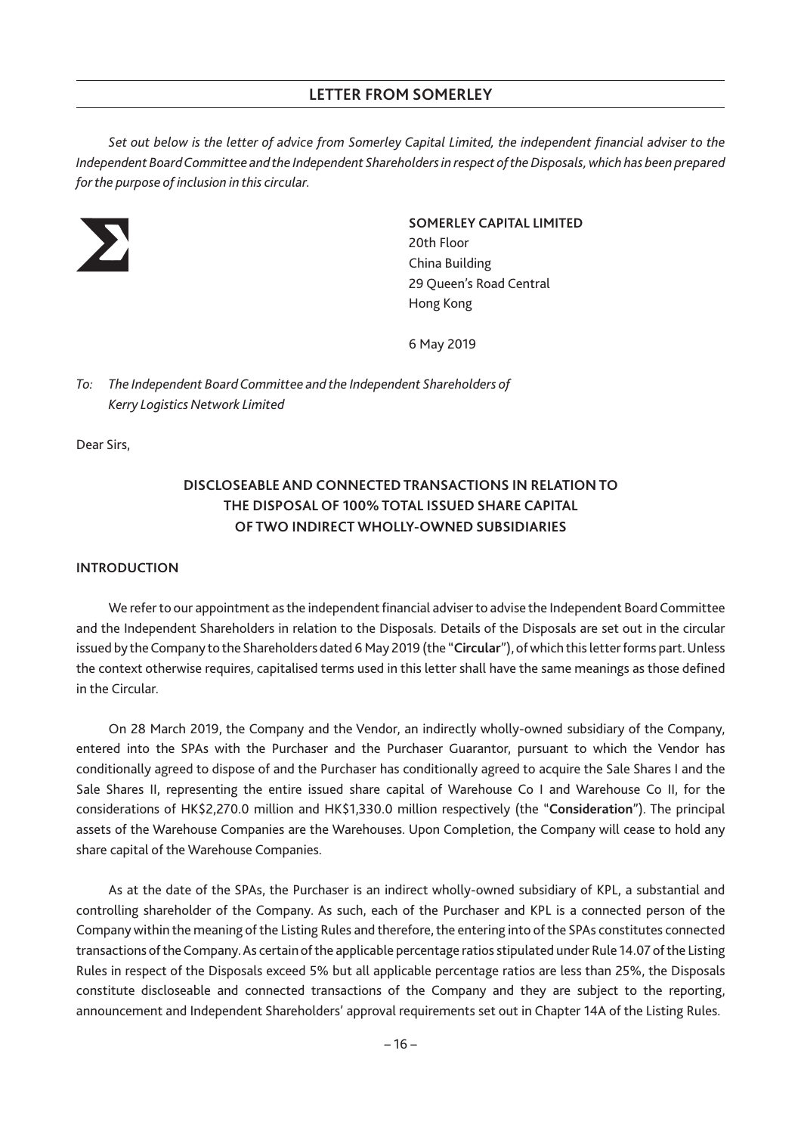*Set out below is the letter of advice from Somerley Capital Limited, the independent financial adviser to the Independent BoardCommittee and the Independent Shareholders in respect of the Disposals,which has been prepared for the purpose of inclusion in this circular.*



### **SOMERLEY CAPITAL LIMITED**

20th Floor China Building 29 Queen's Road Central Hong Kong

6 May 2019

*To: The Independent Board Committee and the Independent Shareholders of Kerry Logistics Network Limited*

Dear Sirs,

# **DISCLOSEABLE AND CONNECTED TRANSACTIONS IN RELATION TO THE DISPOSAL OF 100% TOTAL ISSUED SHARE CAPITAL OF TWO INDIRECT WHOLLY-OWNED SUBSIDIARIES**

# **INTRODUCTION**

We refer to our appointment as the independent financial adviser to advise the Independent Board Committee and the Independent Shareholders in relation to the Disposals. Details of the Disposals are set out in the circular issued by the Company to the Shareholders dated 6 May 2019 (the "Circular"), of which this letter forms part. Unless the context otherwise requires, capitalised terms used in this letter shall have the same meanings as those defined in the Circular.

On 28 March 2019, the Company and the Vendor, an indirectly wholly-owned subsidiary of the Company, entered into the SPAs with the Purchaser and the Purchaser Guarantor, pursuant to which the Vendor has conditionally agreed to dispose of and the Purchaser has conditionally agreed to acquire the Sale Shares I and the Sale Shares II, representing the entire issued share capital of Warehouse Co I and Warehouse Co II, for the considerations of HK\$2,270.0 million and HK\$1,330.0 million respectively (the "**Consideration**"). The principal assets of the Warehouse Companies are the Warehouses. Upon Completion, the Company will cease to hold any share capital of the Warehouse Companies.

As at the date of the SPAs, the Purchaser is an indirect wholly-owned subsidiary of KPL, a substantial and controlling shareholder of the Company. As such, each of the Purchaser and KPL is a connected person of the Company within the meaning of the Listing Rules and therefore, the entering into of the SPAs constitutes connected transactions of the Company.As certain of the applicable percentage ratios stipulated under Rule 14.07 of the Listing Rules in respect of the Disposals exceed 5% but all applicable percentage ratios are less than 25%, the Disposals constitute discloseable and connected transactions of the Company and they are subject to the reporting, announcement and Independent Shareholders' approval requirements set out in Chapter 14A of the Listing Rules.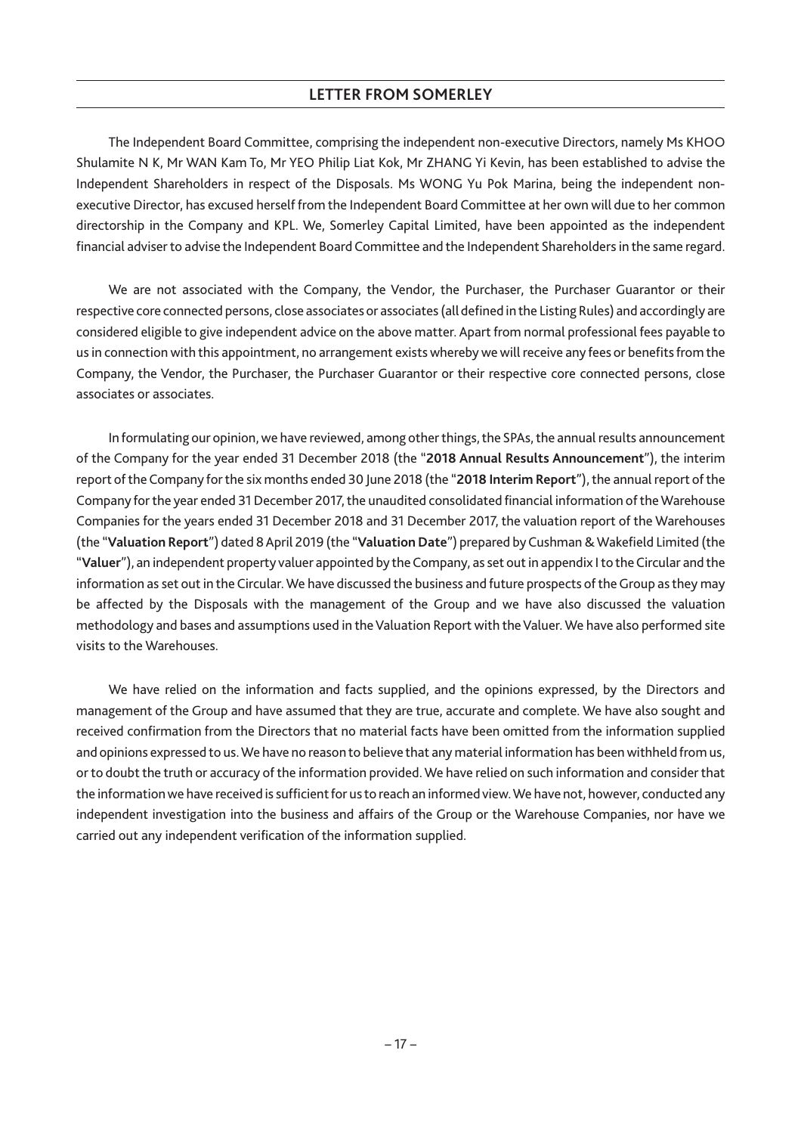The Independent Board Committee, comprising the independent non-executive Directors, namely Ms KHOO Shulamite N K, Mr WAN Kam To, Mr YEO Philip Liat Kok, Mr ZHANG Yi Kevin, has been established to advise the Independent Shareholders in respect of the Disposals. Ms WONG Yu Pok Marina, being the independent nonexecutive Director, has excused herself from the Independent Board Committee at her own will due to her common directorship in the Company and KPL. We, Somerley Capital Limited, have been appointed as the independent financial adviser to advise the Independent Board Committee and the Independent Shareholders in the same regard.

We are not associated with the Company, the Vendor, the Purchaser, the Purchaser Guarantor or their respective core connected persons, close associates or associates (all defined in the Listing Rules) and accordingly are considered eligible to give independent advice on the above matter. Apart from normal professional fees payable to us in connection with this appointment, no arrangement exists whereby we will receive any fees or benefits from the Company, the Vendor, the Purchaser, the Purchaser Guarantor or their respective core connected persons, close associates or associates.

In formulating our opinion, we have reviewed, among other things, the SPAs, the annual results announcement of the Company for the year ended 31 December 2018 (the "**2018 Annual Results Announcement**"), the interim report of the Company for the six months ended 30 June 2018 (the "**2018 Interim Report**"), the annual report of the Company for the year ended 31 December 2017, the unaudited consolidated financial information of theWarehouse Companies for the years ended 31 December 2018 and 31 December 2017, the valuation report of the Warehouses (the "**Valuation Report**") dated 8 April 2019 (the "**Valuation Date**") prepared by Cushman &Wakefield Limited (the "**Valuer**"), an independent property valuer appointed by the Company, as set out in appendix I to the Circular and the information as set out in the Circular. We have discussed the business and future prospects of the Group as they may be affected by the Disposals with the management of the Group and we have also discussed the valuation methodology and bases and assumptions used in the Valuation Report with the Valuer. We have also performed site visits to the Warehouses.

We have relied on the information and facts supplied, and the opinions expressed, by the Directors and management of the Group and have assumed that they are true, accurate and complete. We have also sought and received confirmation from the Directors that no material facts have been omitted from the information supplied and opinions expressed to us.We have no reason to believe that any material information has been withheld from us, or to doubt the truth or accuracy of the information provided.We have relied on such information and consider that the information we have received is sufficient for us to reach an informed view.We have not, however, conducted any independent investigation into the business and affairs of the Group or the Warehouse Companies, nor have we carried out any independent verification of the information supplied.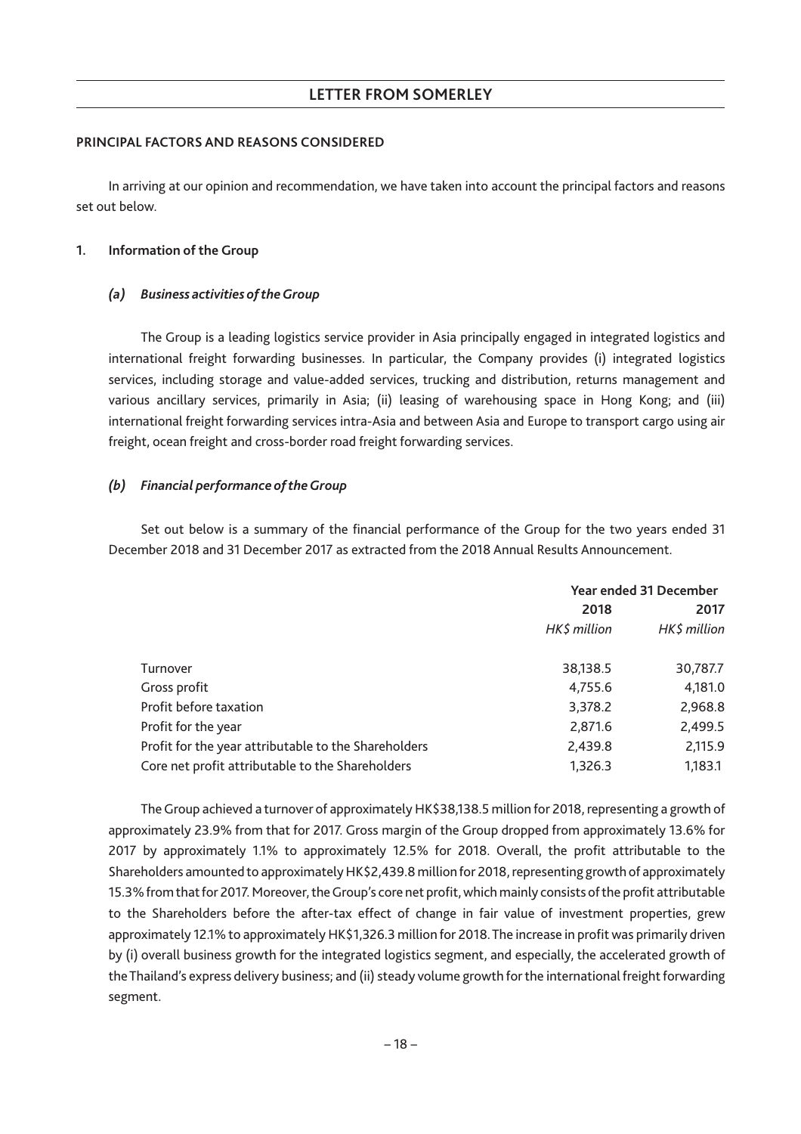## **PRINCIPAL FACTORS AND REASONS CONSIDERED**

In arriving at our opinion and recommendation, we have taken into account the principal factors and reasons set out below.

## **1. Information of the Group**

## *(a) Business activities of theGroup*

The Group is a leading logistics service provider in Asia principally engaged in integrated logistics and international freight forwarding businesses. In particular, the Company provides (i) integrated logistics services, including storage and value-added services, trucking and distribution, returns management and various ancillary services, primarily in Asia; (ii) leasing of warehousing space in Hong Kong; and (iii) international freight forwarding services intra-Asia and between Asia and Europe to transport cargo using air freight, ocean freight and cross-border road freight forwarding services.

# *(b) Financial performance of theGroup*

Set out below is a summary of the financial performance of the Group for the two years ended 31 December 2018 and 31 December 2017 as extracted from the 2018 Annual Results Announcement.

|                                                      | Year ended 31 December |              |
|------------------------------------------------------|------------------------|--------------|
|                                                      | 2018<br>2017           |              |
|                                                      | HK\$ million           | HK\$ million |
| Turnover                                             | 38,138.5               | 30,787.7     |
| Gross profit                                         | 4,755.6                | 4,181.0      |
| Profit before taxation                               | 3,378.2                | 2,968.8      |
| Profit for the year                                  | 2,871.6                | 2,499.5      |
| Profit for the year attributable to the Shareholders | 2,439.8                | 2,115.9      |
| Core net profit attributable to the Shareholders     | 1,326.3                | 1,183.1      |

The Group achieved a turnover of approximately HK\$38,138.5 million for 2018, representing a growth of approximately 23.9% from that for 2017. Gross margin of the Group dropped from approximately 13.6% for 2017 by approximately 1.1% to approximately 12.5% for 2018. Overall, the profit attributable to the Shareholders amounted to approximately HK\$2,439.8 million for 2018, representing growth of approximately 15.3% from that for 2017. Moreover, theGroup's core net profit, which mainly consists of the profit attributable to the Shareholders before the after-tax effect of change in fair value of investment properties, grew approximately 12.1% to approximately HK\$1,326.3 million for 2018. The increase in profit was primarily driven by (i) overall business growth for the integrated logistics segment, and especially, the accelerated growth of the Thailand's express delivery business; and (ii) steady volume growth for the international freight forwarding segment.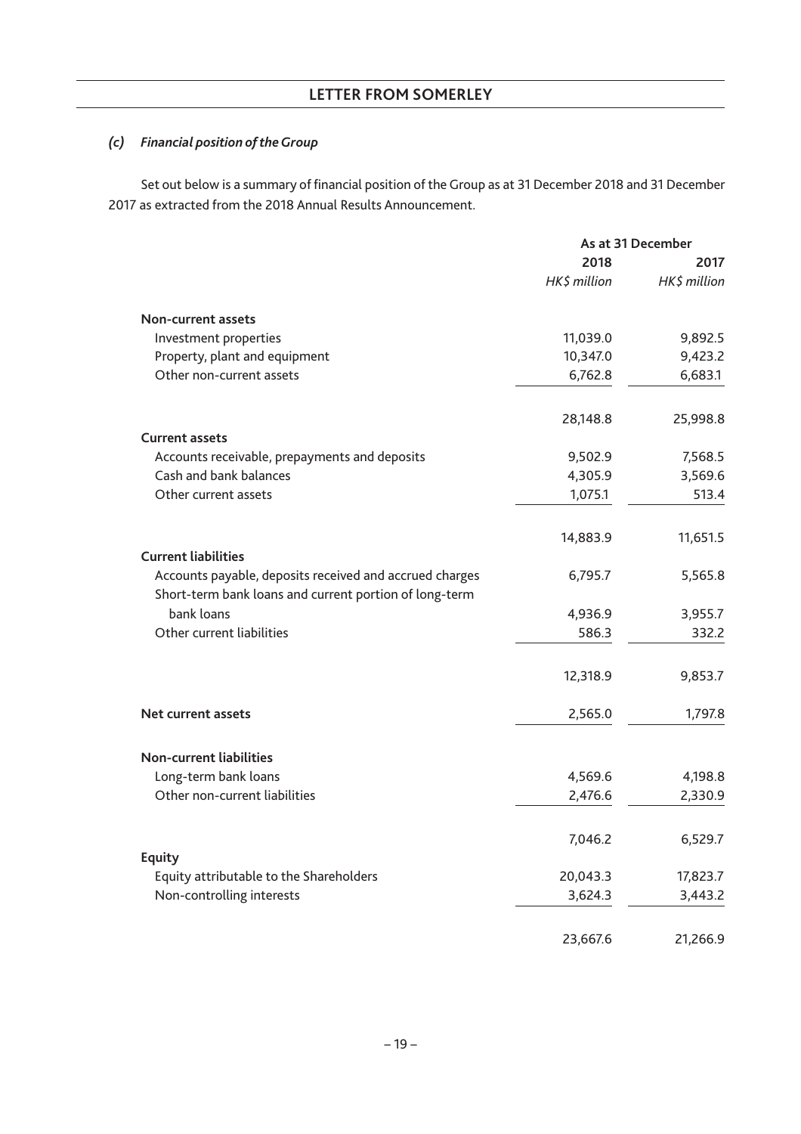# *(c) Financial position of theGroup*

Set out below is a summary of financial position of the Group as at 31 December 2018 and 31 December 2017 as extracted from the 2018 Annual Results Announcement.

|                                                                                                                   | As at 31 December |              |
|-------------------------------------------------------------------------------------------------------------------|-------------------|--------------|
|                                                                                                                   | 2018              | 2017         |
|                                                                                                                   | HK\$ million      | HK\$ million |
| Non-current assets                                                                                                |                   |              |
| Investment properties                                                                                             | 11,039.0          | 9,892.5      |
| Property, plant and equipment                                                                                     | 10,347.0          | 9,423.2      |
| Other non-current assets                                                                                          | 6,762.8           | 6,683.1      |
|                                                                                                                   | 28,148.8          | 25,998.8     |
| <b>Current assets</b>                                                                                             |                   |              |
| Accounts receivable, prepayments and deposits                                                                     | 9,502.9           | 7,568.5      |
| Cash and bank balances                                                                                            | 4,305.9           | 3,569.6      |
| Other current assets                                                                                              | 1,075.1           | 513.4        |
|                                                                                                                   | 14,883.9          | 11,651.5     |
| <b>Current liabilities</b>                                                                                        |                   |              |
| Accounts payable, deposits received and accrued charges<br>Short-term bank loans and current portion of long-term | 6,795.7           | 5,565.8      |
| bank loans                                                                                                        | 4,936.9           | 3,955.7      |
| Other current liabilities                                                                                         | 586.3             | 332.2        |
|                                                                                                                   | 12,318.9          | 9,853.7      |
| Net current assets                                                                                                | 2,565.0           | 1,797.8      |
| <b>Non-current liabilities</b>                                                                                    |                   |              |
| Long-term bank loans                                                                                              | 4,569.6           | 4,198.8      |
| Other non-current liabilities                                                                                     | 2,476.6           | 2,330.9      |
|                                                                                                                   |                   |              |
|                                                                                                                   | 7,046.2           | 6,529.7      |
| <b>Equity</b><br>Equity attributable to the Shareholders                                                          | 20,043.3          | 17,823.7     |
| Non-controlling interests                                                                                         | 3,624.3           | 3,443.2      |
|                                                                                                                   | 23,667.6          | 21,266.9     |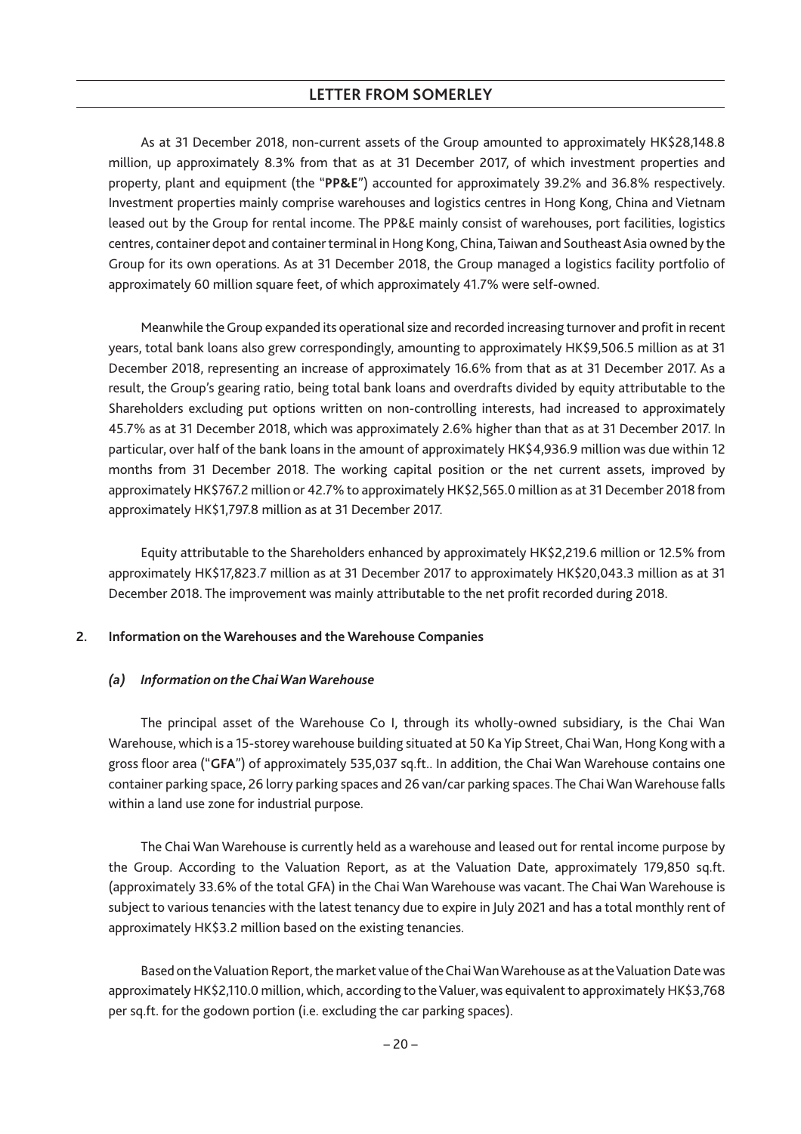As at 31 December 2018, non-current assets of the Group amounted to approximately HK\$28,148.8 million, up approximately 8.3% from that as at 31 December 2017, of which investment properties and property, plant and equipment (the "**PP&E**") accounted for approximately 39.2% and 36.8% respectively. Investment properties mainly comprise warehouses and logistics centres in Hong Kong, China and Vietnam leased out by the Group for rental income. The PP&E mainly consist of warehouses, port facilities, logistics centres, container depot and container terminal in Hong Kong, China, Taiwan and Southeast Asia owned by the Group for its own operations. As at 31 December 2018, the Group managed a logistics facility portfolio of approximately 60 million square feet, of which approximately 41.7% were self-owned.

Meanwhile the Group expanded its operational size and recorded increasing turnover and profit in recent years, total bank loans also grew correspondingly, amounting to approximately HK\$9,506.5 million as at 31 December 2018, representing an increase of approximately 16.6% from that as at 31 December 2017. As a result, the Group's gearing ratio, being total bank loans and overdrafts divided by equity attributable to the Shareholders excluding put options written on non-controlling interests, had increased to approximately 45.7% as at 31 December 2018, which was approximately 2.6% higher than that as at 31 December 2017. In particular, over half of the bank loans in the amount of approximately HK\$4,936.9 million was due within 12 months from 31 December 2018. The working capital position or the net current assets, improved by approximately HK\$767.2 million or 42.7% to approximately HK\$2,565.0 million as at 31 December 2018 from approximately HK\$1,797.8 million as at 31 December 2017.

Equity attributable to the Shareholders enhanced by approximately HK\$2,219.6 million or 12.5% from approximately HK\$17,823.7 million as at 31 December 2017 to approximately HK\$20,043.3 million as at 31 December 2018. The improvement was mainly attributable to the net profit recorded during 2018.

# **2. Information on the Warehouses and the Warehouse Companies**

#### *(a) Information on the ChaiWanWarehouse*

The principal asset of the Warehouse Co I, through its wholly-owned subsidiary, is the Chai Wan Warehouse, which is a 15-storey warehouse building situated at 50 Ka Yip Street, ChaiWan, Hong Kong with a gross floor area ("**GFA**") of approximately 535,037 sq.ft.. In addition, the Chai Wan Warehouse contains one container parking space, 26 lorry parking spaces and 26 van/car parking spaces. The Chai Wan Warehouse falls within a land use zone for industrial purpose.

The Chai Wan Warehouse is currently held as a warehouse and leased out for rental income purpose by the Group. According to the Valuation Report, as at the Valuation Date, approximately 179,850 sq.ft. (approximately 33.6% of the total GFA) in the Chai Wan Warehouse was vacant. The Chai Wan Warehouse is subject to various tenancies with the latest tenancy due to expire in July 2021 and has a total monthly rent of approximately HK\$3.2 million based on the existing tenancies.

Based on the Valuation Report, the market value of the Chai Wan Warehouse as at the Valuation Date was approximately HK\$2,110.0 million, which, according to the Valuer, was equivalent to approximately HK\$3,768 per sq.ft. for the godown portion (i.e. excluding the car parking spaces).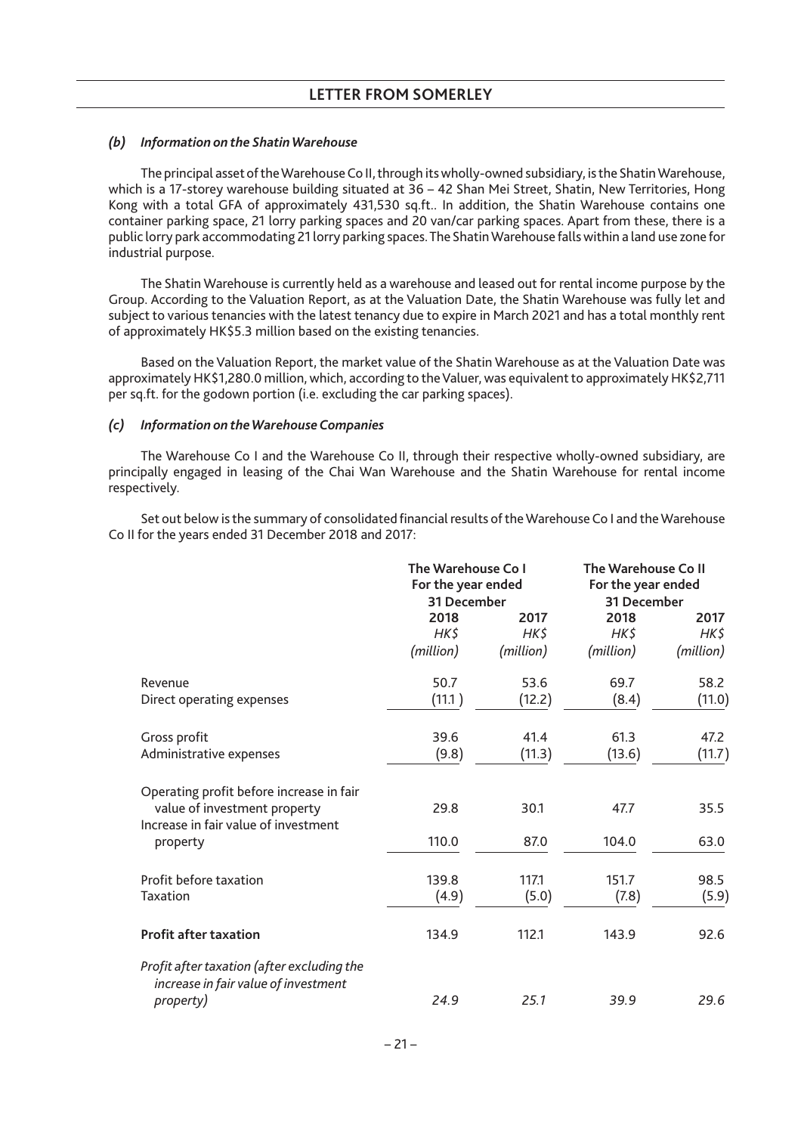# *(b) Information on the ShatinWarehouse*

The principal asset of theWarehouse Co II, through its wholly-owned subsidiary, is the ShatinWarehouse, which is a 17-storey warehouse building situated at 36 – 42 Shan Mei Street, Shatin, New Territories, Hong Kong with a total GFA of approximately 431,530 sq.ft.. In addition, the Shatin Warehouse contains one container parking space, 21 lorry parking spaces and 20 van/car parking spaces. Apart from these, there is a public lorry park accommodating 21 lorry parking spaces. The ShatinWarehouse falls within a land use zone for industrial purpose.

The Shatin Warehouse is currently held as a warehouse and leased out for rental income purpose by the Group. According to the Valuation Report, as at the Valuation Date, the Shatin Warehouse was fully let and subject to various tenancies with the latest tenancy due to expire in March 2021 and has a total monthly rent of approximately HK\$5.3 million based on the existing tenancies.

Based on the Valuation Report, the market value of the Shatin Warehouse as at the Valuation Date was approximately HK\$1,280.0 million, which, according to the Valuer, was equivalent to approximately HK\$2,711 per sq.ft. for the godown portion (i.e. excluding the car parking spaces).

#### *(c) Information on theWarehouse Companies*

The Warehouse Co I and the Warehouse Co II, through their respective wholly-owned subsidiary, are principally engaged in leasing of the Chai Wan Warehouse and the Shatin Warehouse for rental income respectively.

Set out below is the summary of consolidated financial results of theWarehouse Co I and theWarehouse Co II for the years ended 31 December 2018 and 2017:

|                                                                                                                  | The Warehouse Co I<br>For the year ended<br>31 December |                | The Warehouse Co II<br>For the year ended<br>31 December |                |
|------------------------------------------------------------------------------------------------------------------|---------------------------------------------------------|----------------|----------------------------------------------------------|----------------|
|                                                                                                                  | 2018<br>HK\$                                            | 2017<br>HK\$   | 2018<br>HK\$                                             | 2017<br>HK\$   |
|                                                                                                                  | (million)                                               | (million)      | (million)                                                | (million)      |
| Revenue<br>Direct operating expenses                                                                             | 50.7<br>(11.1)                                          | 53.6<br>(12.2) | 69.7<br>(8.4)                                            | 58.2<br>(11.0) |
| Gross profit<br>Administrative expenses                                                                          | 39.6<br>(9.8)                                           | 41.4<br>(11.3) | 61.3<br>(13.6)                                           | 47.2<br>(11.7) |
| Operating profit before increase in fair<br>value of investment property<br>Increase in fair value of investment | 29.8                                                    | 30.1           | 47.7                                                     | 35.5           |
| property                                                                                                         | 110.0                                                   | 87.0           | 104.0                                                    | 63.0           |
| Profit before taxation<br><b>Taxation</b>                                                                        | 139.8<br>(4.9)                                          | 117.1<br>(5.0) | 151.7<br>(7.8)                                           | 98.5<br>(5.9)  |
| <b>Profit after taxation</b>                                                                                     | 134.9                                                   | 112.1          | 143.9                                                    | 92.6           |
| Profit after taxation (after excluding the<br>increase in fair value of investment<br>property)                  | 24.9                                                    | 25.1           | 39.9                                                     | 29.6           |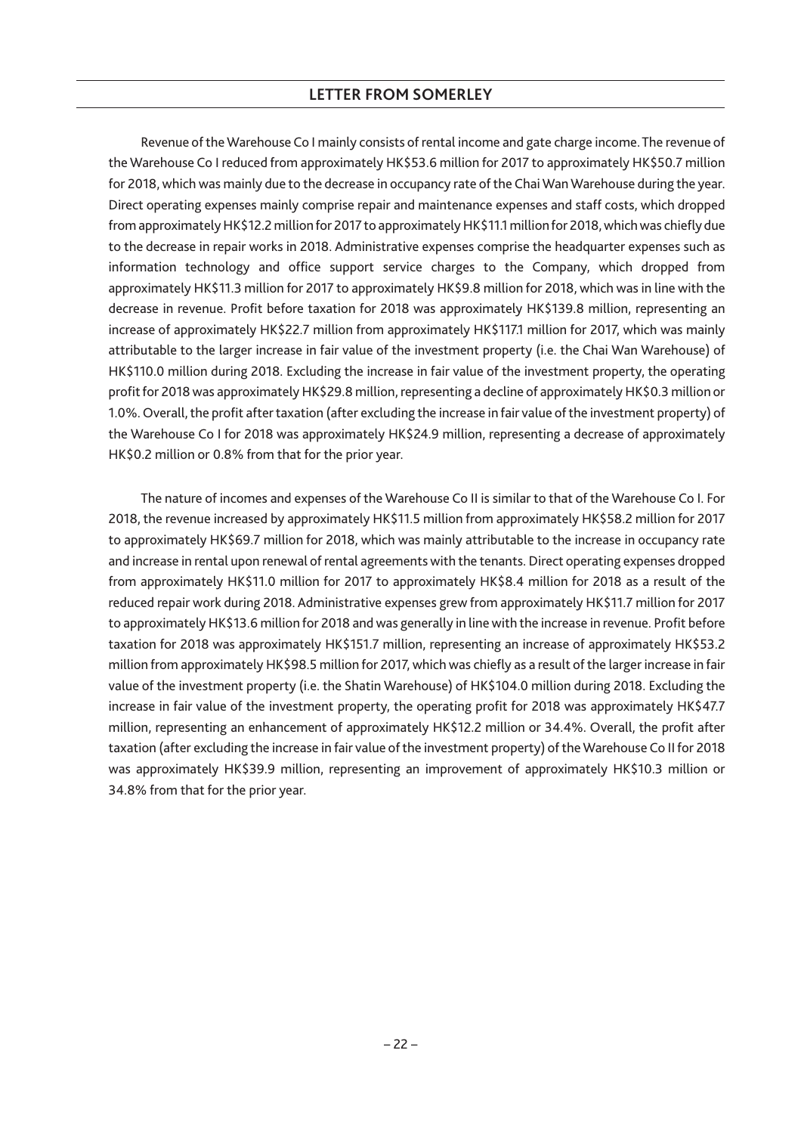Revenue of the Warehouse Co I mainly consists of rental income and gate charge income. The revenue of the Warehouse Co I reduced from approximately HK\$53.6 million for 2017 to approximately HK\$50.7 million for 2018, which was mainly due to the decrease in occupancy rate of the ChaiWanWarehouse during the year. Direct operating expenses mainly comprise repair and maintenance expenses and staff costs, which dropped from approximately HK\$12.2 million for 2017 to approximately HK\$11.1 million for 2018, which was chiefly due to the decrease in repair works in 2018. Administrative expenses comprise the headquarter expenses such as information technology and office support service charges to the Company, which dropped from approximately HK\$11.3 million for 2017 to approximately HK\$9.8 million for 2018, which was in line with the decrease in revenue. Profit before taxation for 2018 was approximately HK\$139.8 million, representing an increase of approximately HK\$22.7 million from approximately HK\$117.1 million for 2017, which was mainly attributable to the larger increase in fair value of the investment property (i.e. the Chai Wan Warehouse) of HK\$110.0 million during 2018. Excluding the increase in fair value of the investment property, the operating profit for 2018 was approximately HK\$29.8 million, representing a decline of approximately HK\$0.3 million or 1.0%. Overall, the profit after taxation (after excluding the increase in fair value of the investment property) of the Warehouse Co I for 2018 was approximately HK\$24.9 million, representing a decrease of approximately HK\$0.2 million or 0.8% from that for the prior year.

The nature of incomes and expenses of the Warehouse Co II is similar to that of the Warehouse Co I. For 2018, the revenue increased by approximately HK\$11.5 million from approximately HK\$58.2 million for 2017 to approximately HK\$69.7 million for 2018, which was mainly attributable to the increase in occupancy rate and increase in rental upon renewal of rental agreements with the tenants. Direct operating expenses dropped from approximately HK\$11.0 million for 2017 to approximately HK\$8.4 million for 2018 as a result of the reduced repair work during 2018. Administrative expenses grew from approximately HK\$11.7 million for 2017 to approximately HK\$13.6 million for 2018 and was generally in line with the increase in revenue. Profit before taxation for 2018 was approximately HK\$151.7 million, representing an increase of approximately HK\$53.2 million from approximately HK\$98.5 million for 2017, which was chiefly as a result of the larger increase in fair value of the investment property (i.e. the Shatin Warehouse) of HK\$104.0 million during 2018. Excluding the increase in fair value of the investment property, the operating profit for 2018 was approximately HK\$47.7 million, representing an enhancement of approximately HK\$12.2 million or 34.4%. Overall, the profit after taxation (after excluding the increase in fair value of the investment property) of theWarehouse Co II for 2018 was approximately HK\$39.9 million, representing an improvement of approximately HK\$10.3 million or 34.8% from that for the prior year.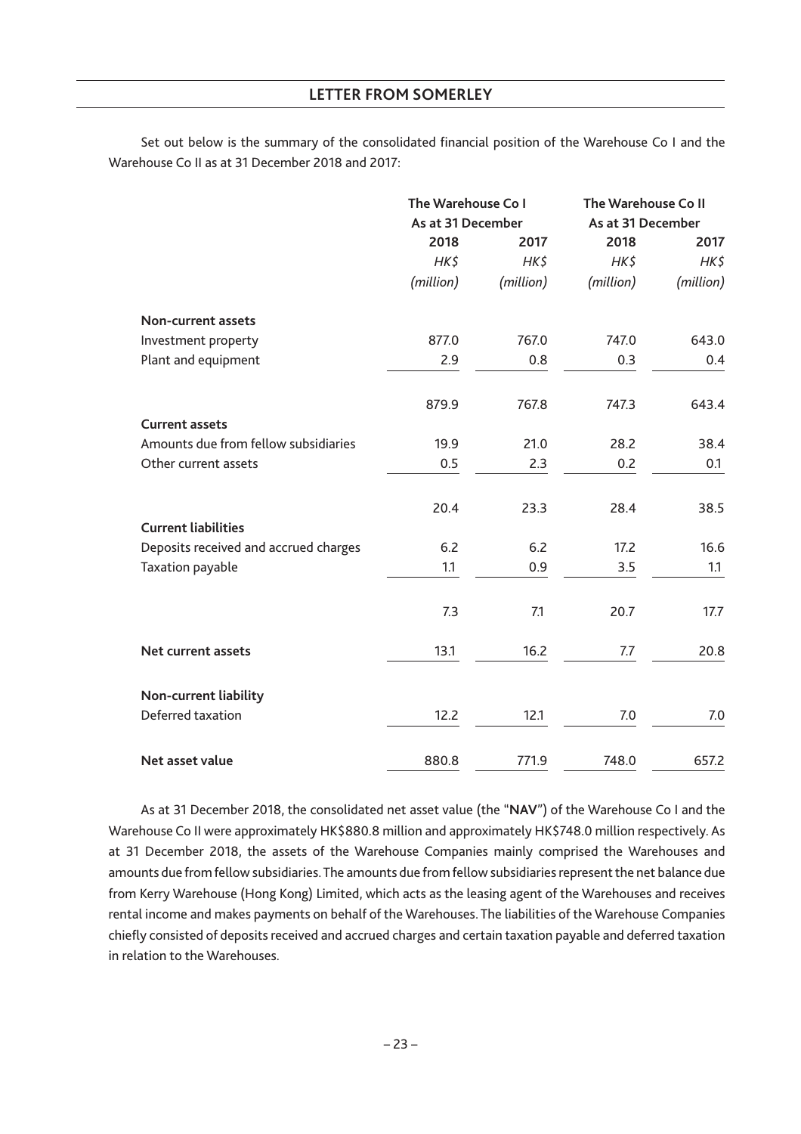Set out below is the summary of the consolidated financial position of the Warehouse Co I and the Warehouse Co II as at 31 December 2018 and 2017:

|                                       | The Warehouse Co I<br>As at 31 December |           | The Warehouse Co II<br>As at 31 December |           |
|---------------------------------------|-----------------------------------------|-----------|------------------------------------------|-----------|
|                                       |                                         |           |                                          |           |
|                                       | 2018                                    | 2017      | 2018                                     | 2017      |
|                                       | HK\$                                    | $HK\zeta$ | HK\$                                     | HK\$      |
|                                       | (million)                               | (million) | (million)                                | (million) |
| Non-current assets                    |                                         |           |                                          |           |
| Investment property                   | 877.0                                   | 767.0     | 747.0                                    | 643.0     |
| Plant and equipment                   | 2.9                                     | 0.8       | 0.3                                      | 0.4       |
|                                       | 879.9                                   | 767.8     | 747.3                                    | 643.4     |
| <b>Current assets</b>                 |                                         |           |                                          |           |
| Amounts due from fellow subsidiaries  | 19.9                                    | 21.0      | 28.2                                     | 38.4      |
| Other current assets                  | 0.5                                     | 2.3       | 0.2                                      | 0.1       |
| <b>Current liabilities</b>            | 20.4                                    | 23.3      | 28.4                                     | 38.5      |
|                                       |                                         |           |                                          |           |
| Deposits received and accrued charges | 6.2                                     | 6.2       | 17.2                                     | 16.6      |
| Taxation payable                      | 1.1                                     | 0.9       | 3.5                                      | 1.1       |
|                                       | 7.3                                     | 7.1       | 20.7                                     | 17.7      |
| Net current assets                    | 13.1                                    | 16.2      | 7.7                                      | 20.8      |
| Non-current liability                 |                                         |           |                                          |           |
| Deferred taxation                     | 12.2                                    | 12.1      | 7.0                                      | 7.0       |
| Net asset value                       | 880.8                                   | 771.9     | 748.0                                    | 657.2     |

As at 31 December 2018, the consolidated net asset value (the "**NAV**") of the Warehouse Co I and the Warehouse Co II were approximately HK\$880.8 million and approximately HK\$748.0 million respectively. As at 31 December 2018, the assets of the Warehouse Companies mainly comprised the Warehouses and amounts due from fellow subsidiaries. The amounts due from fellow subsidiaries represent the net balance due from Kerry Warehouse (Hong Kong) Limited, which acts as the leasing agent of the Warehouses and receives rental income and makes payments on behalf of the Warehouses. The liabilities of the Warehouse Companies chiefly consisted of deposits received and accrued charges and certain taxation payable and deferred taxation in relation to the Warehouses.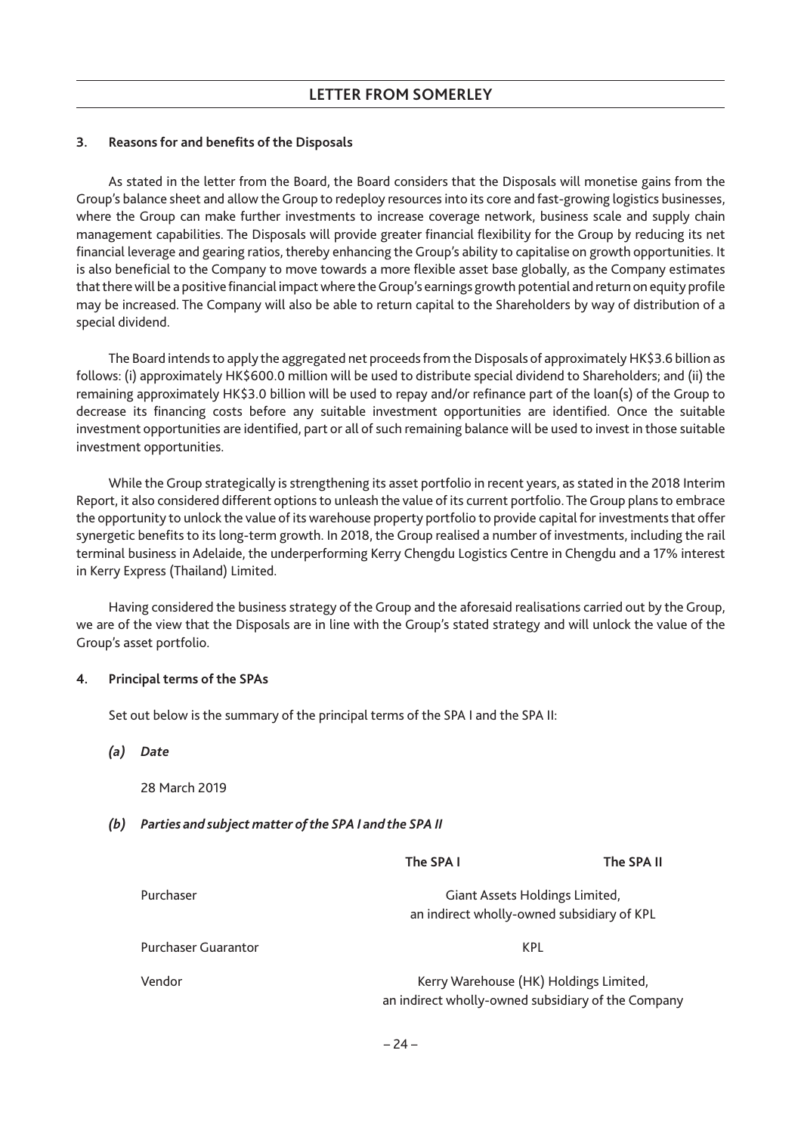# **3. Reasons for and benefits of the Disposals**

As stated in the letter from the Board, the Board considers that the Disposals will monetise gains from the Group's balance sheet and allow the Group to redeploy resources into its core and fast-growing logistics businesses, where the Group can make further investments to increase coverage network, business scale and supply chain management capabilities. The Disposals will provide greater financial flexibility for the Group by reducing its net financial leverage and gearing ratios, thereby enhancing the Group's ability to capitalise on growth opportunities. It is also beneficial to the Company to move towards a more flexible asset base globally, as the Company estimates that there will be a positive financial impact where theGroup's earnings growth potential and return on equity profile may be increased. The Company will also be able to return capital to the Shareholders by way of distribution of a special dividend.

The Board intends to apply the aggregated net proceeds from the Disposals of approximately HK\$3.6 billion as follows: (i) approximately HK\$600.0 million will be used to distribute special dividend to Shareholders; and (ii) the remaining approximately HK\$3.0 billion will be used to repay and/or refinance part of the loan(s) of the Group to decrease its financing costs before any suitable investment opportunities are identified. Once the suitable investment opportunities are identified, part or all of such remaining balance will be used to invest in those suitable investment opportunities.

While the Group strategically is strengthening its asset portfolio in recent years, as stated in the 2018 Interim Report, it also considered different options to unleash the value of its current portfolio. The Group plans to embrace the opportunity to unlock the value of its warehouse property portfolio to provide capital for investments that offer synergetic benefits to its long-term growth. In 2018, the Group realised a number of investments, including the rail terminal business in Adelaide, the underperforming Kerry Chengdu Logistics Centre in Chengdu and a 17% interest in Kerry Express (Thailand) Limited.

Having considered the business strategy of the Group and the aforesaid realisations carried out by the Group, we are of the view that the Disposals are in line with the Group's stated strategy and will unlock the value of the Group's asset portfolio.

# **4. Principal terms of the SPAs**

Set out below is the summary of the principal terms of the SPA I and the SPA II:

*(a) Date*

28 March 2019

*(b) Parties and subject matter of the SPA I and the SPA II*

| Purchaser           | Giant Assets Holdings Limited,<br>an indirect wholly-owned subsidiary of KPL                 |  |
|---------------------|----------------------------------------------------------------------------------------------|--|
| Purchaser Guarantor | KPL                                                                                          |  |
| Vendor              | Kerry Warehouse (HK) Holdings Limited,<br>an indirect wholly-owned subsidiary of the Company |  |

**The SPA I The SPA II**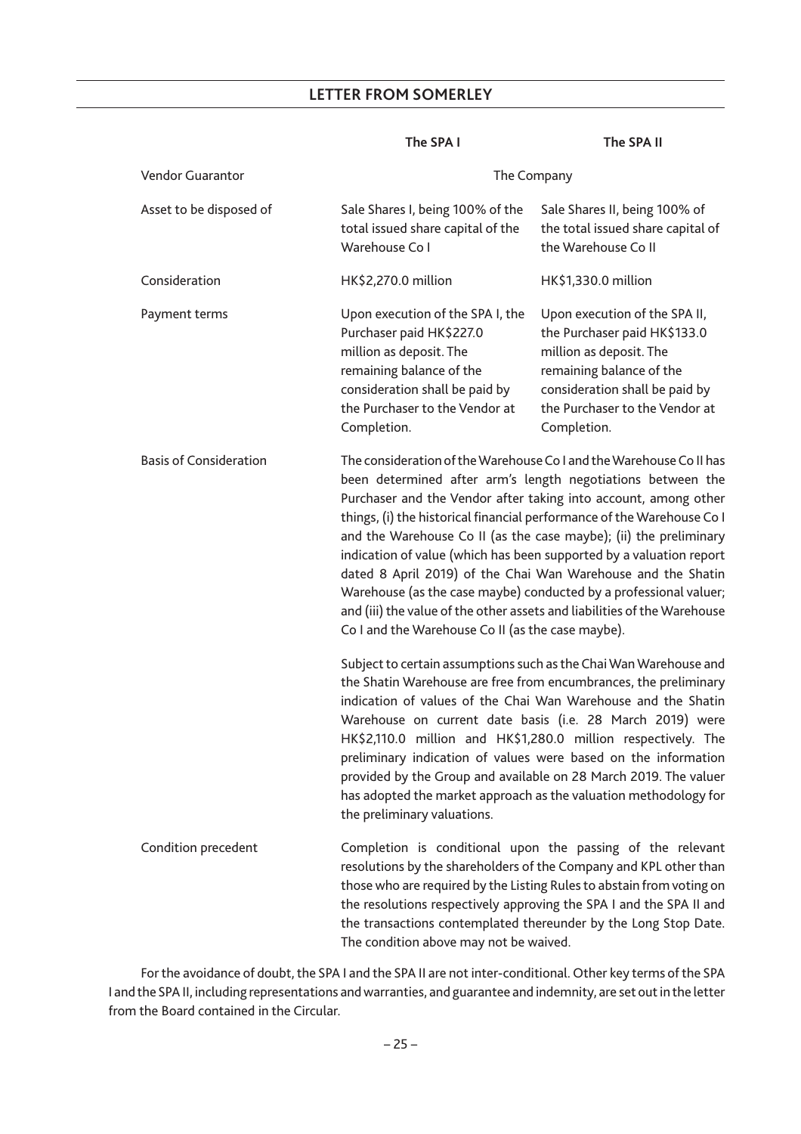### The SPA I The SPA II

| <b>Vendor Guarantor</b>       | The Company                                                                                                                                                                                                                                                                                                                                                                                                                                                                                                                                                                                                                                                                                       |                                                                                                                                                                                                         |
|-------------------------------|---------------------------------------------------------------------------------------------------------------------------------------------------------------------------------------------------------------------------------------------------------------------------------------------------------------------------------------------------------------------------------------------------------------------------------------------------------------------------------------------------------------------------------------------------------------------------------------------------------------------------------------------------------------------------------------------------|---------------------------------------------------------------------------------------------------------------------------------------------------------------------------------------------------------|
| Asset to be disposed of       | Sale Shares I, being 100% of the<br>total issued share capital of the<br>Warehouse Co I                                                                                                                                                                                                                                                                                                                                                                                                                                                                                                                                                                                                           | Sale Shares II, being 100% of<br>the total issued share capital of<br>the Warehouse Co II                                                                                                               |
| Consideration                 | HK\$2,270.0 million                                                                                                                                                                                                                                                                                                                                                                                                                                                                                                                                                                                                                                                                               | HK\$1,330.0 million                                                                                                                                                                                     |
| Payment terms                 | Upon execution of the SPA I, the<br>Purchaser paid HK\$227.0<br>million as deposit. The<br>remaining balance of the<br>consideration shall be paid by<br>the Purchaser to the Vendor at<br>Completion.                                                                                                                                                                                                                                                                                                                                                                                                                                                                                            | Upon execution of the SPA II,<br>the Purchaser paid HK\$133.0<br>million as deposit. The<br>remaining balance of the<br>consideration shall be paid by<br>the Purchaser to the Vendor at<br>Completion. |
| <b>Basis of Consideration</b> | The consideration of the Warehouse Co I and the Warehouse Co II has<br>been determined after arm's length negotiations between the<br>Purchaser and the Vendor after taking into account, among other<br>things, (i) the historical financial performance of the Warehouse Co I<br>and the Warehouse Co II (as the case maybe); (ii) the preliminary<br>indication of value (which has been supported by a valuation report<br>dated 8 April 2019) of the Chai Wan Warehouse and the Shatin<br>Warehouse (as the case maybe) conducted by a professional valuer;<br>and (iii) the value of the other assets and liabilities of the Warehouse<br>Co I and the Warehouse Co II (as the case maybe). |                                                                                                                                                                                                         |
|                               | Subject to certain assumptions such as the Chai Wan Warehouse and<br>the Shatin Warehouse are free from encumbrances, the preliminary<br>indication of values of the Chai Wan Warehouse and the Shatin<br>Warehouse on current date basis (i.e. 28 March 2019) were<br>HK\$2,110.0 million and HK\$1,280.0 million respectively. The<br>preliminary indication of values were based on the information<br>provided by the Group and available on 28 March 2019. The valuer<br>has adopted the market approach as the valuation methodology for<br>the preliminary valuations.                                                                                                                     |                                                                                                                                                                                                         |
| Condition precedent           | Completion is conditional upon the passing of the relevant<br>resolutions by the shareholders of the Company and KPL other than<br>those who are required by the Listing Rules to abstain from voting on<br>the resolutions respectively approving the SPA I and the SPA II and<br>the transactions contemplated thereunder by the Long Stop Date.<br>The condition above may not be waived.                                                                                                                                                                                                                                                                                                      |                                                                                                                                                                                                         |

For the avoidance of doubt, the SPA I and the SPA II are not inter-conditional. Other key terms of the SPA I and the SPA II, including representations and warranties, and guarantee and indemnity, are set out in the letter from the Board contained in the Circular.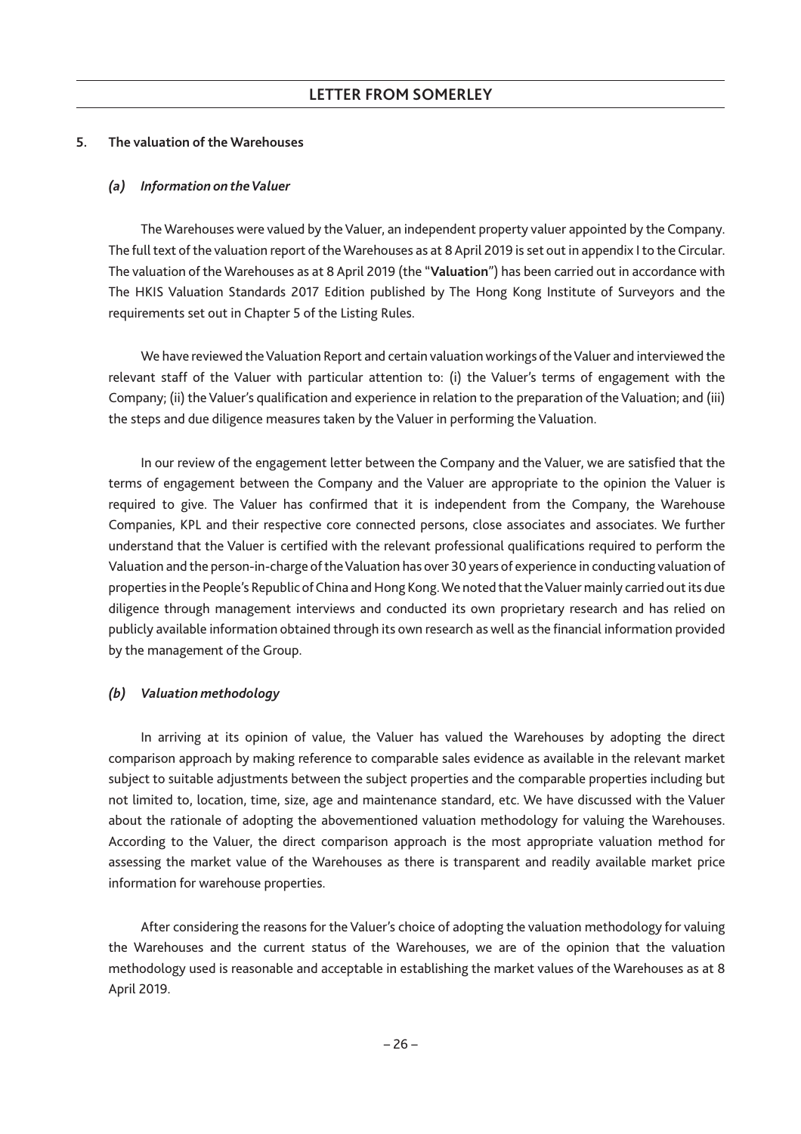# **5. The valuation of the Warehouses**

## *(a) Information on theValuer*

The Warehouses were valued by the Valuer, an independent property valuer appointed by the Company. The full text of the valuation report of the Warehouses as at 8 April 2019 is set out in appendix I to the Circular. The valuation of the Warehouses as at 8 April 2019 (the "**Valuation**") has been carried out in accordance with The HKIS Valuation Standards 2017 Edition published by The Hong Kong Institute of Surveyors and the requirements set out in Chapter 5 of the Listing Rules.

We have reviewed the Valuation Report and certain valuation workings of the Valuer and interviewed the relevant staff of the Valuer with particular attention to: (i) the Valuer's terms of engagement with the Company; (ii) the Valuer's qualification and experience in relation to the preparation of the Valuation; and (iii) the steps and due diligence measures taken by the Valuer in performing the Valuation.

In our review of the engagement letter between the Company and the Valuer, we are satisfied that the terms of engagement between the Company and the Valuer are appropriate to the opinion the Valuer is required to give. The Valuer has confirmed that it is independent from the Company, the Warehouse Companies, KPL and their respective core connected persons, close associates and associates. We further understand that the Valuer is certified with the relevant professional qualifications required to perform the Valuation and the person-in-charge of theValuation has over 30 years of experience in conducting valuation of properties in the People's Republic of China and Hong Kong. We noted that the Valuer mainly carried out its due diligence through management interviews and conducted its own proprietary research and has relied on publicly available information obtained through its own research as well as the financial information provided by the management of the Group.

# *(b) Valuation methodology*

In arriving at its opinion of value, the Valuer has valued the Warehouses by adopting the direct comparison approach by making reference to comparable sales evidence as available in the relevant market subject to suitable adjustments between the subject properties and the comparable properties including but not limited to, location, time, size, age and maintenance standard, etc. We have discussed with the Valuer about the rationale of adopting the abovementioned valuation methodology for valuing the Warehouses. According to the Valuer, the direct comparison approach is the most appropriate valuation method for assessing the market value of the Warehouses as there is transparent and readily available market price information for warehouse properties.

After considering the reasons for the Valuer's choice of adopting the valuation methodology for valuing the Warehouses and the current status of the Warehouses, we are of the opinion that the valuation methodology used is reasonable and acceptable in establishing the market values of the Warehouses as at 8 April 2019.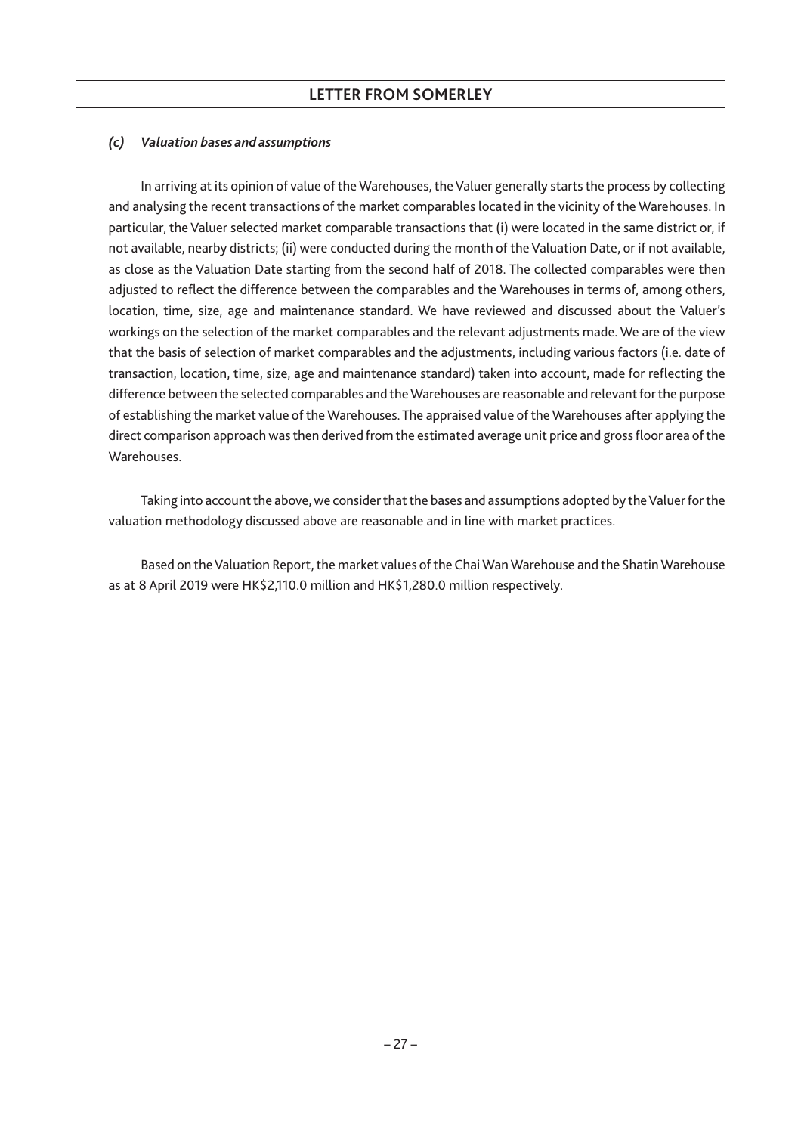# *(c) Valuation bases and assumptions*

In arriving at its opinion of value of the Warehouses, the Valuer generally starts the process by collecting and analysing the recent transactions of the market comparables located in the vicinity of the Warehouses. In particular, the Valuer selected market comparable transactions that (i) were located in the same district or, if not available, nearby districts; (ii) were conducted during the month of the Valuation Date, or if not available, as close as the Valuation Date starting from the second half of 2018. The collected comparables were then adjusted to reflect the difference between the comparables and the Warehouses in terms of, among others, location, time, size, age and maintenance standard. We have reviewed and discussed about the Valuer's workings on the selection of the market comparables and the relevant adjustments made. We are of the view that the basis of selection of market comparables and the adjustments, including various factors (i.e. date of transaction, location, time, size, age and maintenance standard) taken into account, made for reflecting the difference between the selected comparables and theWarehouses are reasonable and relevant for the purpose of establishing the market value of the Warehouses. The appraised value of the Warehouses after applying the direct comparison approach was then derived from the estimated average unit price and gross floor area of the **Warehouses** 

Taking into account the above, we consider that the bases and assumptions adopted by the Valuer for the valuation methodology discussed above are reasonable and in line with market practices.

Based on the Valuation Report, the market values of the Chai Wan Warehouse and the Shatin Warehouse as at 8 April 2019 were HK\$2,110.0 million and HK\$1,280.0 million respectively.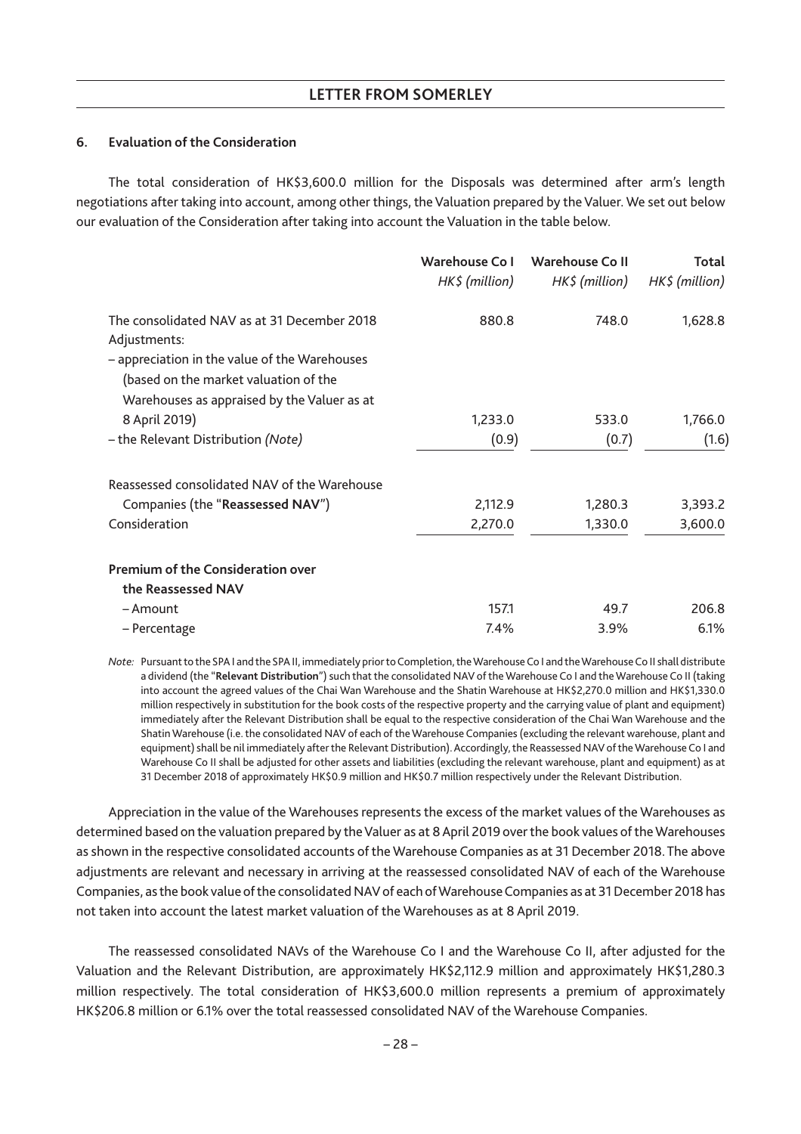# **6. Evaluation of the Consideration**

The total consideration of HK\$3,600.0 million for the Disposals was determined after arm's length negotiations after taking into account, among other things, the Valuation prepared by the Valuer. We set out below our evaluation of the Consideration after taking into account the Valuation in the table below.

|                                                                                                                                                                                                      | Warehouse Co I<br>$HK$$ (million) | Warehouse Coll<br>$HK$ \$ (million) | Total<br>$HK$$ (million) |
|------------------------------------------------------------------------------------------------------------------------------------------------------------------------------------------------------|-----------------------------------|-------------------------------------|--------------------------|
| The consolidated NAV as at 31 December 2018<br>Adjustments:<br>- appreciation in the value of the Warehouses<br>(based on the market valuation of the<br>Warehouses as appraised by the Valuer as at | 880.8                             | 748.0                               | 1,628.8                  |
| 8 April 2019)                                                                                                                                                                                        | 1,233.0                           | 533.0                               | 1,766.0                  |
| - the Relevant Distribution (Note)                                                                                                                                                                   | (0.9)                             | (0.7)                               | (1.6)                    |
| Reassessed consolidated NAV of the Warehouse                                                                                                                                                         |                                   |                                     |                          |
| Companies (the "Reassessed NAV")                                                                                                                                                                     | 2,112.9                           | 1,280.3                             | 3,393.2                  |
| Consideration                                                                                                                                                                                        | 2,270.0                           | 1,330.0                             | 3,600.0                  |
| <b>Premium of the Consideration over</b><br>the Reassessed NAV                                                                                                                                       |                                   |                                     |                          |
| – Amount                                                                                                                                                                                             | 157.1                             | 49.7                                | 206.8                    |
| - Percentage                                                                                                                                                                                         | 7.4%                              | 3.9%                                | 6.1%                     |

*Note:* Pursuant to the SPA I and the SPA II, immediately prior to Completion, theWarehouse Co I and theWarehouse Co II shall distribute a dividend (the "**Relevant Distribution**") such that the consolidated NAV of the Warehouse Co I and the Warehouse Co II (taking into account the agreed values of the Chai Wan Warehouse and the Shatin Warehouse at HK\$2,270.0 million and HK\$1,330.0 million respectively in substitution for the book costs of the respective property and the carrying value of plant and equipment) immediately after the Relevant Distribution shall be equal to the respective consideration of the Chai Wan Warehouse and the Shatin Warehouse (i.e. the consolidated NAV of each of the Warehouse Companies (excluding the relevant warehouse, plant and equipment) shall be nil immediately after the Relevant Distribution). Accordingly, the Reassessed NAV of the Warehouse Co I and Warehouse Co II shall be adjusted for other assets and liabilities (excluding the relevant warehouse, plant and equipment) as at 31 December 2018 of approximately HK\$0.9 million and HK\$0.7 million respectively under the Relevant Distribution.

Appreciation in the value of the Warehouses represents the excess of the market values of the Warehouses as determined based on the valuation prepared by the Valuer as at 8 April 2019 over the book values of the Warehouses as shown in the respective consolidated accounts of the Warehouse Companies as at 31 December 2018. The above adjustments are relevant and necessary in arriving at the reassessed consolidated NAV of each of the Warehouse Companies, as the book value of the consolidated NAV of each ofWarehouse Companies as at 31 December 2018 has not taken into account the latest market valuation of the Warehouses as at 8 April 2019.

The reassessed consolidated NAVs of the Warehouse Co I and the Warehouse Co II, after adjusted for the Valuation and the Relevant Distribution, are approximately HK\$2,112.9 million and approximately HK\$1,280.3 million respectively. The total consideration of HK\$3,600.0 million represents a premium of approximately HK\$206.8 million or 6.1% over the total reassessed consolidated NAV of the Warehouse Companies.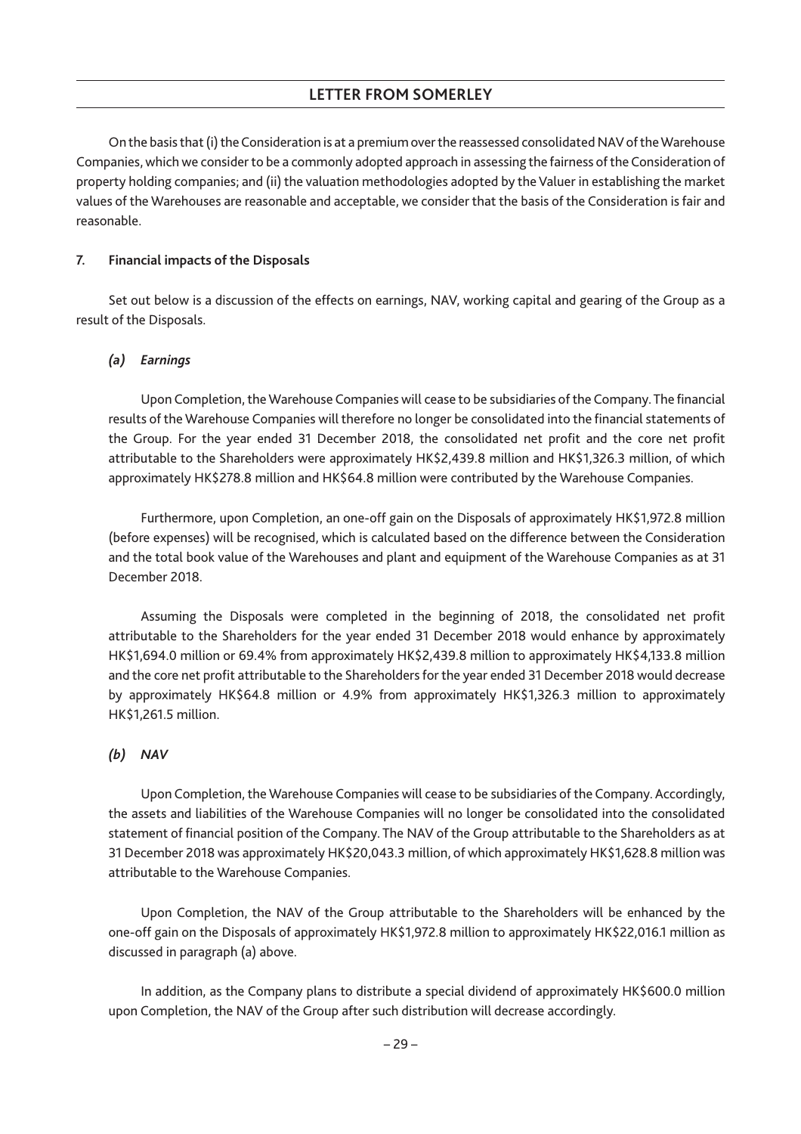On the basis that (i) the Consideration is at a premium over the reassessed consolidated NAV of theWarehouse Companies, which we consider to be a commonly adopted approach in assessing the fairness of the Consideration of property holding companies; and (ii) the valuation methodologies adopted by the Valuer in establishing the market values of the Warehouses are reasonable and acceptable, we consider that the basis of the Consideration is fair and reasonable.

### **7. Financial impacts of the Disposals**

Set out below is a discussion of the effects on earnings, NAV, working capital and gearing of the Group as a result of the Disposals.

### *(a) Earnings*

Upon Completion, theWarehouse Companies will cease to be subsidiaries of the Company. The financial results of the Warehouse Companies will therefore no longer be consolidated into the financial statements of the Group. For the year ended 31 December 2018, the consolidated net profit and the core net profit attributable to the Shareholders were approximately HK\$2,439.8 million and HK\$1,326.3 million, of which approximately HK\$278.8 million and HK\$64.8 million were contributed by the Warehouse Companies.

Furthermore, upon Completion, an one-off gain on the Disposals of approximately HK\$1,972.8 million (before expenses) will be recognised, which is calculated based on the difference between the Consideration and the total book value of the Warehouses and plant and equipment of the Warehouse Companies as at 31 December 2018.

Assuming the Disposals were completed in the beginning of 2018, the consolidated net profit attributable to the Shareholders for the year ended 31 December 2018 would enhance by approximately HK\$1,694.0 million or 69.4% from approximately HK\$2,439.8 million to approximately HK\$4,133.8 million and the core net profit attributable to the Shareholders for the year ended 31 December 2018 would decrease by approximately HK\$64.8 million or 4.9% from approximately HK\$1,326.3 million to approximately HK\$1,261.5 million.

# *(b) NAV*

Upon Completion, the Warehouse Companies will cease to be subsidiaries of the Company. Accordingly, the assets and liabilities of the Warehouse Companies will no longer be consolidated into the consolidated statement of financial position of the Company. The NAV of the Group attributable to the Shareholders as at 31 December 2018 was approximately HK\$20,043.3 million, of which approximately HK\$1,628.8 million was attributable to the Warehouse Companies.

Upon Completion, the NAV of the Group attributable to the Shareholders will be enhanced by the one-off gain on the Disposals of approximately HK\$1,972.8 million to approximately HK\$22,016.1 million as discussed in paragraph (a) above.

In addition, as the Company plans to distribute a special dividend of approximately HK\$600.0 million upon Completion, the NAV of the Group after such distribution will decrease accordingly.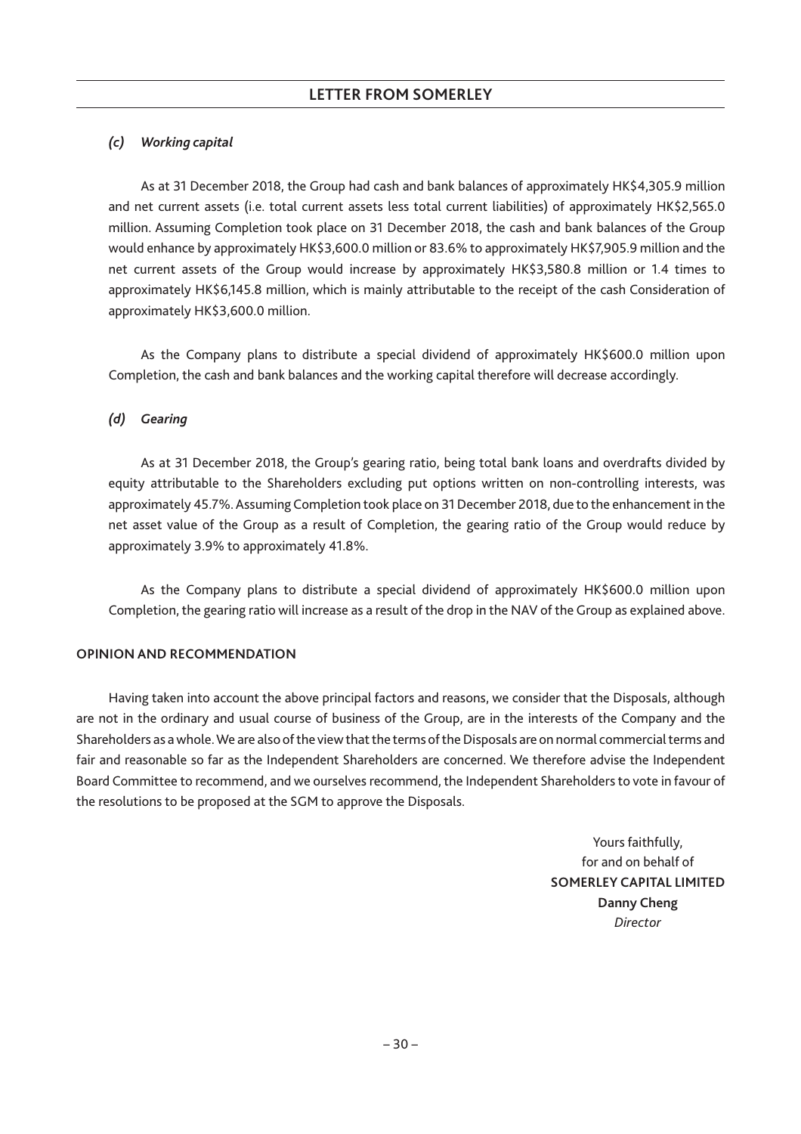# *(c) Working capital*

As at 31 December 2018, the Group had cash and bank balances of approximately HK\$4,305.9 million and net current assets (i.e. total current assets less total current liabilities) of approximately HK\$2,565.0 million. Assuming Completion took place on 31 December 2018, the cash and bank balances of the Group would enhance by approximately HK\$3,600.0 million or 83.6% to approximately HK\$7,905.9 million and the net current assets of the Group would increase by approximately HK\$3,580.8 million or 1.4 times to approximately HK\$6,145.8 million, which is mainly attributable to the receipt of the cash Consideration of approximately HK\$3,600.0 million.

As the Company plans to distribute a special dividend of approximately HK\$600.0 million upon Completion, the cash and bank balances and the working capital therefore will decrease accordingly.

# *(d) Gearing*

As at 31 December 2018, the Group's gearing ratio, being total bank loans and overdrafts divided by equity attributable to the Shareholders excluding put options written on non-controlling interests, was approximately 45.7%. Assuming Completion took place on 31 December 2018, due to the enhancement in the net asset value of the Group as a result of Completion, the gearing ratio of the Group would reduce by approximately 3.9% to approximately 41.8%.

As the Company plans to distribute a special dividend of approximately HK\$600.0 million upon Completion, the gearing ratio will increase as a result of the drop in the NAV of the Group as explained above.

# **OPINION AND RECOMMENDATION**

Having taken into account the above principal factors and reasons, we consider that the Disposals, although are not in the ordinary and usual course of business of the Group, are in the interests of the Company and the Shareholders as a whole.We are also of the view that the terms of the Disposals are on normal commercial terms and fair and reasonable so far as the Independent Shareholders are concerned. We therefore advise the Independent Board Committee to recommend, and we ourselves recommend, the Independent Shareholders to vote in favour of the resolutions to be proposed at the SGM to approve the Disposals.

> Yours faithfully, for and on behalf of **SOMERLEY CAPITAL LIMITED Danny Cheng** *Director*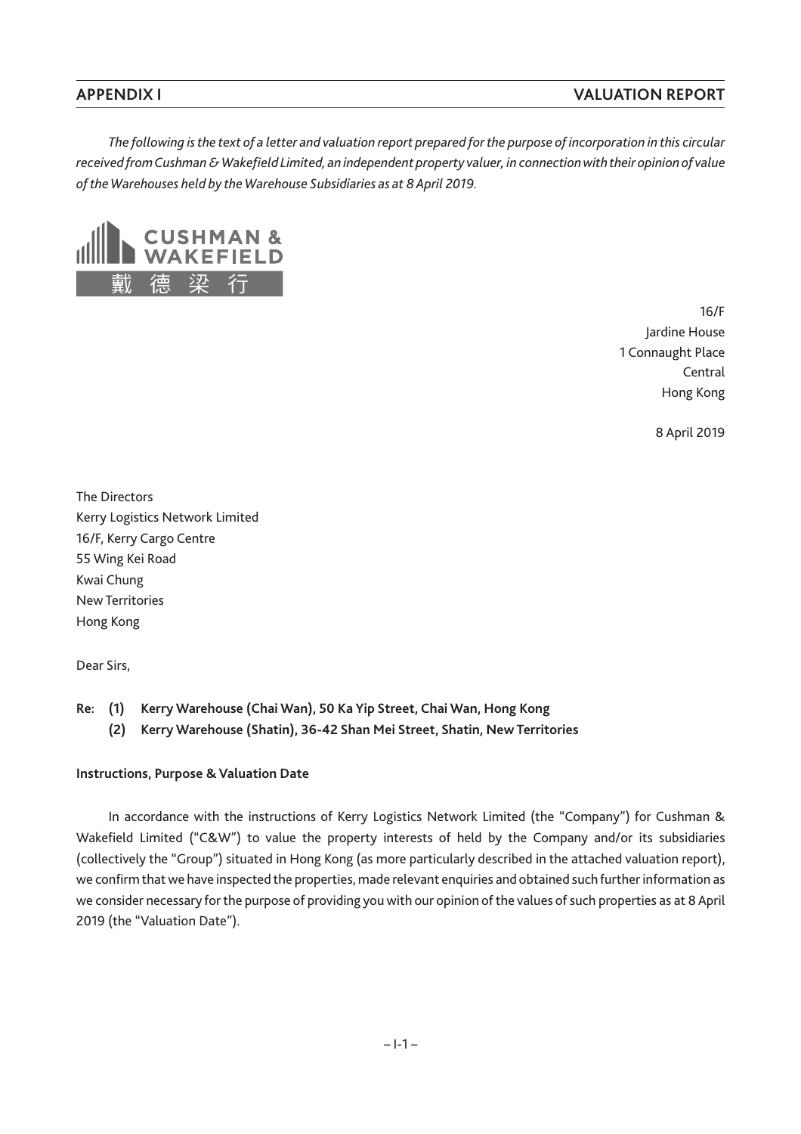*The following is the text of a letter and valuation report prepared for the purpose of incorporation in this circular received fromCushman &Wakefield Limited, an independent property valuer, in connectionwith their opinion of value of the Warehouses held by the Warehouse Subsidiaries as at 8 April 2019.*



16/F Jardine House 1 Connaught Place Central Hong Kong

8 April 2019

The Directors Kerry Logistics Network Limited 16/F, Kerry Cargo Centre 55 Wing Kei Road Kwai Chung New Territories Hong Kong

Dear Sirs,

- **Re: (1) Kerry Warehouse (Chai Wan), 50 Ka Yip Street, Chai Wan, Hong Kong**
	- **(2) Kerry Warehouse (Shatin), 36-42 Shan Mei Street, Shatin, New Territories**

#### **Instructions, Purpose & Valuation Date**

In accordance with the instructions of Kerry Logistics Network Limited (the "Company") for Cushman & Wakefield Limited ("C&W") to value the property interests of held by the Company and/or its subsidiaries (collectively the "Group") situated in Hong Kong (as more particularly described in the attached valuation report), we confirm that we have inspected the properties, made relevant enquiries and obtained such further information as we consider necessary for the purpose of providing you with our opinion of the values of such properties as at 8 April 2019 (the "Valuation Date").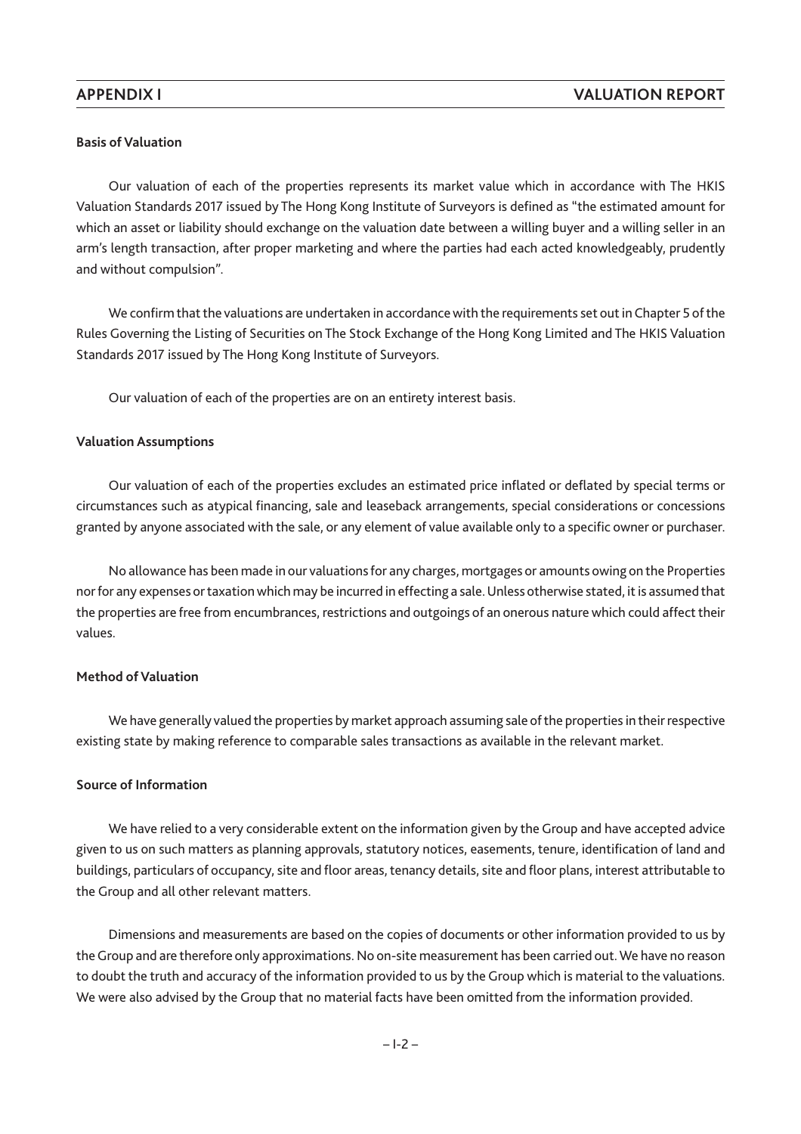## **Basis of Valuation**

Our valuation of each of the properties represents its market value which in accordance with The HKIS Valuation Standards 2017 issued by The Hong Kong Institute of Surveyors is defined as "the estimated amount for which an asset or liability should exchange on the valuation date between a willing buyer and a willing seller in an arm's length transaction, after proper marketing and where the parties had each acted knowledgeably, prudently and without compulsion".

We confirm that the valuations are undertaken in accordance with the requirements set out in Chapter 5 of the Rules Governing the Listing of Securities on The Stock Exchange of the Hong Kong Limited and The HKIS Valuation Standards 2017 issued by The Hong Kong Institute of Surveyors.

Our valuation of each of the properties are on an entirety interest basis.

#### **Valuation Assumptions**

Our valuation of each of the properties excludes an estimated price inflated or deflated by special terms or circumstances such as atypical financing, sale and leaseback arrangements, special considerations or concessions granted by anyone associated with the sale, or any element of value available only to a specific owner or purchaser.

No allowance has been made in our valuations for any charges, mortgages or amounts owing on the Properties nor for any expenses or taxation which may be incurred in effecting a sale.Unless otherwise stated, it is assumed that the properties are free from encumbrances, restrictions and outgoings of an onerous nature which could affect their values.

#### **Method of Valuation**

We have generally valued the properties by market approach assuming sale of the properties in their respective existing state by making reference to comparable sales transactions as available in the relevant market.

# **Source of Information**

We have relied to a very considerable extent on the information given by the Group and have accepted advice given to us on such matters as planning approvals, statutory notices, easements, tenure, identification of land and buildings, particulars of occupancy, site and floor areas, tenancy details, site and floor plans, interest attributable to the Group and all other relevant matters.

Dimensions and measurements are based on the copies of documents or other information provided to us by the Group and are therefore only approximations. No on-site measurement has been carried out.We have no reason to doubt the truth and accuracy of the information provided to us by the Group which is material to the valuations. We were also advised by the Group that no material facts have been omitted from the information provided.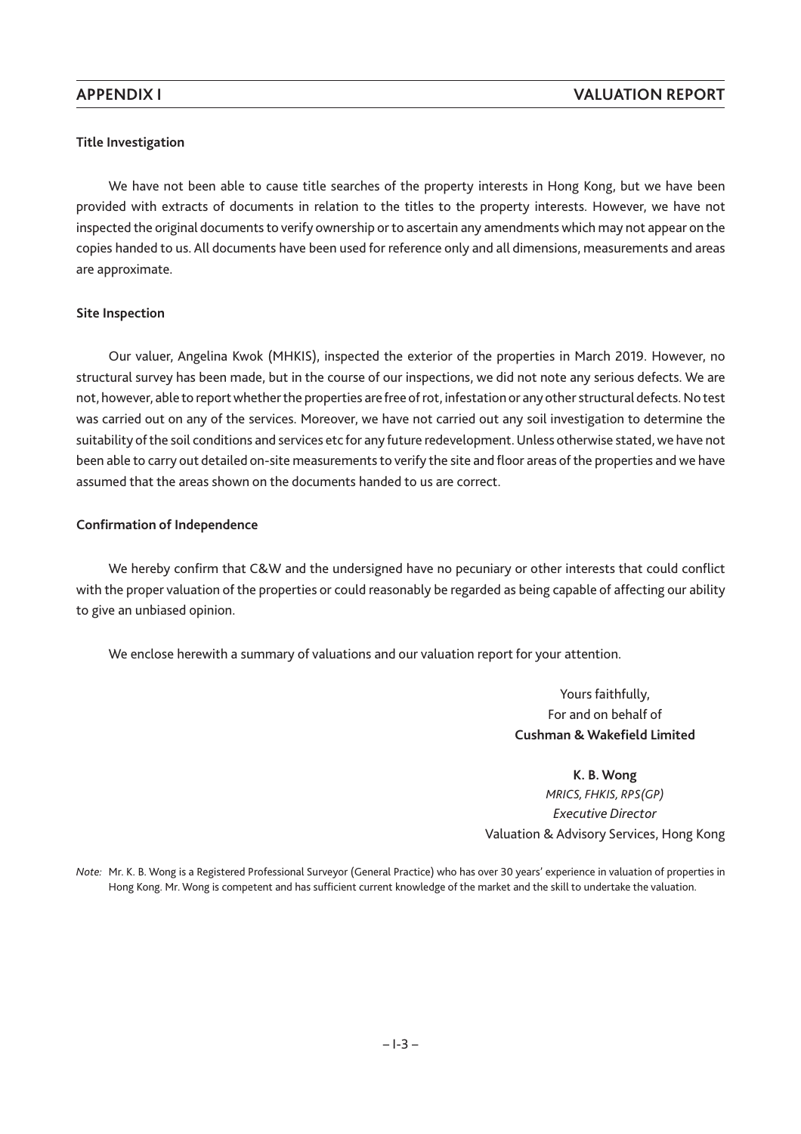# **Title Investigation**

We have not been able to cause title searches of the property interests in Hong Kong, but we have been provided with extracts of documents in relation to the titles to the property interests. However, we have not inspected the original documents to verify ownership or to ascertain any amendments which may not appear on the copies handed to us. All documents have been used for reference only and all dimensions, measurements and areas are approximate.

# **Site Inspection**

Our valuer, Angelina Kwok (MHKIS), inspected the exterior of the properties in March 2019. However, no structural survey has been made, but in the course of our inspections, we did not note any serious defects. We are not, however, able to report whether the properties are free of rot, infestation or any other structural defects. No test was carried out on any of the services. Moreover, we have not carried out any soil investigation to determine the suitability of the soil conditions and services etc for any future redevelopment. Unless otherwise stated, we have not been able to carry out detailed on-site measurements to verify the site and floor areas of the properties and we have assumed that the areas shown on the documents handed to us are correct.

# **Confirmation of Independence**

We hereby confirm that C&W and the undersigned have no pecuniary or other interests that could conflict with the proper valuation of the properties or could reasonably be regarded as being capable of affecting our ability to give an unbiased opinion.

We enclose herewith a summary of valuations and our valuation report for your attention.

Yours faithfully, For and on behalf of **Cushman & Wakefield Limited**

**K. B. Wong** *MRICS, FHKIS, RPS(GP) Executive Director* Valuation & Advisory Services, Hong Kong

*Note:* Mr. K. B. Wong is a Registered Professional Surveyor (General Practice) who has over 30 years' experience in valuation of properties in Hong Kong. Mr. Wong is competent and has sufficient current knowledge of the market and the skill to undertake the valuation.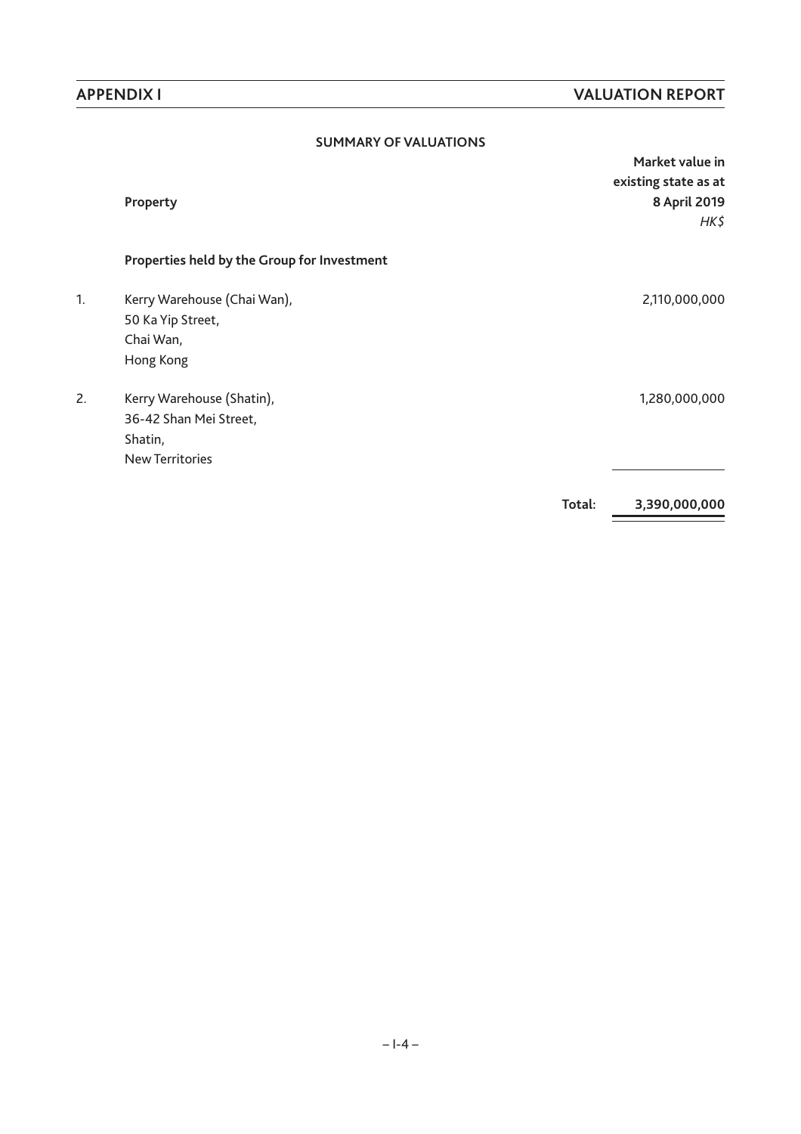|    | <b>SUMMARY OF VALUATIONS</b>                |        |                      |
|----|---------------------------------------------|--------|----------------------|
|    |                                             |        | Market value in      |
|    |                                             |        | existing state as at |
|    | Property                                    |        | 8 April 2019         |
|    |                                             |        | HK\$                 |
|    | Properties held by the Group for Investment |        |                      |
| 1. | Kerry Warehouse (Chai Wan),                 |        | 2,110,000,000        |
|    | 50 Ka Yip Street,                           |        |                      |
|    | Chai Wan,                                   |        |                      |
|    | Hong Kong                                   |        |                      |
| 2. | Kerry Warehouse (Shatin),                   |        | 1,280,000,000        |
|    | 36-42 Shan Mei Street,                      |        |                      |
|    | Shatin,                                     |        |                      |
|    | <b>New Territories</b>                      |        |                      |
|    |                                             | Total: | 3,390,000,000        |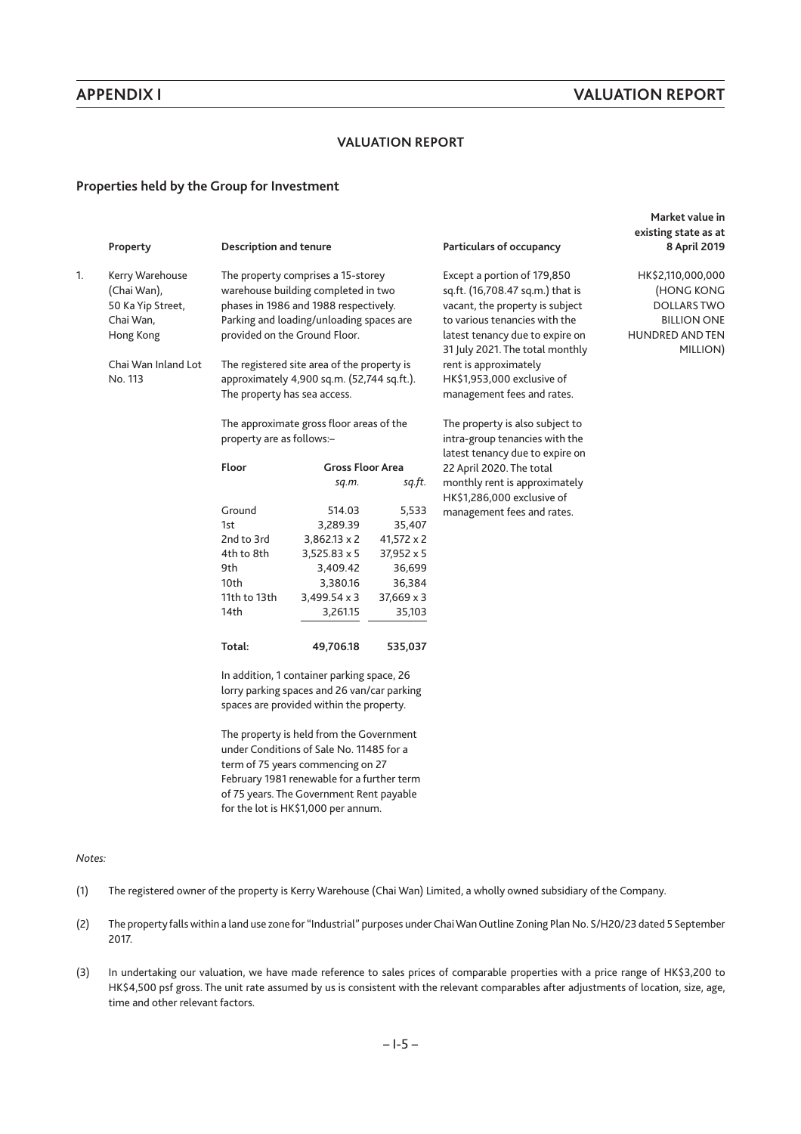**Market value in**

## **VALUATION REPORT**

#### **Properties held by the Group for Investment**

|    | Property                       | <b>Description and tenure</b> |                                                                                                                                       |                   | Particulars of occupancy                                           | existing state as at<br>8 April 2019 |
|----|--------------------------------|-------------------------------|---------------------------------------------------------------------------------------------------------------------------------------|-------------------|--------------------------------------------------------------------|--------------------------------------|
| 1. | Kerry Warehouse<br>(Chai Wan), |                               | The property comprises a 15-storey<br>warehouse building completed in two                                                             |                   | Except a portion of 179,850<br>sq.ft. (16,708.47 sq.m.) that is    | HK\$2,110,000,000<br>(HONG KONG      |
|    | 50 Ka Yip Street,              |                               | phases in 1986 and 1988 respectively.                                                                                                 |                   | vacant, the property is subject                                    | <b>DOLLARS TWO</b>                   |
|    | Chai Wan,                      |                               | Parking and loading/unloading spaces are                                                                                              |                   | to various tenancies with the                                      | <b>BILLION ONE</b>                   |
|    | Hong Kong                      |                               | provided on the Ground Floor.                                                                                                         |                   | latest tenancy due to expire on<br>31 July 2021. The total monthly | <b>HUNDRED AND TEN</b><br>MILLION)   |
|    | Chai Wan Inland Lot<br>No. 113 |                               | The registered site area of the property is<br>approximately 4,900 sq.m. (52,744 sq.ft.).                                             |                   | rent is approximately<br>HK\$1,953,000 exclusive of                |                                      |
|    |                                | The property has sea access.  |                                                                                                                                       |                   | management fees and rates.                                         |                                      |
|    |                                |                               | The approximate gross floor areas of the                                                                                              |                   | The property is also subject to                                    |                                      |
|    |                                | property are as follows:-     |                                                                                                                                       |                   | intra-group tenancies with the<br>latest tenancy due to expire on  |                                      |
|    |                                | Floor                         | <b>Gross Floor Area</b>                                                                                                               |                   | 22 April 2020. The total                                           |                                      |
|    |                                |                               | sq.m.                                                                                                                                 | sq.ft.            | monthly rent is approximately<br>HK\$1,286,000 exclusive of        |                                      |
|    |                                | Ground                        | 514.03                                                                                                                                | 5,533             | management fees and rates.                                         |                                      |
|    |                                | 1st                           | 3,289.39                                                                                                                              | 35,407            |                                                                    |                                      |
|    |                                | 2nd to 3rd                    | $3,862.13 \times 2$                                                                                                                   | $41,572 \times 2$ |                                                                    |                                      |
|    |                                | 4th to 8th                    | $3,525.83 \times 5$                                                                                                                   | 37,952 x 5        |                                                                    |                                      |
|    |                                | 9th                           | 3,409.42                                                                                                                              | 36,699            |                                                                    |                                      |
|    |                                | 10th                          | 3,380.16                                                                                                                              | 36,384            |                                                                    |                                      |
|    |                                | 11th to 13th                  | $3,499.54 \times 3$                                                                                                                   | $37,669 \times 3$ |                                                                    |                                      |
|    |                                | 14th                          | 3,261.15                                                                                                                              | 35,103            |                                                                    |                                      |
|    |                                | Total:                        | 49,706.18                                                                                                                             | 535,037           |                                                                    |                                      |
|    |                                |                               | In addition, 1 container parking space, 26<br>lorry parking spaces and 26 van/car parking<br>spaces are provided within the property. |                   |                                                                    |                                      |

The property is held from the Government under Conditions of Sale No. 11485 for a term of 75 years commencing on 27 February 1981 renewable for a further term of 75 years. The Government Rent payable for the lot is HK\$1,000 per annum.

- (1) The registered owner of the property is Kerry Warehouse (Chai Wan) Limited, a wholly owned subsidiary of the Company.
- (2) The property falls within a land use zone for "Industrial" purposes under ChaiWan Outline Zoning Plan No. S/H20/23 dated 5 September 2017.
- (3) In undertaking our valuation, we have made reference to sales prices of comparable properties with a price range of HK\$3,200 to HK\$4,500 psf gross. The unit rate assumed by us is consistent with the relevant comparables after adjustments of location, size, age, time and other relevant factors.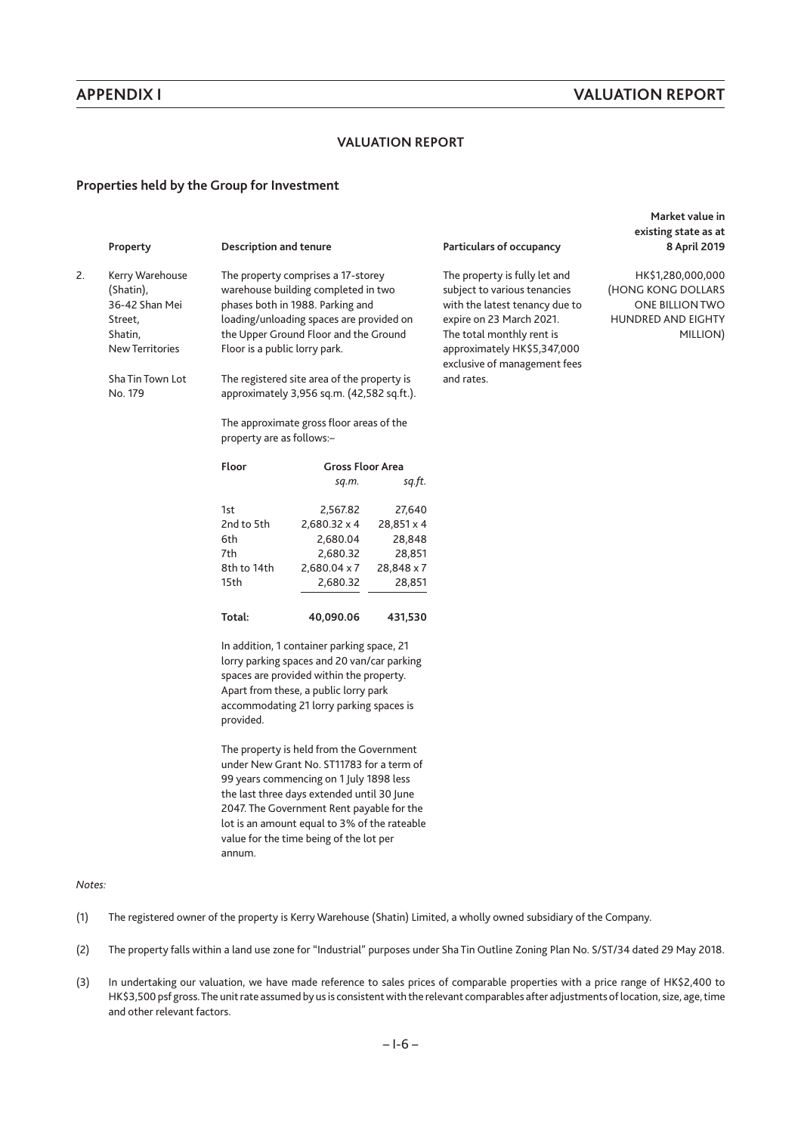## **VALUATION REPORT**

#### **Properties held by the Group for Investment**

2. Kerry Warehouse (Shatin), 36-42 Shan Mei Street, Shatin, New Territories

> Sha Tin Town Lot No. 179

The property comprises a 17-storey warehouse building completed in two phases both in 1988. Parking and loading/unloading spaces are provided on the Upper Ground Floor and the Ground Floor is a public lorry park.

The registered site area of the property is approximately 3,956 sq.m. (42,582 sq.ft.).

The approximate gross floor areas of the property are as follows:–

| Floor       | <b>Gross Floor Area</b> |            |  |
|-------------|-------------------------|------------|--|
|             | sq.m.                   | sq.ft.     |  |
| 1st         | 2.567.82                | 27.640     |  |
| 2nd to 5th  | $2.680.32 \times 4$     | 28.851 x 4 |  |
| 6th         | 2.680.04                | 28.848     |  |
| 7th         | 2.680.32                | 28.851     |  |
| 8th to 14th | 2,680.04 x 7            | 28.848 x 7 |  |
| 15th        | 2,680.32                | 28,851     |  |

In addition, 1 container parking space, 21 lorry parking spaces and 20 van/car parking spaces are provided within the property. Apart from these, a public lorry park accommodating 21 lorry parking spaces is provided.

**Total: 40,090.06 431,530**

The property is held from the Government under New Grant No. ST11783 for a term of 99 years commencing on 1 July 1898 less the last three days extended until 30 June 2047. The Government Rent payable for the lot is an amount equal to 3% of the rateable value for the time being of the lot per annum.

#### *Notes:*

- (1) The registered owner of the property is Kerry Warehouse (Shatin) Limited, a wholly owned subsidiary of the Company.
- (2) The property falls within a land use zone for "Industrial" purposes under Sha Tin Outline Zoning Plan No. S/ST/34 dated 29 May 2018.
- (3) In undertaking our valuation, we have made reference to sales prices of comparable properties with a price range of HK\$2,400 to HK\$3,500 psf gross.The unit rate assumed by us is consistent with the relevant comparables after adjustments of location, size, age, time and other relevant factors.

#### Property **Property** Description and tenure **Particulars of occupancy**

The property is fully let and subject to various tenancies with the latest tenancy due to expire on 23 March 2021. The total monthly rent is approximately HK\$5,347,000 exclusive of management fees and rates.

**Market value in existing state as at 8 April 2019**

HK\$1,280,000,000 (HONG KONG DOLLARS ONE BILLION TWO HUNDRED AND EIGHTY MILLION)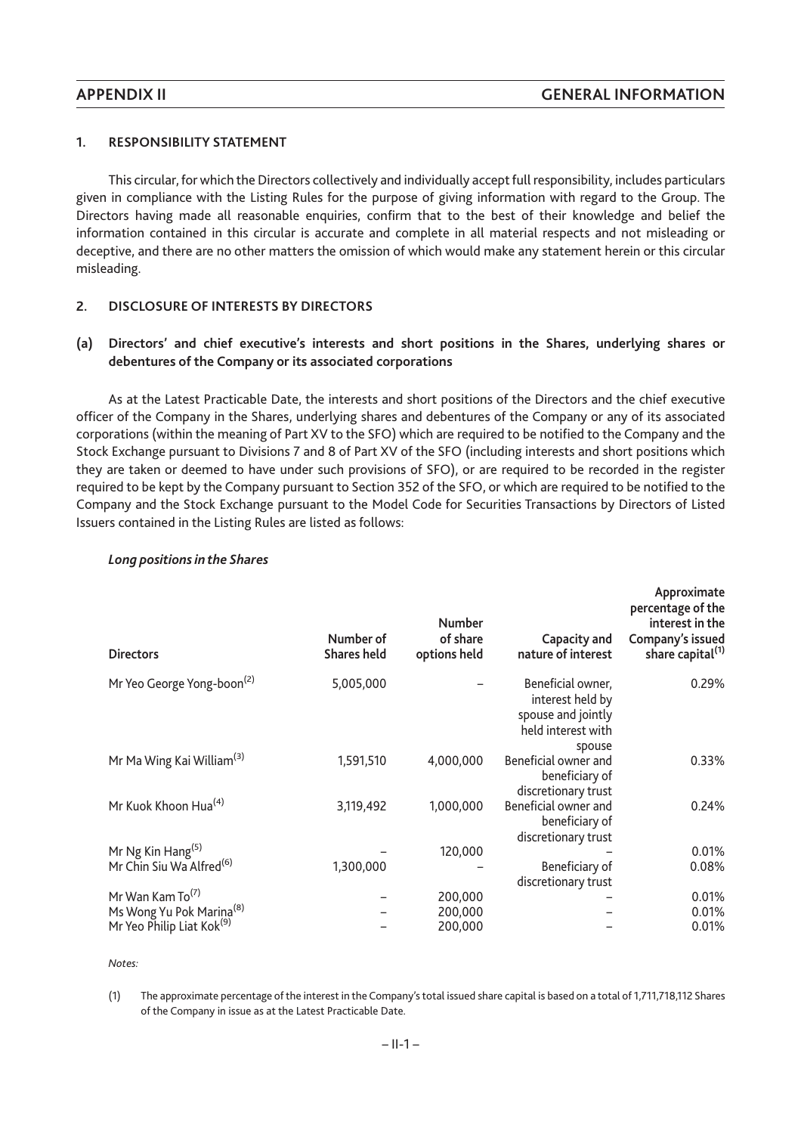# **1. RESPONSIBILITY STATEMENT**

This circular, for which the Directors collectively and individually accept full responsibility, includes particulars given in compliance with the Listing Rules for the purpose of giving information with regard to the Group. The Directors having made all reasonable enquiries, confirm that to the best of their knowledge and belief the information contained in this circular is accurate and complete in all material respects and not misleading or deceptive, and there are no other matters the omission of which would make any statement herein or this circular misleading.

# **2. DISCLOSURE OF INTERESTS BY DIRECTORS**

# **(a) Directors' and chief executive's interests and short positions in the Shares, underlying shares or debentures of the Company or its associated corporations**

As at the Latest Practicable Date, the interests and short positions of the Directors and the chief executive officer of the Company in the Shares, underlying shares and debentures of the Company or any of its associated corporations (within the meaning of Part XV to the SFO) which are required to be notified to the Company and the Stock Exchange pursuant to Divisions 7 and 8 of Part XV of the SFO (including interests and short positions which they are taken or deemed to have under such provisions of SFO), or are required to be recorded in the register required to be kept by the Company pursuant to Section 352 of the SFO, or which are required to be notified to the Company and the Stock Exchange pursuant to the Model Code for Securities Transactions by Directors of Listed Issuers contained in the Listing Rules are listed as follows:

| <b>Directors</b>                       | Number of<br><b>Shares held</b> | <b>Number</b><br>of share<br>options held | Capacity and<br>nature of interest                                                          | Approximate<br>percentage of the<br>interest in the<br>Company's issued<br>share capital <sup>(1)</sup> |
|----------------------------------------|---------------------------------|-------------------------------------------|---------------------------------------------------------------------------------------------|---------------------------------------------------------------------------------------------------------|
| Mr Yeo George Yong-boon <sup>(2)</sup> | 5,005,000                       |                                           | Beneficial owner,<br>interest held by<br>spouse and jointly<br>held interest with<br>spouse | 0.29%                                                                                                   |
| Mr Ma Wing Kai William <sup>(3)</sup>  | 1,591,510                       | 4,000,000                                 | Beneficial owner and<br>beneficiary of<br>discretionary trust                               | 0.33%                                                                                                   |
| Mr Kuok Khoon Hua <sup>(4)</sup>       | 3,119,492                       | 1,000,000                                 | Beneficial owner and<br>beneficiary of<br>discretionary trust                               | 0.24%                                                                                                   |
| Mr Ng Kin Hang <sup>(5)</sup>          |                                 | 120,000                                   |                                                                                             | 0.01%                                                                                                   |
| Mr Chin Siu Wa Alfred <sup>(6)</sup>   | 1,300,000                       |                                           | Beneficiary of<br>discretionary trust                                                       | 0.08%                                                                                                   |
| Mr Wan Kam To <sup>(7)</sup>           |                                 | 200,000                                   |                                                                                             | 0.01%                                                                                                   |
| Ms Wong Yu Pok Marina <sup>(8)</sup>   |                                 | 200,000                                   |                                                                                             | 0.01%                                                                                                   |
| Mr Yeo Philip Liat Kok <sup>(9)</sup>  |                                 | 200,000                                   |                                                                                             | 0.01%                                                                                                   |

### *Long positions in the Shares*

<sup>(1)</sup> The approximate percentage of the interest in the Company's total issued share capital is based on a total of 1,711,718,112 Shares of the Company in issue as at the Latest Practicable Date.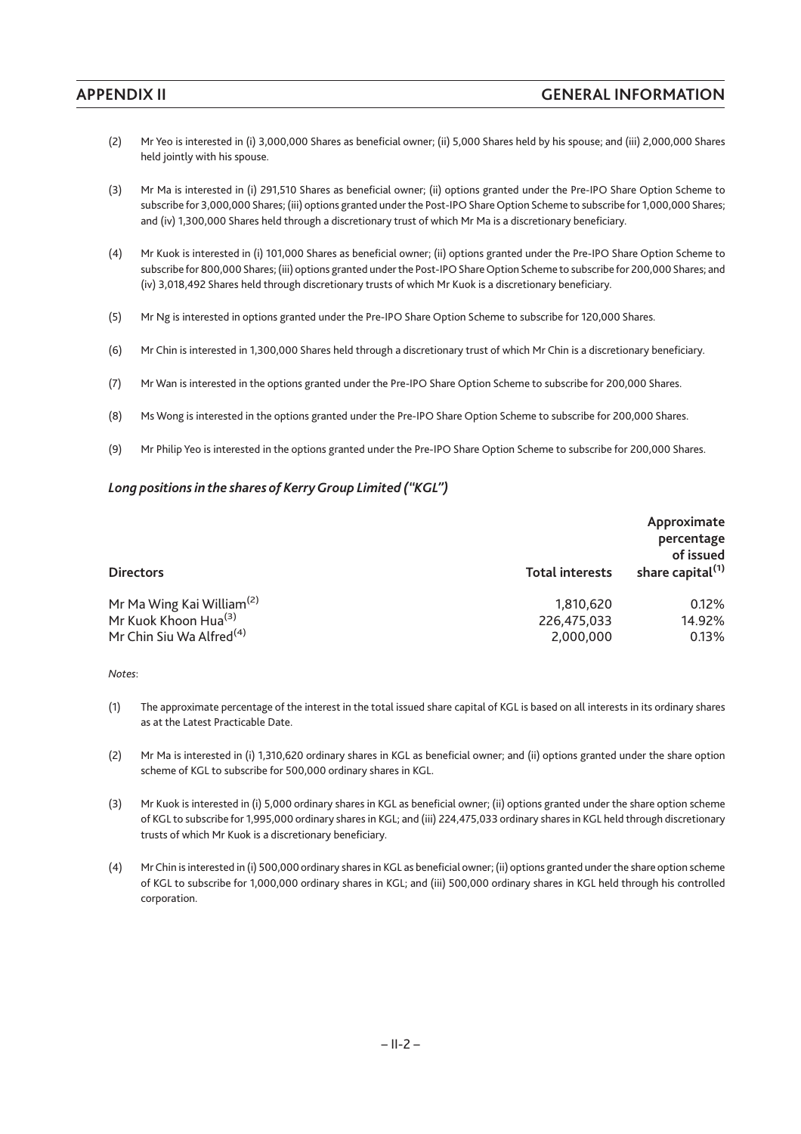- (2) Mr Yeo is interested in (i) 3,000,000 Shares as beneficial owner; (ii) 5,000 Shares held by his spouse; and (iii) 2,000,000 Shares held jointly with his spouse.
- (3) Mr Ma is interested in (i) 291,510 Shares as beneficial owner; (ii) options granted under the Pre-IPO Share Option Scheme to subscribe for 3,000,000 Shares; (iii) options granted under the Post-IPO Share Option Scheme to subscribe for 1,000,000 Shares; and (iv) 1,300,000 Shares held through a discretionary trust of which Mr Ma is a discretionary beneficiary.
- (4) Mr Kuok is interested in (i) 101,000 Shares as beneficial owner; (ii) options granted under the Pre-IPO Share Option Scheme to subscribe for 800,000 Shares; (iii) options granted under the Post-IPO Share Option Scheme to subscribe for 200,000 Shares; and (iv) 3,018,492 Shares held through discretionary trusts of which Mr Kuok is a discretionary beneficiary.
- (5) Mr Ng is interested in options granted under the Pre-IPO Share Option Scheme to subscribe for 120,000 Shares.
- (6) Mr Chin is interested in 1,300,000 Shares held through a discretionary trust of which Mr Chin is a discretionary beneficiary.
- (7) Mr Wan is interested in the options granted under the Pre-IPO Share Option Scheme to subscribe for 200,000 Shares.
- (8) Ms Wong is interested in the options granted under the Pre-IPO Share Option Scheme to subscribe for 200,000 Shares.
- (9) Mr Philip Yeo is interested in the options granted under the Pre-IPO Share Option Scheme to subscribe for 200,000 Shares.

### *Long positions in the shares of KerryGroup Limited ("KGL")*

| <b>Directors</b>                      | <b>Total interests</b> | Approximate<br>percentage<br>of issued<br>share capital <sup>(1)</sup> |
|---------------------------------------|------------------------|------------------------------------------------------------------------|
| Mr Ma Wing Kai William <sup>(2)</sup> | 1.810.620              | 0.12%                                                                  |
| Mr Kuok Khoon Hua <sup>(3)</sup>      | 226,475,033            | 14.92%                                                                 |
| Mr Chin Siu Wa Alfred <sup>(4)</sup>  | 2,000,000              | 0.13%                                                                  |

- (1) The approximate percentage of the interest in the total issued share capital of KGL is based on all interests in its ordinary shares as at the Latest Practicable Date.
- (2) Mr Ma is interested in (i) 1,310,620 ordinary shares in KGL as beneficial owner; and (ii) options granted under the share option scheme of KGL to subscribe for 500,000 ordinary shares in KGL.
- (3) Mr Kuok is interested in (i) 5,000 ordinary shares in KGL as beneficial owner; (ii) options granted under the share option scheme of KGL to subscribe for 1,995,000 ordinary shares in KGL; and (iii) 224,475,033 ordinary shares in KGL held through discretionary trusts of which Mr Kuok is a discretionary beneficiary.
- (4) Mr Chin is interested in (i) 500,000 ordinary shares in KGL as beneficial owner; (ii) options granted under the share option scheme of KGL to subscribe for 1,000,000 ordinary shares in KGL; and (iii) 500,000 ordinary shares in KGL held through his controlled corporation.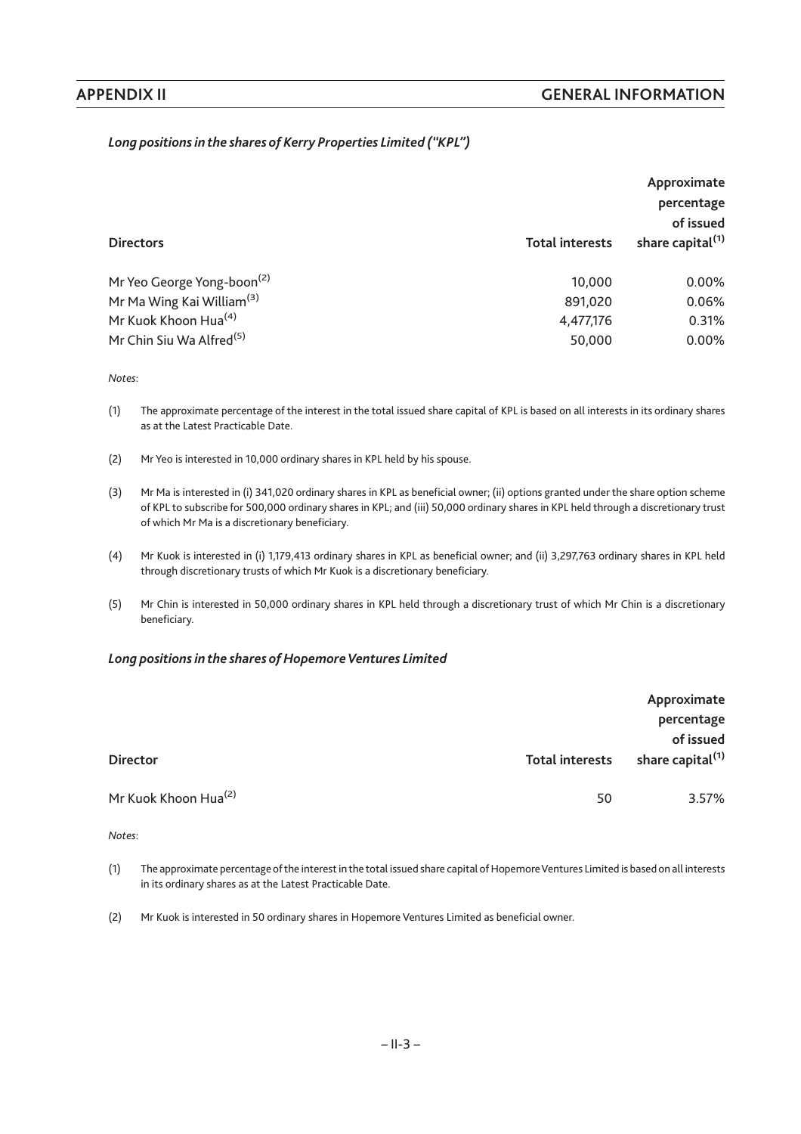# *Long positions in the shares of Kerry Properties Limited ("KPL")*

|                                        |                        | Approximate<br>percentage<br>of issued |
|----------------------------------------|------------------------|----------------------------------------|
| <b>Directors</b>                       | <b>Total interests</b> | share capital <sup>(1)</sup>           |
| Mr Yeo George Yong-boon <sup>(2)</sup> | 10,000                 | $0.00\%$                               |
| Mr Ma Wing Kai William <sup>(3)</sup>  | 891,020                | 0.06%                                  |
| Mr Kuok Khoon Hua <sup>(4)</sup>       | 4,477,176              | 0.31%                                  |
| Mr Chin Siu Wa Alfred <sup>(5)</sup>   | 50,000                 | $0.00\%$                               |

*Notes*:

(1) The approximate percentage of the interest in the total issued share capital of KPL is based on all interests in its ordinary shares as at the Latest Practicable Date.

- (2) Mr Yeo is interested in 10,000 ordinary shares in KPL held by his spouse.
- (3) Mr Ma is interested in (i) 341,020 ordinary shares in KPL as beneficial owner; (ii) options granted under the share option scheme of KPL to subscribe for 500,000 ordinary shares in KPL; and (iii) 50,000 ordinary shares in KPL held through a discretionary trust of which Mr Ma is a discretionary beneficiary.
- (4) Mr Kuok is interested in (i) 1,179,413 ordinary shares in KPL as beneficial owner; and (ii) 3,297,763 ordinary shares in KPL held through discretionary trusts of which Mr Kuok is a discretionary beneficiary.
- (5) Mr Chin is interested in 50,000 ordinary shares in KPL held through a discretionary trust of which Mr Chin is a discretionary beneficiary.

#### Long positions in the shares of Hopemore Ventures Limited

|                                  |                        | Approximate<br>percentage                 |
|----------------------------------|------------------------|-------------------------------------------|
| <b>Director</b>                  | <b>Total interests</b> | of issued<br>share capital <sup>(1)</sup> |
| Mr Kuok Khoon Hua <sup>(2)</sup> | 50                     | 3.57%                                     |

- (1) The approximate percentage of the interest in the total issued share capital of HopemoreVentures Limited is based on all interests in its ordinary shares as at the Latest Practicable Date.
- (2) Mr Kuok is interested in 50 ordinary shares in Hopemore Ventures Limited as beneficial owner.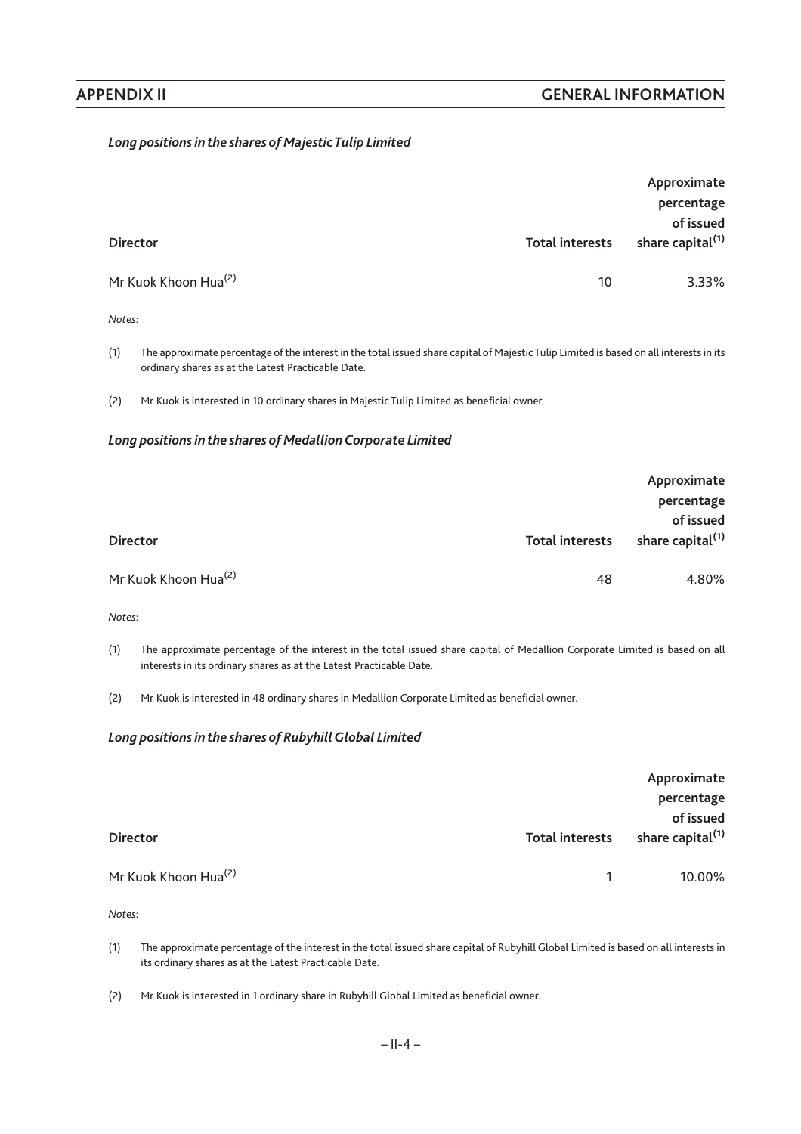# *Long positions in the shares of MajesticTulip Limited*

| <b>Director</b>                  | <b>Total interests</b> | Approximate<br>percentage<br>of issued<br>share capital <sup>(1)</sup> |
|----------------------------------|------------------------|------------------------------------------------------------------------|
| Mr Kuok Khoon Hua <sup>(2)</sup> | 10                     | 3.33%                                                                  |
| Notes:                           |                        |                                                                        |

(1) The approximate percentage of the interest in the total issued share capital of Majestic Tulip Limited is based on all interests in its ordinary shares as at the Latest Practicable Date.

(2) Mr Kuok is interested in 10 ordinary shares in Majestic Tulip Limited as beneficial owner.

#### *Long positions in the shares of Medallion Corporate Limited*

|                                  |                        | Approximate                               |
|----------------------------------|------------------------|-------------------------------------------|
|                                  |                        | percentage                                |
| <b>Director</b>                  | <b>Total interests</b> | of issued<br>share capital <sup>(1)</sup> |
| Mr Kuok Khoon Hua <sup>(2)</sup> | 48                     | 4.80%                                     |

*Notes*:

- (1) The approximate percentage of the interest in the total issued share capital of Medallion Corporate Limited is based on all interests in its ordinary shares as at the Latest Practicable Date.
- (2) Mr Kuok is interested in 48 ordinary shares in Medallion Corporate Limited as beneficial owner.

#### Long positions in the shares of Rubyhill Global Limited

|                                  |                        | Approximate<br>percentage                 |
|----------------------------------|------------------------|-------------------------------------------|
| <b>Director</b>                  | <b>Total interests</b> | of issued<br>share capital <sup>(1)</sup> |
| Mr Kuok Khoon Hua <sup>(2)</sup> |                        | 10.00%                                    |

- (1) The approximate percentage of the interest in the total issued share capital of Rubyhill Global Limited is based on all interests in its ordinary shares as at the Latest Practicable Date.
- (2) Mr Kuok is interested in 1 ordinary share in Rubyhill Global Limited as beneficial owner.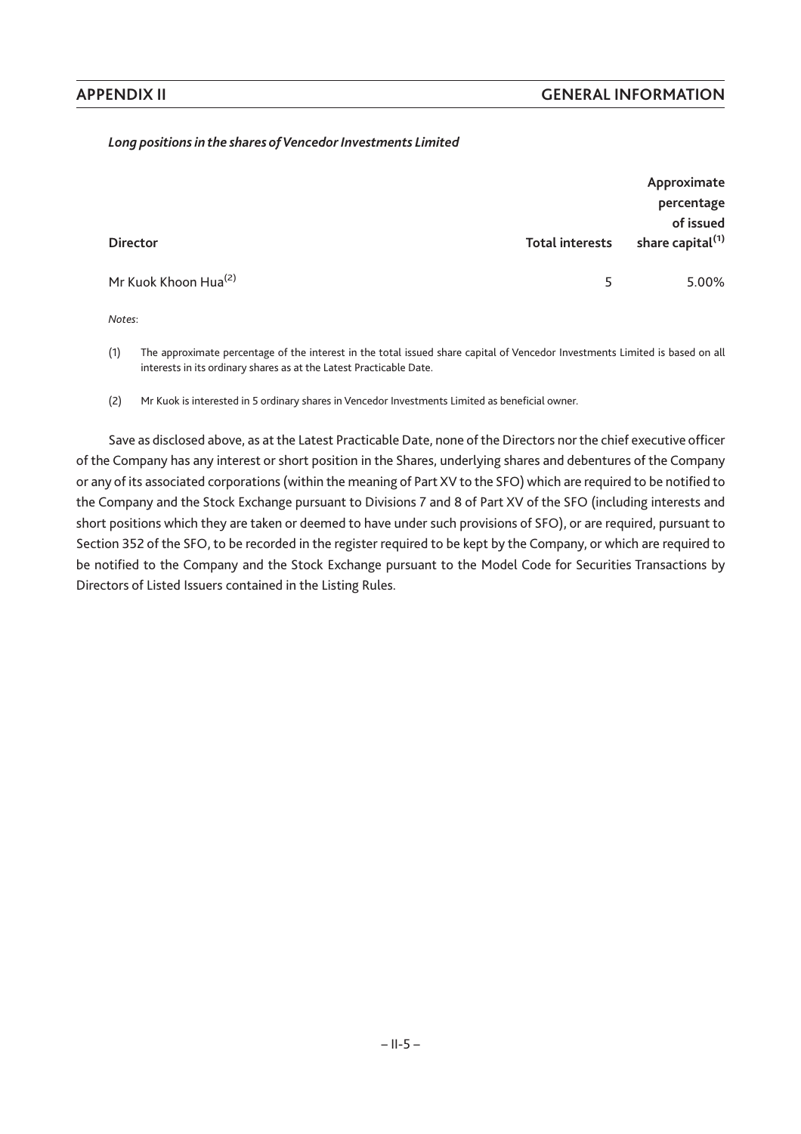# Long positions in the shares of Vencedor Investments Limited

| <b>Director</b>                  | <b>Total interests</b> | of issued<br>share capital <sup>(1)</sup> |
|----------------------------------|------------------------|-------------------------------------------|
| Mr Kuok Khoon Hua <sup>(2)</sup> | 5                      | 5.00%                                     |

*Notes*:

(1) The approximate percentage of the interest in the total issued share capital of Vencedor Investments Limited is based on all interests in its ordinary shares as at the Latest Practicable Date.

(2) Mr Kuok is interested in 5 ordinary shares in Vencedor Investments Limited as beneficial owner.

Save as disclosed above, as at the Latest Practicable Date, none of the Directors nor the chief executive officer of the Company has any interest or short position in the Shares, underlying shares and debentures of the Company or any of its associated corporations (within the meaning of Part XV to the SFO) which are required to be notified to the Company and the Stock Exchange pursuant to Divisions 7 and 8 of Part XV of the SFO (including interests and short positions which they are taken or deemed to have under such provisions of SFO), or are required, pursuant to Section 352 of the SFO, to be recorded in the register required to be kept by the Company, or which are required to be notified to the Company and the Stock Exchange pursuant to the Model Code for Securities Transactions by Directors of Listed Issuers contained in the Listing Rules.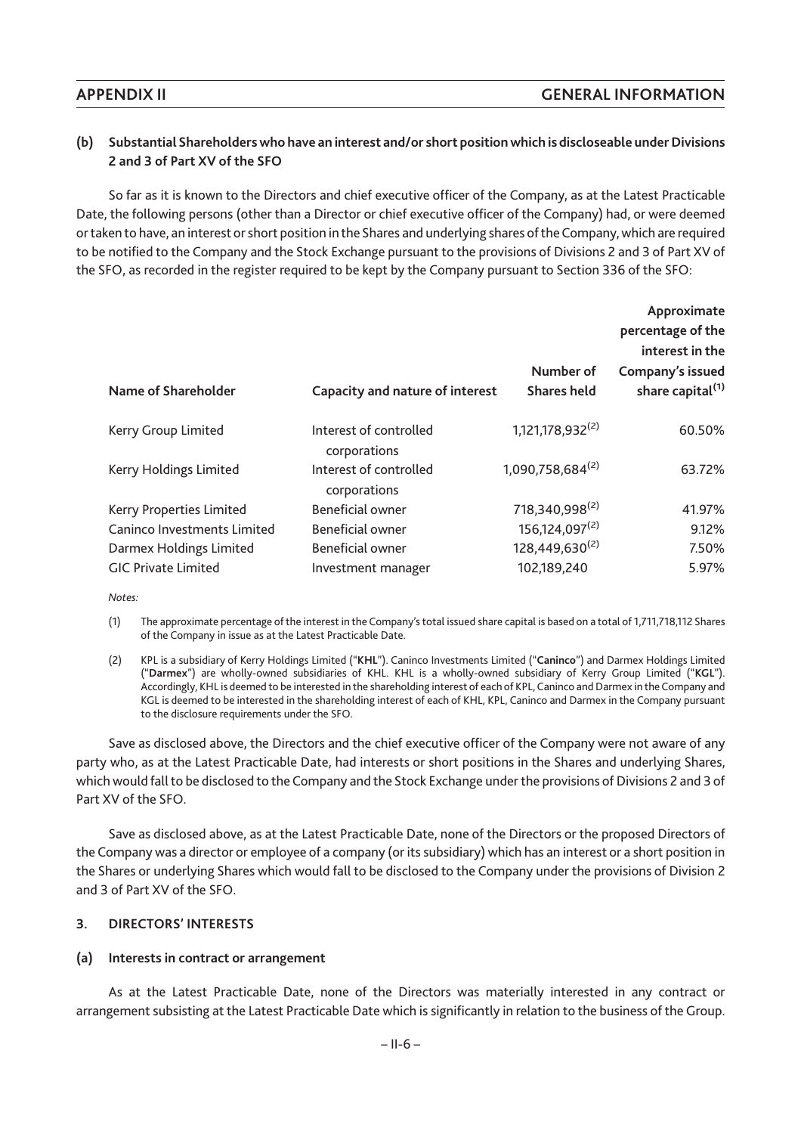# **(b) Substantial Shareholders who have an interest and/or short position which is discloseable under Divisions 2 and 3 of Part XV of the SFO**

So far as it is known to the Directors and chief executive officer of the Company, as at the Latest Practicable Date, the following persons (other than a Director or chief executive officer of the Company) had, or were deemed or taken to have, an interest or short position in the Shares and underlying shares of the Company, which are required to be notified to the Company and the Stock Exchange pursuant to the provisions of Divisions 2 and 3 of Part XV of the SFO, as recorded in the register required to be kept by the Company pursuant to Section 336 of the SFO:

|                             |                                        |                                 | Approximate<br>percentage of the<br>interest in the |
|-----------------------------|----------------------------------------|---------------------------------|-----------------------------------------------------|
| Name of Shareholder         | Capacity and nature of interest        | Number of<br><b>Shares held</b> | Company's issued<br>share capital <sup>(1)</sup>    |
| Kerry Group Limited         | Interest of controlled<br>corporations | 1,121,178,932 <sup>(2)</sup>    | 60.50%                                              |
| Kerry Holdings Limited      | Interest of controlled<br>corporations | 1,090,758,684(2)                | 63.72%                                              |
| Kerry Properties Limited    | Beneficial owner                       | 718,340,998 <sup>(2)</sup>      | 41.97%                                              |
| Caninco Investments Limited | Beneficial owner                       | 156,124,097 <sup>(2)</sup>      | 9.12%                                               |
| Darmex Holdings Limited     | <b>Beneficial owner</b>                | 128,449,630 <sup>(2)</sup>      | 7.50%                                               |
| <b>GIC Private Limited</b>  | Investment manager                     | 102,189,240                     | 5.97%                                               |

*Notes:*

(1) The approximate percentage of the interest in the Company's total issued share capital is based on a total of 1,711,718,112 Shares of the Company in issue as at the Latest Practicable Date.

(2) KPL is a subsidiary of Kerry Holdings Limited ("**KHL**"). Caninco Investments Limited ("**Caninco**") and Darmex Holdings Limited ("**Darmex**") are wholly-owned subsidiaries of KHL. KHL is a wholly-owned subsidiary of Kerry Group Limited ("**KGL**"). Accordingly, KHL is deemed to be interested in the shareholding interest of each of KPL, Caninco and Darmex in the Company and KGL is deemed to be interested in the shareholding interest of each of KHL, KPL, Caninco and Darmex in the Company pursuant to the disclosure requirements under the SFO.

Save as disclosed above, the Directors and the chief executive officer of the Company were not aware of any party who, as at the Latest Practicable Date, had interests or short positions in the Shares and underlying Shares, which would fall to be disclosed to the Company and the Stock Exchange under the provisions of Divisions 2 and 3 of Part XV of the SFO.

Save as disclosed above, as at the Latest Practicable Date, none of the Directors or the proposed Directors of the Company was a director or employee of a company (or its subsidiary) which has an interest or a short position in the Shares or underlying Shares which would fall to be disclosed to the Company under the provisions of Division 2 and 3 of Part XV of the SFO.

#### **3. DIRECTORS' INTERESTS**

# **(a) Interests in contract or arrangement**

As at the Latest Practicable Date, none of the Directors was materially interested in any contract or arrangement subsisting at the Latest Practicable Date which is significantly in relation to the business of the Group.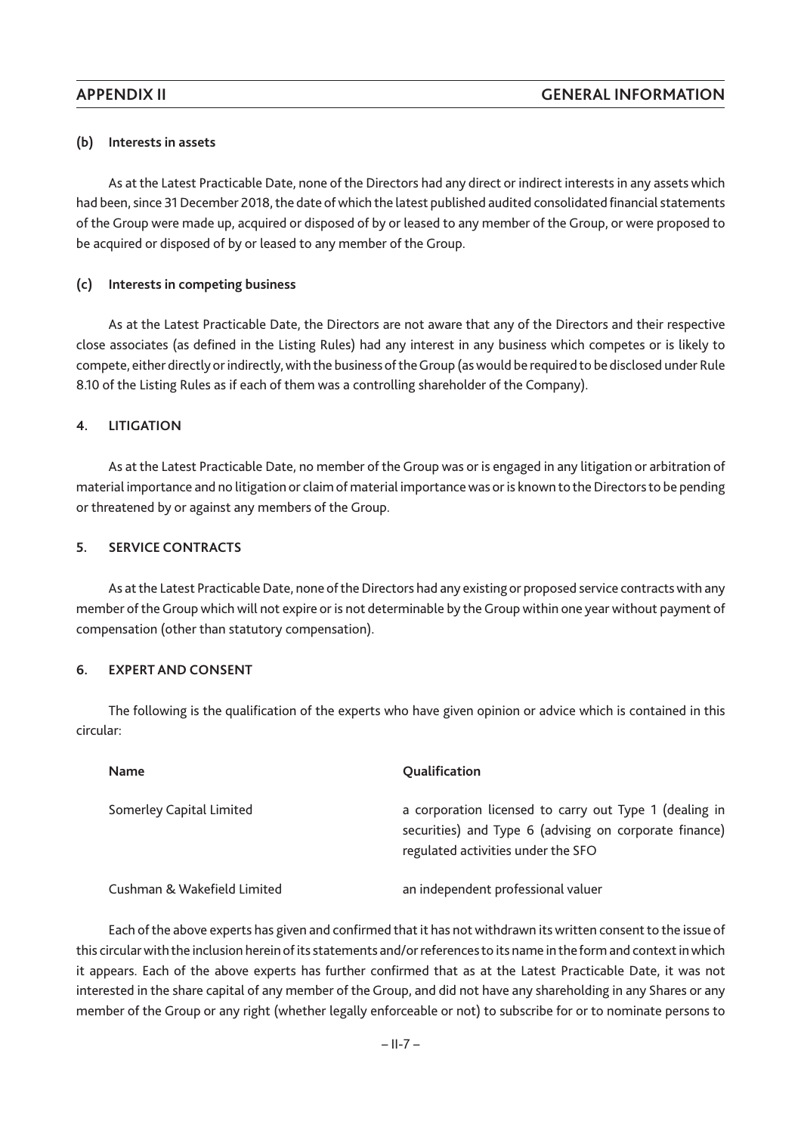## **(b) Interests in assets**

As at the Latest Practicable Date, none of the Directors had any direct or indirect interests in any assets which had been, since 31 December 2018, the date of which the latest published audited consolidated financial statements of the Group were made up, acquired or disposed of by or leased to any member of the Group, or were proposed to be acquired or disposed of by or leased to any member of the Group.

## **(c) Interests in competing business**

As at the Latest Practicable Date, the Directors are not aware that any of the Directors and their respective close associates (as defined in the Listing Rules) had any interest in any business which competes or is likely to compete, either directly or indirectly, with the business of theGroup (as would be required to be disclosed under Rule 8.10 of the Listing Rules as if each of them was a controlling shareholder of the Company).

### **4. LITIGATION**

As at the Latest Practicable Date, no member of the Group was or is engaged in any litigation or arbitration of material importance and no litigation or claim of material importance was or is known to the Directors to be pending or threatened by or against any members of the Group.

### **5. SERVICE CONTRACTS**

As at the Latest Practicable Date, none of the Directors had any existing or proposed service contracts with any member of the Group which will not expire or is not determinable by the Group within one year without payment of compensation (other than statutory compensation).

#### **6. EXPERT AND CONSENT**

The following is the qualification of the experts who have given opinion or advice which is contained in this circular:

| <b>Name</b>                 | Qualification                                                                                                                                          |
|-----------------------------|--------------------------------------------------------------------------------------------------------------------------------------------------------|
| Somerley Capital Limited    | a corporation licensed to carry out Type 1 (dealing in<br>securities) and Type 6 (advising on corporate finance)<br>regulated activities under the SFO |
| Cushman & Wakefield Limited | an independent professional valuer                                                                                                                     |

Each of the above experts has given and confirmed that it has not withdrawn its written consent to the issue of this circular with the inclusion herein of its statements and/or references to its name in the form and context in which it appears. Each of the above experts has further confirmed that as at the Latest Practicable Date, it was not interested in the share capital of any member of the Group, and did not have any shareholding in any Shares or any member of the Group or any right (whether legally enforceable or not) to subscribe for or to nominate persons to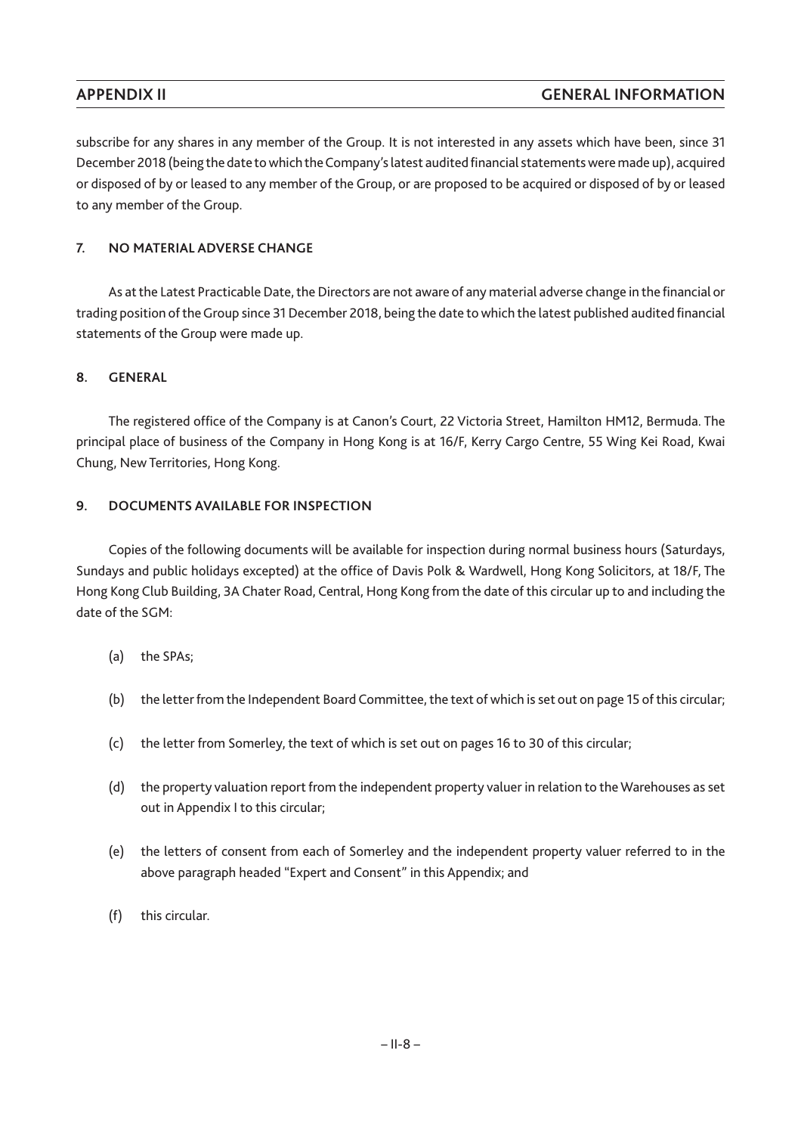subscribe for any shares in any member of the Group. It is not interested in any assets which have been, since 31 December 2018 (being the date to which the Company's latest audited financial statements were made up), acquired or disposed of by or leased to any member of the Group, or are proposed to be acquired or disposed of by or leased to any member of the Group.

# **7. NO MATERIAL ADVERSE CHANGE**

As at the Latest Practicable Date, the Directors are not aware of any material adverse change in the financial or trading position of the Group since 31 December 2018, being the date to which the latest published audited financial statements of the Group were made up.

# **8. GENERAL**

The registered office of the Company is at Canon's Court, 22 Victoria Street, Hamilton HM12, Bermuda. The principal place of business of the Company in Hong Kong is at 16/F, Kerry Cargo Centre, 55 Wing Kei Road, Kwai Chung, New Territories, Hong Kong.

# **9. DOCUMENTS AVAILABLE FOR INSPECTION**

Copies of the following documents will be available for inspection during normal business hours (Saturdays, Sundays and public holidays excepted) at the office of Davis Polk & Wardwell, Hong Kong Solicitors, at 18/F, The Hong Kong Club Building, 3A Chater Road, Central, Hong Kong from the date of this circular up to and including the date of the SGM:

- (a) the SPAs;
- (b) the letter from the Independent Board Committee, the text of which is set out on page 15 of this circular;
- (c) the letter from Somerley, the text of which is set out on pages 16 to 30 of this circular;
- (d) the property valuation report from the independent property valuer in relation to theWarehouses as set out in Appendix I to this circular;
- (e) the letters of consent from each of Somerley and the independent property valuer referred to in the above paragraph headed "Expert and Consent" in this Appendix; and
- (f) this circular.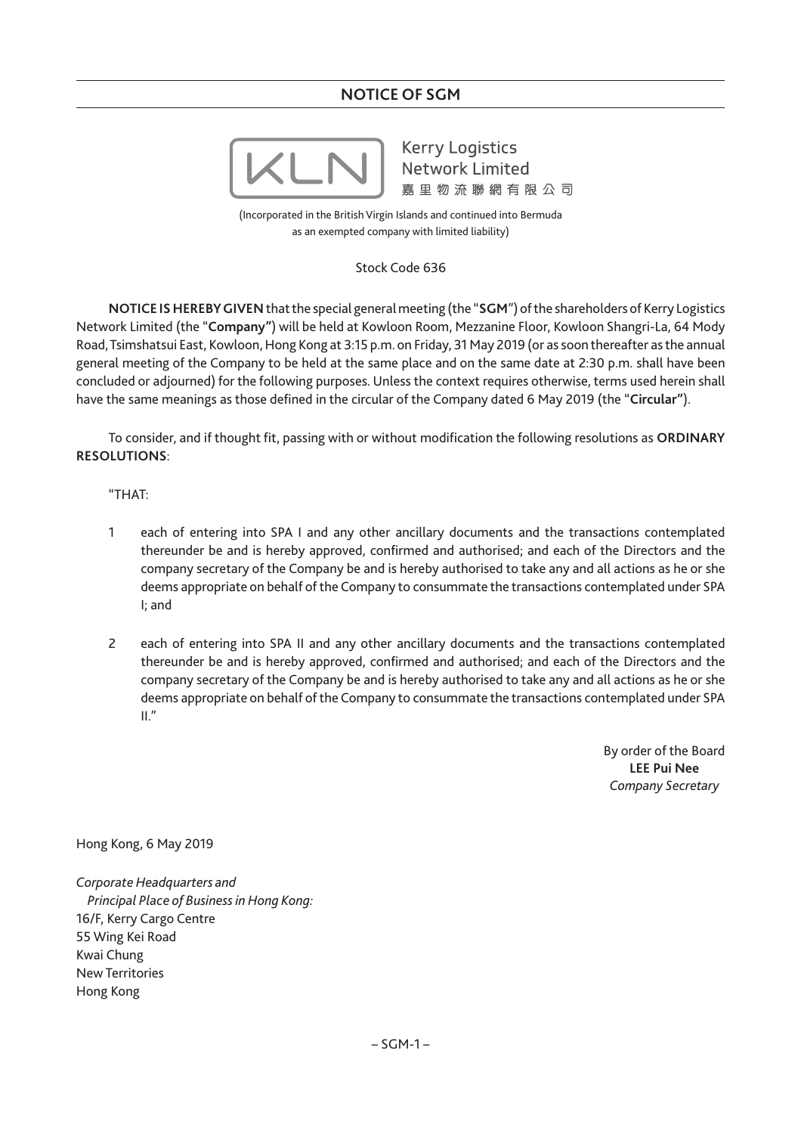# **NOTICE OF SGM**



**Kerry Logistics Network Limited** 嘉里物流聯網有限公司

(Incorporated in the British Virgin Islands and continued into Bermuda as an exempted company with limited liability)

Stock Code 636

**NOTICE IS HEREBY GIVEN**that the special general meeting (the "**SGM**") of the shareholders of Kerry Logistics Network Limited (the "**Company"**) will be held at Kowloon Room, Mezzanine Floor, Kowloon Shangri-La, 64 Mody Road, Tsimshatsui East, Kowloon, Hong Kong at 3:15 p.m. on Friday, 31 May 2019 (or as soon thereafter as the annual general meeting of the Company to be held at the same place and on the same date at 2:30 p.m. shall have been concluded or adjourned) for the following purposes. Unless the context requires otherwise, terms used herein shall have the same meanings as those defined in the circular of the Company dated 6 May 2019 (the "**Circular"**).

To consider, and if thought fit, passing with or without modification the following resolutions as **ORDINARY RESOLUTIONS**:

# "THAT:

- 1 each of entering into SPA I and any other ancillary documents and the transactions contemplated thereunder be and is hereby approved, confirmed and authorised; and each of the Directors and the company secretary of the Company be and is hereby authorised to take any and all actions as he or she deems appropriate on behalf of the Company to consummate the transactions contemplated under SPA I; and
- 2 each of entering into SPA II and any other ancillary documents and the transactions contemplated thereunder be and is hereby approved, confirmed and authorised; and each of the Directors and the company secretary of the Company be and is hereby authorised to take any and all actions as he or she deems appropriate on behalf of the Company to consummate the transactions contemplated under SPA  $II."$

By order of the Board **LEE Pui Nee** *Company Secretary*

Hong Kong, 6 May 2019

*Corporate Headquarters and Principal Place of Business in Hong Kong:* 16/F, Kerry Cargo Centre 55 Wing Kei Road Kwai Chung New Territories Hong Kong